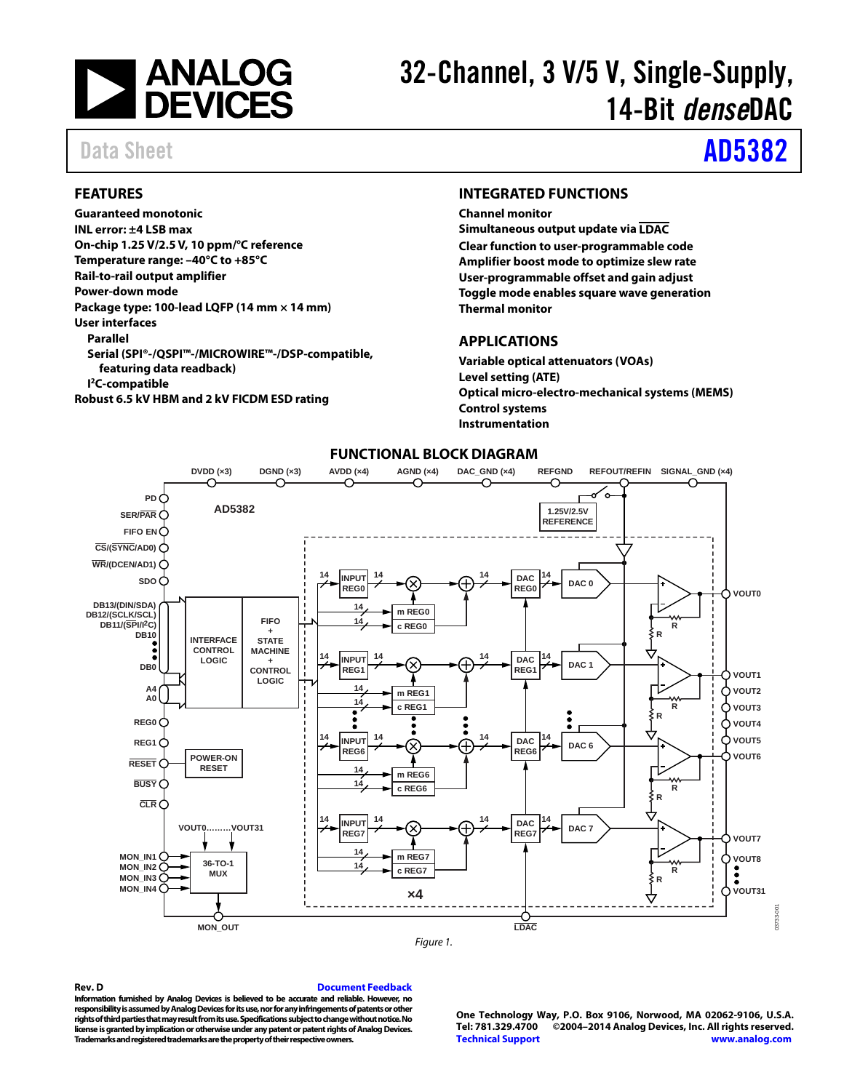

# 32-Channel, 3 V/5 V, Single-Supply, 14-Bit *dense*DAC

# Data Sheet **[AD5382](http://www.analog.com/AD5382?doc=AD5382.pdf)**

### <span id="page-0-0"></span>**FEATURES**

**Guaranteed monotonic INL error: ±4 LSB max On-chip 1.25 V/2.5V, 10 ppm/°C reference Temperature range: –40°C to +85°C Rail-to-rail output amplifier Power-down mode Package type: 100-lead LQFP (14 mm × 14 mm) User interfaces Parallel Serial (SPI®-/QSPI™-/MICROWIRE™-/DSP-compatible, featuring data readback) I 2C-compatible Robust 6.5 kV HBM and 2 kV FICDM ESD rating**

#### <span id="page-0-1"></span>**INTEGRATED FUNCTIONS**

**Channel monitor Simultaneous output update via LDAC Clear function to user-programmable code Amplifier boost mode to optimize slew rate User-programmable offset and gain adjust Toggle mode enables square wave generation Thermal monitor**

### <span id="page-0-2"></span>**APPLICATIONS**

**Variable optical attenuators (VOAs) Level setting (ATE) Optical micro-electro-mechanical systems (MEMS) Control systems Instrumentation**

<span id="page-0-3"></span>

# **FUNCTIONAL BLOCK DIAGRAM**

#### **Rev. D [Document Feedback](https://form.analog.com/Form_Pages/feedback/documentfeedback.aspx?doc=AD5382.pdf&page=%201&product=AD5382&rev=D)**

**Information furnished by Analog Devices is believed to be accurate and reliable. However, no responsibility is assumed by Analog Devices for its use, nor for any infringements of patents or other rights of third parties that may result from its use. Specifications subject to change without notice. No license is granted by implication or otherwise under any patent or patent rights of Analog Devices. Trademarks and registered trademarks are the property of their respective owners.**

**One Technology Way, P.O. Box 9106, Norwood, MA 02062-9106, U.S.A. Tel: 781.329.4700 ©2004–2014 Analog Devices, Inc. All rights reserved. [Technical Support](http://www.analog.com/en/content/technical_support_page/fca.html) [www.analog.com](http://www.analog.com/)**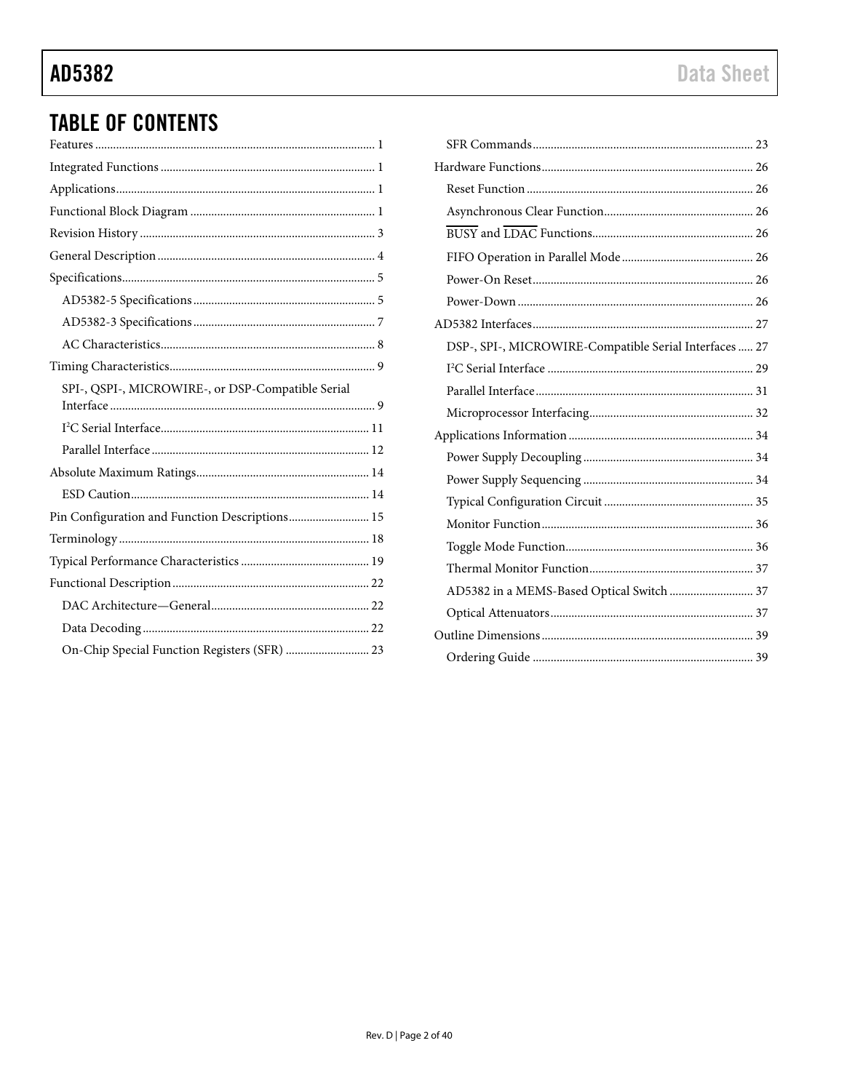# AD5382

# **TABLE OF CONTENTS**

| SPI-, QSPI-, MICROWIRE-, or DSP-Compatible Serial |
|---------------------------------------------------|
|                                                   |
|                                                   |
|                                                   |
|                                                   |
|                                                   |
| Pin Configuration and Function Descriptions 15    |
|                                                   |
|                                                   |
|                                                   |
|                                                   |
|                                                   |
| On-Chip Special Function Registers (SFR)  23      |

|  | Data Sheet |  |  |
|--|------------|--|--|
|  |            |  |  |

| DSP-, SPI-, MICROWIRE-Compatible Serial Interfaces  27 |  |
|--------------------------------------------------------|--|
|                                                        |  |
|                                                        |  |
|                                                        |  |
|                                                        |  |
|                                                        |  |
|                                                        |  |
|                                                        |  |
|                                                        |  |
|                                                        |  |
|                                                        |  |
| AD5382 in a MEMS-Based Optical Switch  37              |  |
|                                                        |  |
|                                                        |  |
|                                                        |  |
|                                                        |  |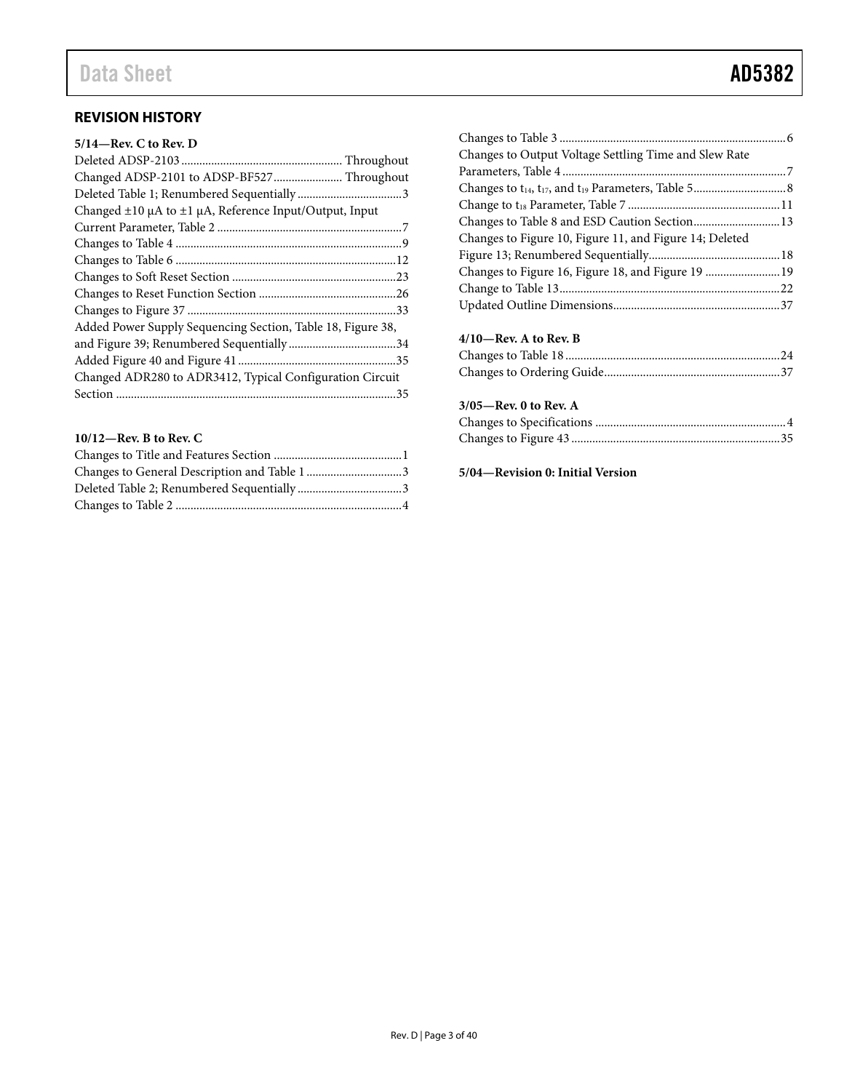| $5/14$ —Rev. C to Rev. D                                         |
|------------------------------------------------------------------|
|                                                                  |
| Changed ADSP-2101 to ADSP-BF527 Throughout                       |
|                                                                  |
| Changed $\pm 10$ µA to $\pm 1$ µA, Reference Input/Output, Input |
|                                                                  |
|                                                                  |
|                                                                  |
|                                                                  |
|                                                                  |
|                                                                  |
| Added Power Supply Sequencing Section, Table 18, Figure 38,      |
|                                                                  |
|                                                                  |
| Changed ADR280 to ADR3412, Typical Configuration Circuit         |
|                                                                  |

### **10/12—Rev. B to Rev. C**

| Changes to Output Voltage Settling Time and Slew Rate |  |
|-------------------------------------------------------|--|
|                                                       |  |
|                                                       |  |
|                                                       |  |

| Changes to Figure 10, Figure 11, and Figure 14; Deleted |  |
|---------------------------------------------------------|--|
|                                                         |  |
| Changes to Figure 16, Figure 18, and Figure 19  19      |  |
|                                                         |  |
|                                                         |  |

## **4/10—Rev. A to Rev. B**

#### **3/05—Rev. 0 to Rev. A**

### **5/04—Revision 0: Initial Version**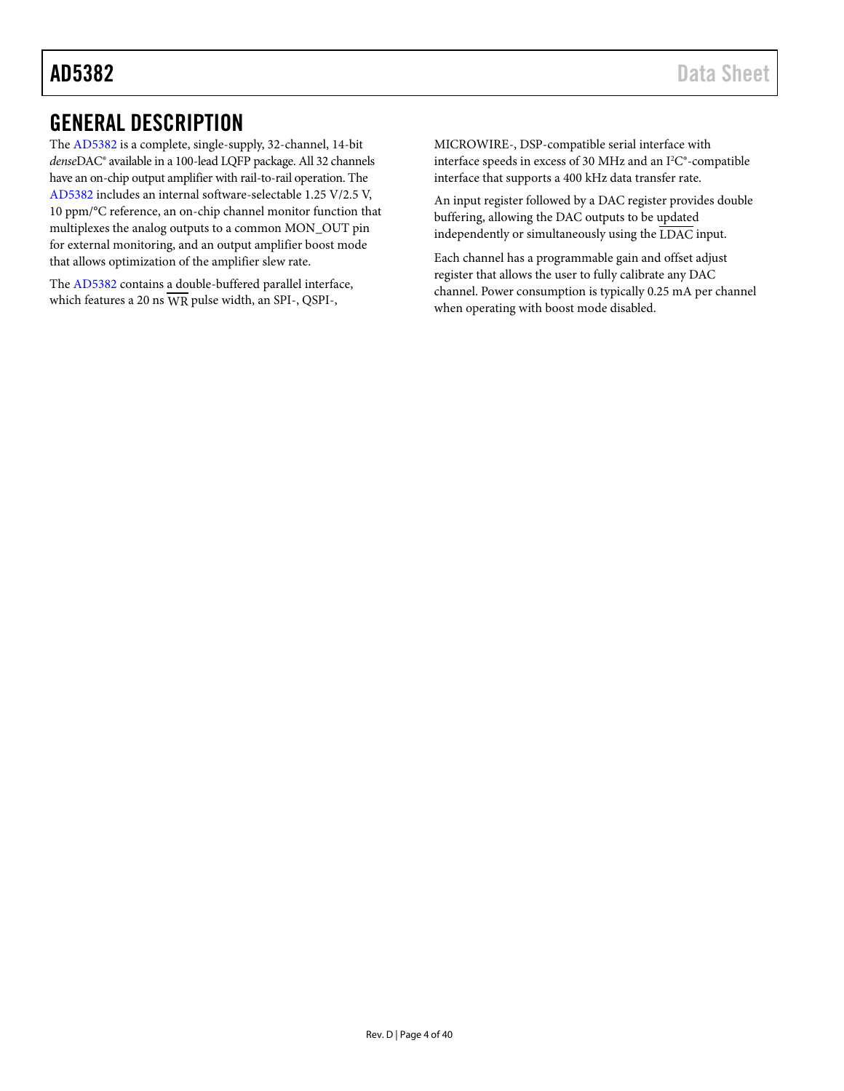# <span id="page-3-1"></span><span id="page-3-0"></span>GENERAL DESCRIPTION

The [AD5382](http://www.analog.com/AD5382?doc=AD5382.pdf) is a complete, single-supply, 32-channel, 14-bit *dense*DAC® available in a 100-lead LQFP package. All 32 channels have an on-chip output amplifier with rail-to-rail operation. The [AD5382](http://www.analog.com/AD5382?doc=AD5382.pdf) includes an internal software-selectable 1.25 V/2.5 V, 10 ppm/°C reference, an on-chip channel monitor function that multiplexes the analog outputs to a common MON\_OUT pin for external monitoring, and an output amplifier boost mode that allows optimization of the amplifier slew rate.

The [AD5382](http://www.analog.com/AD5382?doc=AD5382.pdf) contains a double-buffered parallel interface, which features a 20 ns WR pulse width, an SPI-, QSPI-,

MICROWIRE-, DSP-compatible serial interface with interface speeds in excess of 30 MHz and an  $I^2C^*$ -compatible interface that supports a 400 kHz data transfer rate.

An input register followed by a DAC register provides double buffering, allowing the DAC outputs to be updated independently or simultaneously using the  $\overline{\text{LDAC}}$  input.

Each channel has a programmable gain and offset adjust register that allows the user to fully calibrate any DAC channel. Power consumption is typically 0.25 mA per channel when operating with boost mode disabled.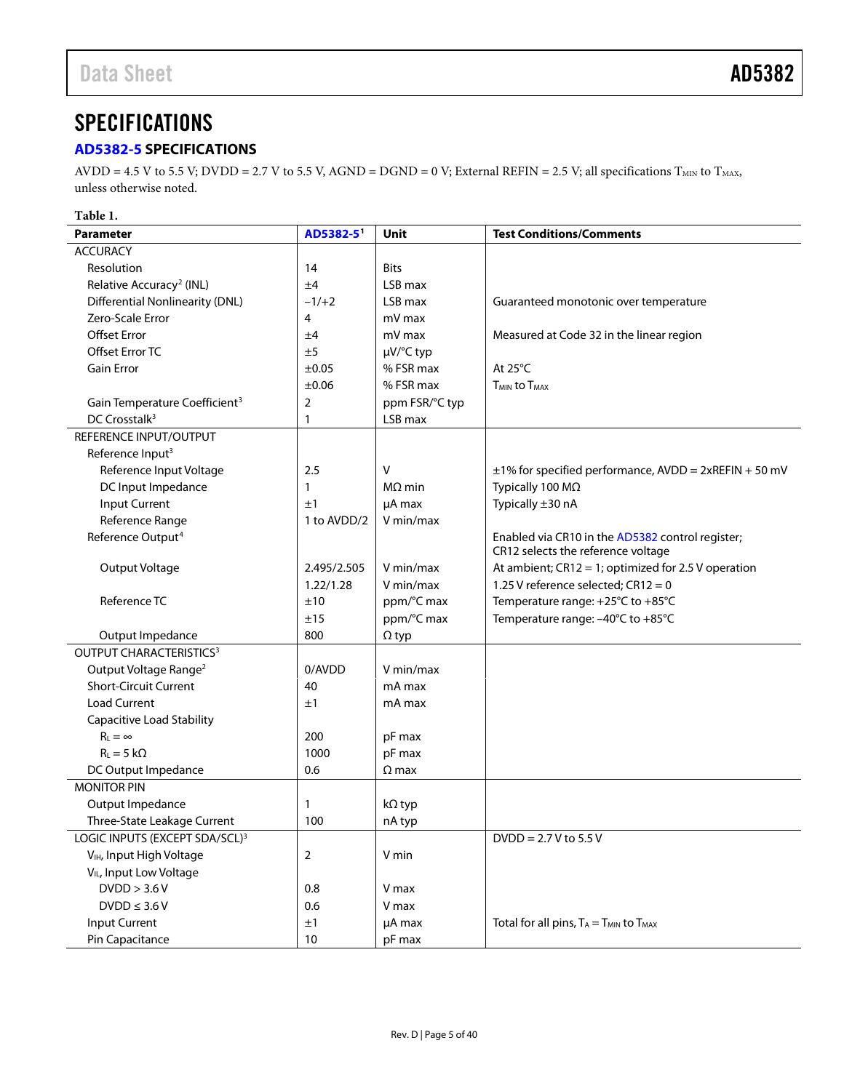# <span id="page-4-1"></span>**SPECIFICATIONS**

# <span id="page-4-0"></span>**[AD5382-5](http://www.analog.com/AD5382?doc=AD5382.pdf) SPECIFICATIONS**

AVDD = 4.5 V to 5.5 V; DVDD = 2.7 V to 5.5 V, AGND = DGND = 0 V; External REFIN = 2.5 V; all specifications  $T_{MIN}$  to  $T_{MAX}$ , unless otherwise noted.

**Table 1.** 

| <b>Parameter</b>                          | AD5382-5 <sup>1</sup> | Unit           | <b>Test Conditions/Comments</b>                            |
|-------------------------------------------|-----------------------|----------------|------------------------------------------------------------|
| <b>ACCURACY</b>                           |                       |                |                                                            |
| Resolution                                | 14                    | <b>Bits</b>    |                                                            |
| Relative Accuracy <sup>2</sup> (INL)      | ±4                    | LSB max        |                                                            |
| <b>Differential Nonlinearity (DNL)</b>    | $-1/+2$               | LSB max        | Guaranteed monotonic over temperature                      |
| Zero-Scale Error                          | 4                     | mV max         |                                                            |
| <b>Offset Error</b>                       | ±4                    | mV max         | Measured at Code 32 in the linear region                   |
| Offset Error TC                           | ±5                    | µV/°C typ      |                                                            |
| <b>Gain Error</b>                         | $\pm 0.05$            | % FSR max      | At 25°C                                                    |
|                                           | $\pm 0.06$            | % FSR max      | <b>TMIN to TMAX</b>                                        |
| Gain Temperature Coefficient <sup>3</sup> | $\overline{2}$        | ppm FSR/°C typ |                                                            |
| DC Crosstalk <sup>3</sup>                 | 1                     | LSB max        |                                                            |
| REFERENCE INPUT/OUTPUT                    |                       |                |                                                            |
| Reference Input <sup>3</sup>              |                       |                |                                                            |
| Reference Input Voltage                   | 2.5                   | V              | $\pm$ 1% for specified performance, AVDD = 2xREFIN + 50 mV |
| DC Input Impedance                        | 1                     | $M\Omega$ min  | Typically 100 MΩ                                           |
| <b>Input Current</b>                      | ±1                    | µA max         | Typically ±30 nA                                           |
| Reference Range                           | 1 to AVDD/2           | V min/max      |                                                            |
| Reference Output <sup>4</sup>             |                       |                | Enabled via CR10 in the AD5382 control register;           |
|                                           |                       |                | CR12 selects the reference voltage                         |
| Output Voltage                            | 2.495/2.505           | V min/max      | At ambient; CR12 = 1; optimized for 2.5 V operation        |
|                                           | 1.22/1.28             | V min/max      | 1.25 V reference selected; $CR12 = 0$                      |
| Reference TC                              | ±10                   | ppm/°C max     | Temperature range: +25°C to +85°C                          |
|                                           | ±15                   | ppm/°C max     | Temperature range: -40°C to +85°C                          |
| Output Impedance                          | 800                   | $\Omega$ typ   |                                                            |
| OUTPUT CHARACTERISTICS <sup>3</sup>       |                       |                |                                                            |
| Output Voltage Range <sup>2</sup>         | 0/AVDD                | V min/max      |                                                            |
| <b>Short-Circuit Current</b>              | 40                    | mA max         |                                                            |
| <b>Load Current</b>                       | ±1                    | mA max         |                                                            |
| Capacitive Load Stability                 |                       |                |                                                            |
| $R_{L} = \infty$                          | 200                   | pF max         |                                                            |
| $R_{L} = 5 k\Omega$                       | 1000                  | pF max         |                                                            |
| DC Output Impedance                       | 0.6                   | $\Omega$ max   |                                                            |
| <b>MONITOR PIN</b>                        |                       |                |                                                            |
| Output Impedance                          | 1                     | kΩ typ         |                                                            |
| Three-State Leakage Current               | 100                   | nA typ         |                                                            |
| LOGIC INPUTS (EXCEPT SDA/SCL)3            |                       |                | $DVDD = 2.7 V to 5.5 V$                                    |
| V <sub>IH</sub> , Input High Voltage      | 2                     | V min          |                                                            |
| V <sub>IL</sub> , Input Low Voltage       |                       |                |                                                            |
| DVDD > 3.6 V                              | 0.8                   | V max          |                                                            |
| $DVDD \leq 3.6 V$                         | 0.6                   | V max          |                                                            |
| Input Current                             | ±1                    | µA max         | Total for all pins, $T_A = T_{MIN}$ to $T_{MAX}$           |
| Pin Capacitance                           | 10                    | pF max         |                                                            |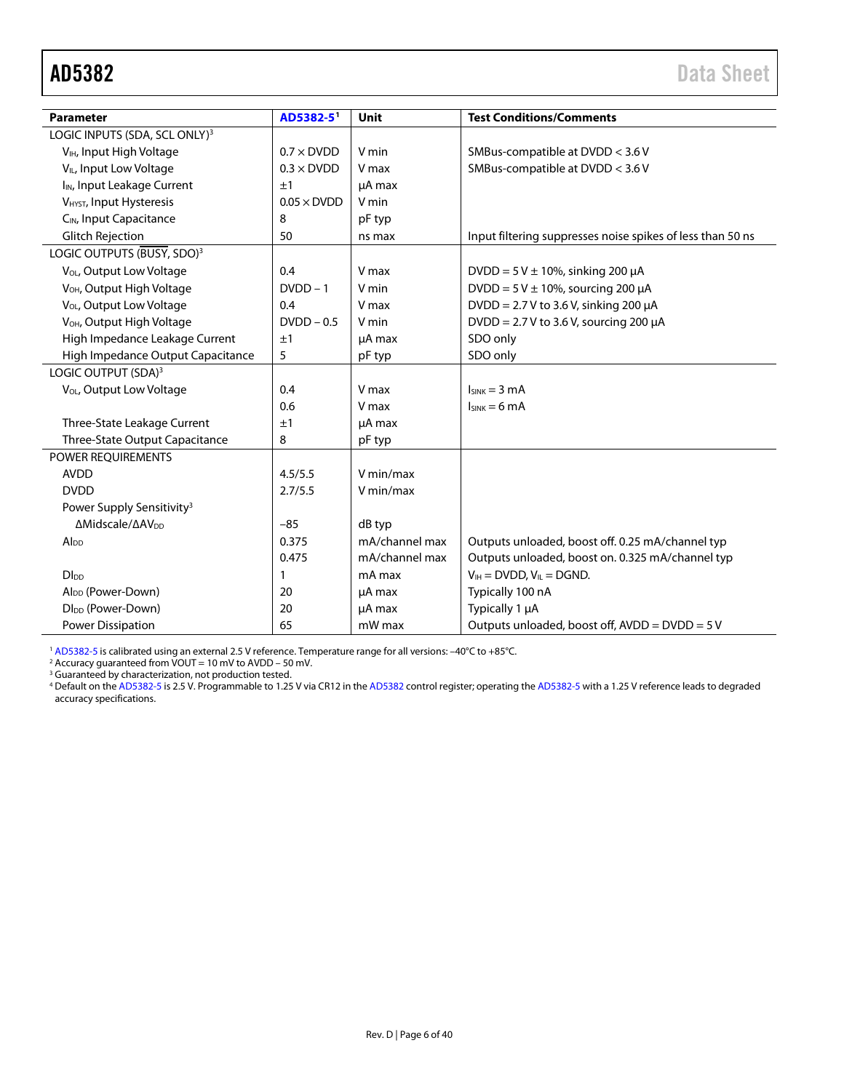<span id="page-5-0"></span>

| <b>Parameter</b>                          | AD5382-5           | Unit           | <b>Test Conditions/Comments</b>                            |
|-------------------------------------------|--------------------|----------------|------------------------------------------------------------|
| LOGIC INPUTS (SDA, SCL ONLY) <sup>3</sup> |                    |                |                                                            |
| V <sub>IH</sub> , Input High Voltage      | $0.7 \times$ DVDD  | V min          | SMBus-compatible at DVDD < 3.6 V                           |
| V <sub>IL</sub> , Input Low Voltage       | $0.3 \times$ DVDD  | V max          | SMBus-compatible at DVDD < 3.6 V                           |
| I <sub>IN</sub> , Input Leakage Current   | ±1                 | µA max         |                                                            |
| V <sub>HYST</sub> , Input Hysteresis      | $0.05 \times$ DVDD | V min          |                                                            |
| C <sub>IN</sub> , Input Capacitance       | 8                  | pF typ         |                                                            |
| <b>Glitch Rejection</b>                   | 50                 | ns max         | Input filtering suppresses noise spikes of less than 50 ns |
| LOGIC OUTPUTS (BUSY, SDO) <sup>3</sup>    |                    |                |                                                            |
| V <sub>OL</sub> , Output Low Voltage      | 0.4                | V max          | DVDD = $5$ V $\pm$ 10%, sinking 200 $\mu$ A                |
| V <sub>OH</sub> , Output High Voltage     | $DVDD-1$           | V min          | $DVDD = 5 V \pm 10\%$ , sourcing 200 µA                    |
| V <sub>OL</sub> , Output Low Voltage      | 0.4                | V max          | $DVDD = 2.7 V$ to 3.6 V, sinking 200 µA                    |
| V <sub>OH</sub> , Output High Voltage     | $D VDD - 0.5$      | V min          | DVDD = $2.7$ V to 3.6 V, sourcing 200 $\mu$ A              |
| High Impedance Leakage Current            | ±1                 | µA max         | SDO only                                                   |
| High Impedance Output Capacitance         | 5                  | pF typ         | SDO only                                                   |
| LOGIC OUTPUT (SDA) <sup>3</sup>           |                    |                |                                                            |
| V <sub>OL</sub> , Output Low Voltage      | 0.4                | V max          | $I_{SINK} = 3 mA$                                          |
|                                           | 0.6                | V max          | $I_{SINK} = 6 mA$                                          |
| Three-State Leakage Current               | ±1                 | µA max         |                                                            |
| Three-State Output Capacitance            | 8                  | pF typ         |                                                            |
| POWER REQUIREMENTS                        |                    |                |                                                            |
| <b>AVDD</b>                               | 4.5/5.5            | V min/max      |                                                            |
| <b>DVDD</b>                               | 2.7/5.5            | V min/max      |                                                            |
| Power Supply Sensitivity <sup>3</sup>     |                    |                |                                                            |
| ΔMidscale/ΔAV <sub>DD</sub>               | $-85$              | dB typ         |                                                            |
| Alpp                                      | 0.375              | mA/channel max | Outputs unloaded, boost off. 0.25 mA/channel typ           |
|                                           | 0.475              | mA/channel max | Outputs unloaded, boost on. 0.325 mA/channel typ           |
| <b>D</b> I <sub>DD</sub>                  | 1                  | mA max         | $V_{IH} = DVDD, V_{IL} = DGND.$                            |
| Al <sub>DD</sub> (Power-Down)             | 20                 | µA max         | Typically 100 nA                                           |
| Dl <sub>DD</sub> (Power-Down)             | 20                 | uA max         | Typically 1 µA                                             |
| <b>Power Dissipation</b>                  | 65                 | mW max         | Outputs unloaded, boost off, AVDD = DVDD = 5 V             |

<sup>1</sup> [AD5382-5](http://www.analog.com/AD5382?doc=AD5382.pdf) is calibrated using an external 2.5 V reference. Temperature range for all versions: –40°C to +85°C.

 $2$  Accuracy guaranteed from VOUT = 10 mV to AVDD - 50 mV.

<sup>3</sup> Guaranteed by characterization, not production tested.

<sup>4</sup> Default on th[e AD5382-5](http://www.analog.com/AD5382?doc=AD5382.pdf) is 2.5 V. Programmable to 1.25 V via CR12 in th[e AD5382](http://www.analog.com/AD5382?doc=AD5382.pdf) control register; operating th[e AD5382-5](http://www.analog.com/AD5382?doc=AD5382.pdf) with a 1.25 V reference leads to degraded accuracy specifications.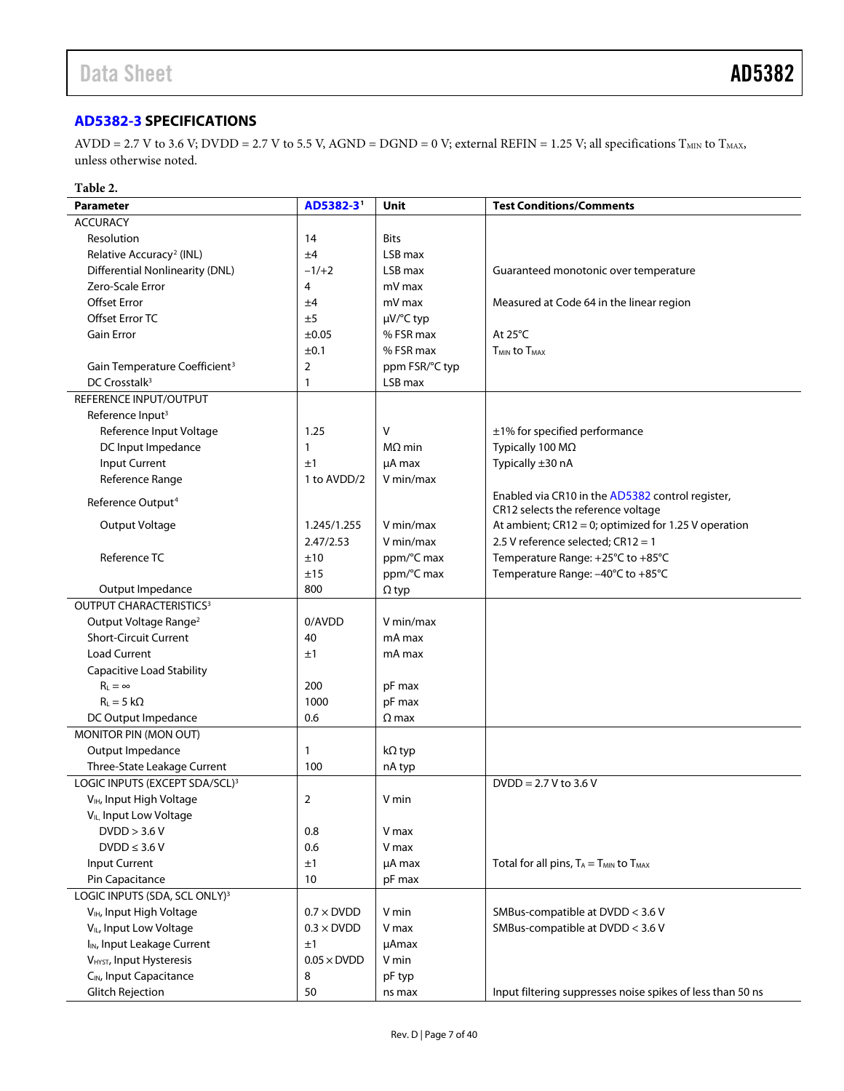# <span id="page-6-0"></span>**[AD5382-3](http://www.analog.com/AD5382?doc=AD5382.pdf) SPECIFICATIONS**

 $AVDD = 2.7 V$  to 3.6 V; DVDD = 2.7 V to 5.5 V, AGND = DGND = 0 V; external REFIN = 1.25 V; all specifications  $T_{MIN}$  to  $T_{MAX}$ , unless otherwise noted.

#### **Table 2.**

| <b>Parameter</b>                           | AD5382-31          | Unit           | <b>Test Conditions/Comments</b>                                                        |
|--------------------------------------------|--------------------|----------------|----------------------------------------------------------------------------------------|
| <b>ACCURACY</b>                            |                    |                |                                                                                        |
| Resolution                                 | 14                 | <b>Bits</b>    |                                                                                        |
| Relative Accuracy <sup>2</sup> (INL)       | ±4                 | LSB max        |                                                                                        |
| <b>Differential Nonlinearity (DNL)</b>     | $-1/+2$            | LSB max        | Guaranteed monotonic over temperature                                                  |
| Zero-Scale Error                           | 4                  | mV max         |                                                                                        |
| <b>Offset Error</b>                        | ±4                 | mV max         | Measured at Code 64 in the linear region                                               |
| Offset Error TC                            | ±5                 | µV/°C typ      |                                                                                        |
| <b>Gain Error</b>                          | $\pm 0.05$         | % FSR max      | At $25^{\circ}$ C                                                                      |
|                                            | ±0.1               | % FSR max      | <b>T<sub>MIN</sub></b> to T <sub>MAX</sub>                                             |
| Gain Temperature Coefficient <sup>3</sup>  | $\overline{2}$     | ppm FSR/°C typ |                                                                                        |
| DC Crosstalk <sup>3</sup>                  | 1                  | LSB max        |                                                                                        |
| REFERENCE INPUT/OUTPUT                     |                    |                |                                                                                        |
| Reference Input <sup>3</sup>               |                    |                |                                                                                        |
| Reference Input Voltage                    | 1.25               | V              | ±1% for specified performance                                                          |
| DC Input Impedance                         | $\mathbf{1}$       | $M\Omega$ min  | Typically 100 MΩ                                                                       |
| <b>Input Current</b>                       | ±1                 | µA max         | Typically ±30 nA                                                                       |
| Reference Range                            | 1 to AVDD/2        | V min/max      |                                                                                        |
| Reference Output <sup>4</sup>              |                    |                | Enabled via CR10 in the AD5382 control register,<br>CR12 selects the reference voltage |
| Output Voltage                             | 1.245/1.255        | V min/max      | At ambient; CR12 = 0; optimized for 1.25 V operation                                   |
|                                            | 2.47/2.53          | V min/max      | 2.5 V reference selected; CR12 = 1                                                     |
| Reference TC                               | ±10                | ppm/°C max     | Temperature Range: +25°C to +85°C                                                      |
|                                            | ±15                | ppm/°C max     | Temperature Range: -40°C to +85°C                                                      |
| Output Impedance                           | 800                | $\Omega$ typ   |                                                                                        |
| <b>OUTPUT CHARACTERISTICS3</b>             |                    |                |                                                                                        |
| Output Voltage Range <sup>2</sup>          | 0/AVDD             | V min/max      |                                                                                        |
| <b>Short-Circuit Current</b>               | 40                 | mA max         |                                                                                        |
| <b>Load Current</b>                        | ±1                 | mA max         |                                                                                        |
| Capacitive Load Stability                  |                    |                |                                                                                        |
| $R_1 = \infty$                             | 200                | pF max         |                                                                                        |
| $R_1 = 5 k\Omega$                          | 1000               | pF max         |                                                                                        |
| DC Output Impedance                        | 0.6                | $\Omega$ max   |                                                                                        |
| MONITOR PIN (MON OUT)                      |                    |                |                                                                                        |
| Output Impedance                           | $\mathbf{1}$       | kΩ typ         |                                                                                        |
| Three-State Leakage Current                | 100                | nA typ         |                                                                                        |
| LOGIC INPUTS (EXCEPT SDA/SCL) <sup>3</sup> |                    |                | $DVDD = 2.7 V to 3.6 V$                                                                |
| V <sub>IH</sub> , Input High Voltage       | $\overline{2}$     | V min          |                                                                                        |
| V <sub>IL</sub> , Input Low Voltage        |                    |                |                                                                                        |
| DVDD > 3.6 V                               | 0.8                | V max          |                                                                                        |
| $DVDD \leq 3.6 V$                          | 0.6                | V max          |                                                                                        |
| Input Current                              | ±1                 | µA max         | Total for all pins, $T_A = T_{MIN}$ to $T_{MAX}$                                       |
| Pin Capacitance                            | 10                 | pF max         |                                                                                        |
| LOGIC INPUTS (SDA, SCL ONLY) <sup>3</sup>  |                    |                |                                                                                        |
| V <sub>IH</sub> , Input High Voltage       | $0.7 \times$ DVDD  | V min          | SMBus-compatible at DVDD < 3.6 V                                                       |
| V <sub>IL</sub> , Input Low Voltage        | $0.3 \times$ DVDD  | V max          | SMBus-compatible at DVDD < 3.6 V                                                       |
| I <sub>IN</sub> , Input Leakage Current    | ±1                 | µAmax          |                                                                                        |
| V <sub>HYST</sub> , Input Hysteresis       | $0.05 \times$ DVDD | V min          |                                                                                        |
| C <sub>IN</sub> , Input Capacitance        | 8                  | pF typ         |                                                                                        |
| <b>Glitch Rejection</b>                    | 50                 | ns max         | Input filtering suppresses noise spikes of less than 50 ns                             |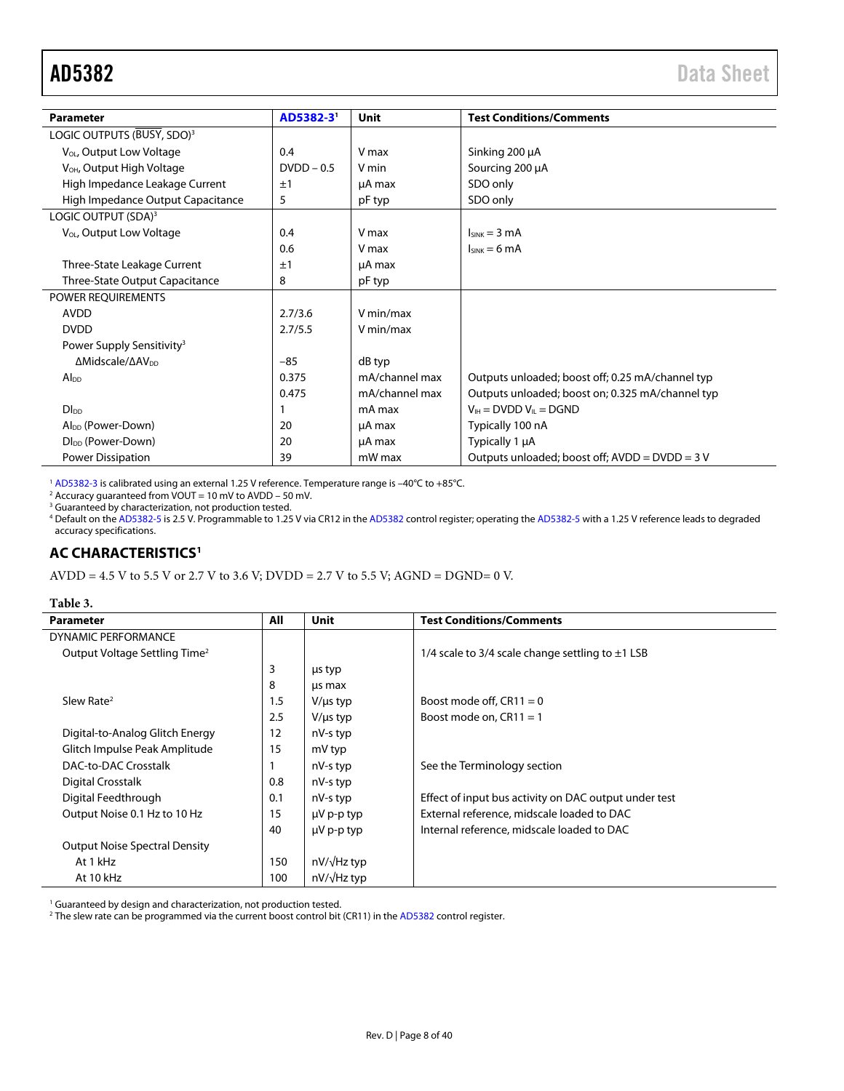<span id="page-7-0"></span>

| <b>Parameter</b>                             | AD5382-3'    | Unit           | <b>Test Conditions/Comments</b>                  |
|----------------------------------------------|--------------|----------------|--------------------------------------------------|
| LOGIC OUTPUTS (BUSY, SDO) <sup>3</sup>       |              |                |                                                  |
| V <sub>OL</sub> , Output Low Voltage         | 0.4          | V max          | Sinking 200 µA                                   |
| V <sub>OH</sub> , Output High Voltage        | $DVDD - 0.5$ | V min          | Sourcing 200 µA                                  |
| High Impedance Leakage Current               | ±1           | µA max         | SDO only                                         |
| High Impedance Output Capacitance            | 5            | pF typ         | SDO only                                         |
| LOGIC OUTPUT (SDA) <sup>3</sup>              |              |                |                                                  |
| V <sub>OL</sub> , Output Low Voltage         | 0.4          | V max          | $I_{SINK} = 3 mA$                                |
|                                              | 0.6          | V max          | $I_{SINK} = 6 mA$                                |
| Three-State Leakage Current                  | ±1           | µA max         |                                                  |
| <b>Three-State Output Capacitance</b>        | 8            | pF typ         |                                                  |
| POWER REQUIREMENTS                           |              |                |                                                  |
| <b>AVDD</b>                                  | 2.7/3.6      | V min/max      |                                                  |
| <b>DVDD</b>                                  | 2.7/5.5      | V min/max      |                                                  |
| Power Supply Sensitivity <sup>3</sup>        |              |                |                                                  |
| $\Delta$ Midscale/ $\Delta$ AV <sub>pp</sub> | $-85$        | dB typ         |                                                  |
| $Al_{DD}$                                    | 0.375        | mA/channel max | Outputs unloaded; boost off; 0.25 mA/channel typ |
|                                              | 0.475        | mA/channel max | Outputs unloaded; boost on; 0.325 mA/channel typ |
| D <sub>LDD</sub>                             |              | mA max         | $V_{\text{IH}}$ = DVDD $V_{\text{II}}$ = DGND    |
| Al <sub>pp</sub> (Power-Down)                | 20           | µA max         | Typically 100 nA                                 |
| DI <sub>DD</sub> (Power-Down)                | 20           | µA max         | Typically 1 µA                                   |
| Power Dissipation                            | 39           | mW max         | Outputs unloaded; boost off; AVDD = DVDD = 3 V   |

<sup>1</sup> [AD5382-3 i](http://www.analog.com/AD5382?doc=AD5382.pdf)s calibrated using an external 1.25 V reference. Temperature range is −40°C to +85°C.<br><sup>2</sup> Accuracy guaranteed from VOUT = 10 mV to AVDD − 50 mV.<br><sup>3</sup> Guaranteed by characterization, not production tested.

4 Default on th[e AD5382-5 i](http://www.analog.com/AD5382?doc=AD5382.pdf)s 2.5 V. Programmable to 1.25 V via CR12 in th[e AD5382 c](http://www.analog.com/AD5382?doc=AD5382.pdf)ontrol register; operating th[e AD5382-5 w](http://www.analog.com/AD5382?doc=AD5382.pdf)ith a 1.25 V reference leads to degraded accuracy specifications.

## **AC CHARACTERISTICS[1](#page-7-0)**

AVDD = 4.5 V to 5.5 V or 2.7 V to 3.6 V; DVDD = 2.7 V to 5.5 V; AGND = DGND= 0 V.

| abie |  |
|------|--|
|------|--|

<span id="page-7-1"></span>

| Tavit J.                                  |     |                    |                                                       |
|-------------------------------------------|-----|--------------------|-------------------------------------------------------|
| <b>Parameter</b>                          | All | Unit               | <b>Test Conditions/Comments</b>                       |
| DYNAMIC PERFORMANCE                       |     |                    |                                                       |
| Output Voltage Settling Time <sup>2</sup> |     |                    | 1/4 scale to 3/4 scale change settling to $\pm$ 1 LSB |
|                                           | 3   | us typ             |                                                       |
|                                           | 8   | us max             |                                                       |
| Slew Rate <sup>2</sup>                    | 1.5 | $V/\mu s$ typ      | Boost mode off, $CR11 = 0$                            |
|                                           | 2.5 | $V/\mu s$ typ      | Boost mode on, $CR11 = 1$                             |
| Digital-to-Analog Glitch Energy           | 12  | nV-s typ           |                                                       |
| Glitch Impulse Peak Amplitude             | 15  | mV typ             |                                                       |
| <b>DAC-to-DAC Crosstalk</b>               |     | nV-s typ           | See the Terminology section                           |
| <b>Digital Crosstalk</b>                  | 0.8 | nV-s typ           |                                                       |
| Digital Feedthrough                       | 0.1 | nV-s typ           | Effect of input bus activity on DAC output under test |
| Output Noise 0.1 Hz to 10 Hz              | 15  | $\mu$ V p-p typ    | External reference, midscale loaded to DAC            |
|                                           | 40  | $\mu$ V p-p typ    | Internal reference, midscale loaded to DAC            |
| <b>Output Noise Spectral Density</b>      |     |                    |                                                       |
| At 1 kHz                                  | 150 | nV/√Hz typ         |                                                       |
| At 10 kHz                                 | 100 | $nV/\sqrt{Hz}$ typ |                                                       |

<sup>1</sup> Guaranteed by design and characterization, not production tested.

<sup>2</sup> The slew rate can be programmed via the current boost control bit (CR11) in th[e AD5382 c](http://www.analog.com/AD5382?doc=AD5382.pdf)ontrol register.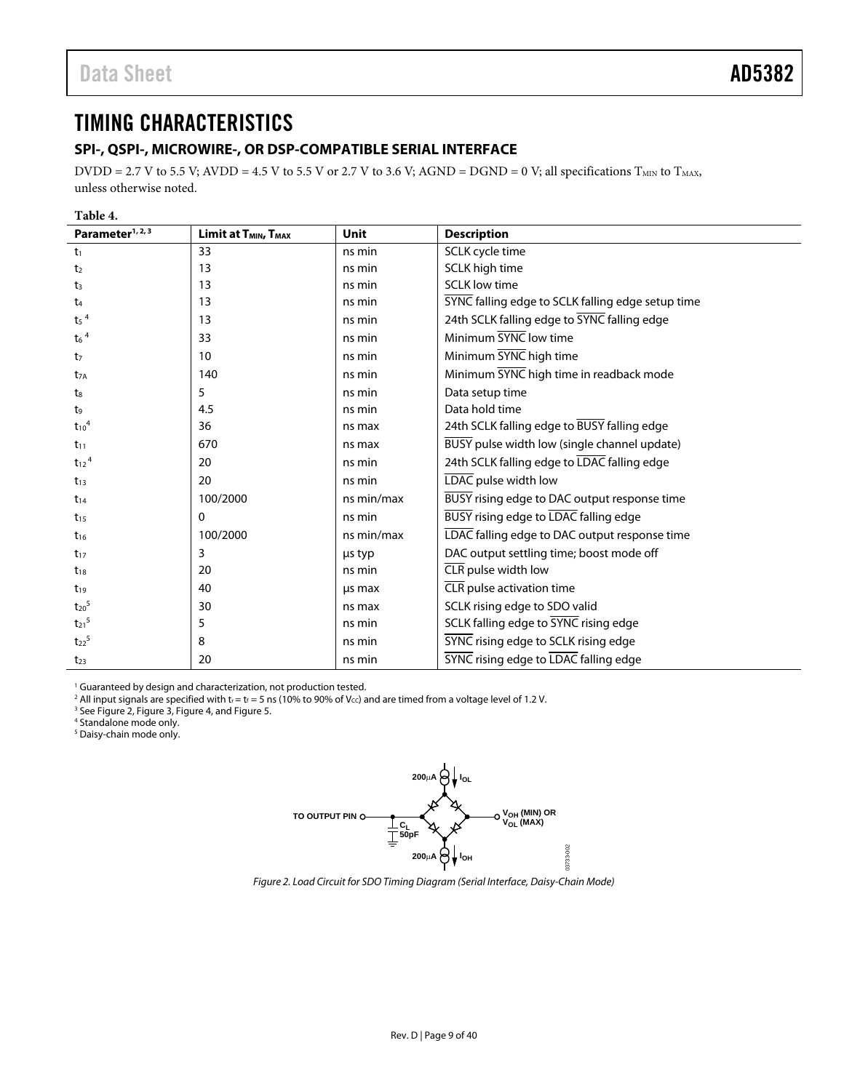# <span id="page-8-1"></span>TIMING CHARACTERISTICS

## <span id="page-8-0"></span>**SPI-, QSPI-, MICROWIRE-, OR DSP-COMPATIBLE SERIAL INTERFACE**

DVDD = 2.7 V to 5.5 V; AVDD = 4.5 V to 5.5 V or 2.7 V to 3.6 V; AGND = DGND = 0 V; all specifications  $T_{MIN}$  to  $T_{MAX}$ , unless otherwise noted.

<span id="page-8-2"></span>

| Parameter <sup>1, 2, 3</sup> | Limit at T <sub>MIN</sub> , T <sub>MAX</sub> | Unit       | <b>Description</b>                                |
|------------------------------|----------------------------------------------|------------|---------------------------------------------------|
| t <sub>1</sub>               | 33                                           | ns min     | SCLK cycle time                                   |
| t <sub>2</sub>               | 13                                           | ns min     | SCLK high time                                    |
| t <sub>3</sub>               | 13                                           | ns min     | <b>SCLK low time</b>                              |
| t <sub>4</sub>               | 13                                           | ns min     | SYNC falling edge to SCLK falling edge setup time |
| $t_5$ <sup>4</sup>           | 13                                           | ns min     | 24th SCLK falling edge to SYNC falling edge       |
| $t_6$ <sup>4</sup>           | 33                                           | ns min     | Minimum SYNC low time                             |
| t <sub>7</sub>               | 10                                           | ns min     | Minimum SYNC high time                            |
| $t_{7A}$                     | 140                                          | ns min     | Minimum SYNC high time in readback mode           |
| t <sub>8</sub>               | 5                                            | ns min     | Data setup time                                   |
| t,                           | 4.5                                          | ns min     | Data hold time                                    |
| $t_{10}$ <sup>4</sup>        | 36                                           | ns max     | 24th SCLK falling edge to BUSY falling edge       |
| $t_{11}$                     | 670                                          | ns max     | BUSY pulse width low (single channel update)      |
| $t_{12}$ <sup>4</sup>        | 20                                           | ns min     | 24th SCLK falling edge to LDAC falling edge       |
| $t_{13}$                     | 20                                           | ns min     | LDAC pulse width low                              |
| $t_{14}$                     | 100/2000                                     | ns min/max | BUSY rising edge to DAC output response time      |
| $t_{15}$                     | 0                                            | ns min     | BUSY rising edge to LDAC falling edge             |
| $t_{16}$                     | 100/2000                                     | ns min/max | LDAC falling edge to DAC output response time     |
| $t_{17}$                     | 3                                            | us typ     | DAC output settling time; boost mode off          |
| $t_{18}$                     | 20                                           | ns min     | CLR pulse width low                               |
| $t_{19}$                     | 40                                           | us max     | CLR pulse activation time                         |
| $t_{20}$ <sup>5</sup>        | 30                                           | ns max     | SCLK rising edge to SDO valid                     |
| $t_{21}$ <sup>5</sup>        | 5                                            | ns min     | SCLK falling edge to SYNC rising edge             |
| $t_{22}$ <sup>5</sup>        | 8                                            | ns min     | SYNC rising edge to SCLK rising edge              |
| $t_{23}$                     | 20                                           | ns min     | <b>SYNC</b> rising edge to LDAC falling edge      |

<span id="page-8-3"></span><sup>1</sup> Guaranteed by design and characterization, not production tested.

<sup>2</sup> All input signals are specified with t<sub>r</sub> = t<sub>f</sub> = 5 ns (10% to 90% of V<sub>⊂C</sub>) and are timed from a voltage level of 1.2 V.<br><sup>3</sup> Se[e Figure 2,](#page-8-4) [Figure 3,](#page-9-1) [Figure 4,](#page-9-2) and Figure 5.

4 Standalone mode only.

<span id="page-8-4"></span>5 Daisy-chain mode only.



Figure 2. Load Circuit for SDO Timing Diagram (Serial Interface, Daisy-Chain Mode)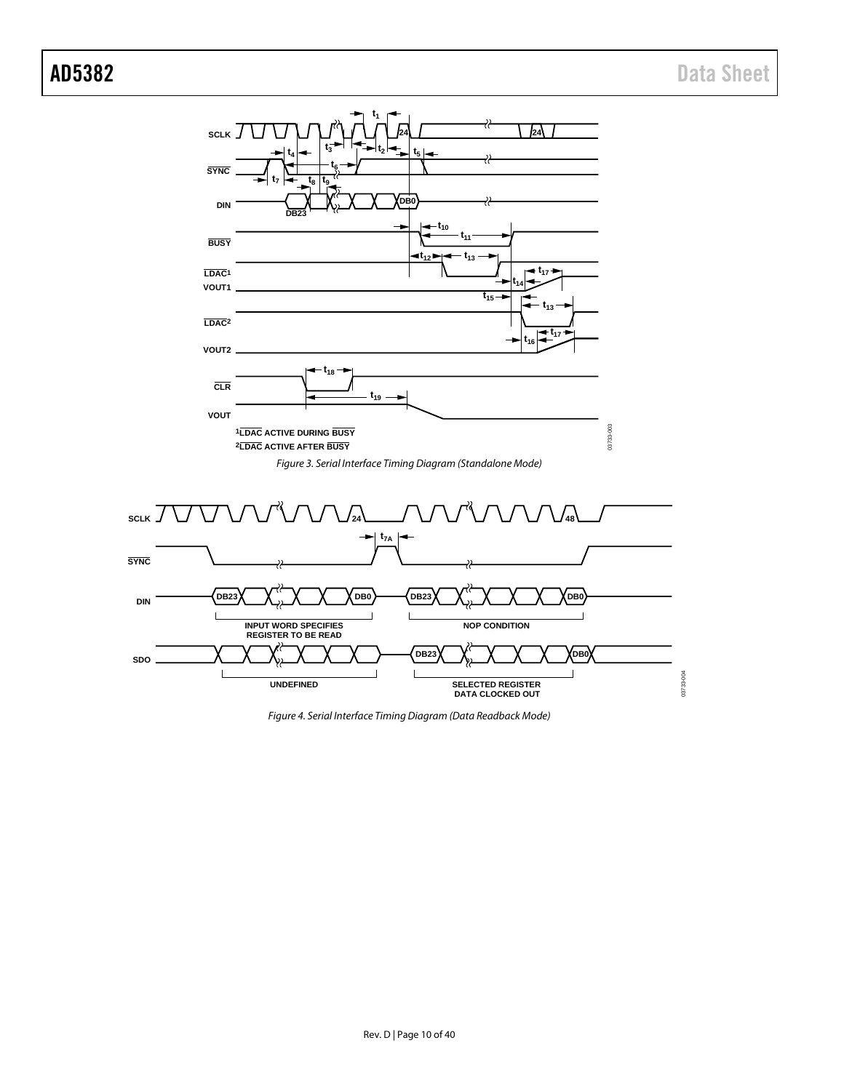

<span id="page-9-2"></span><span id="page-9-1"></span><span id="page-9-0"></span>*Figure 4. Serial Interface Timing Diagram (Data Readback Mode)*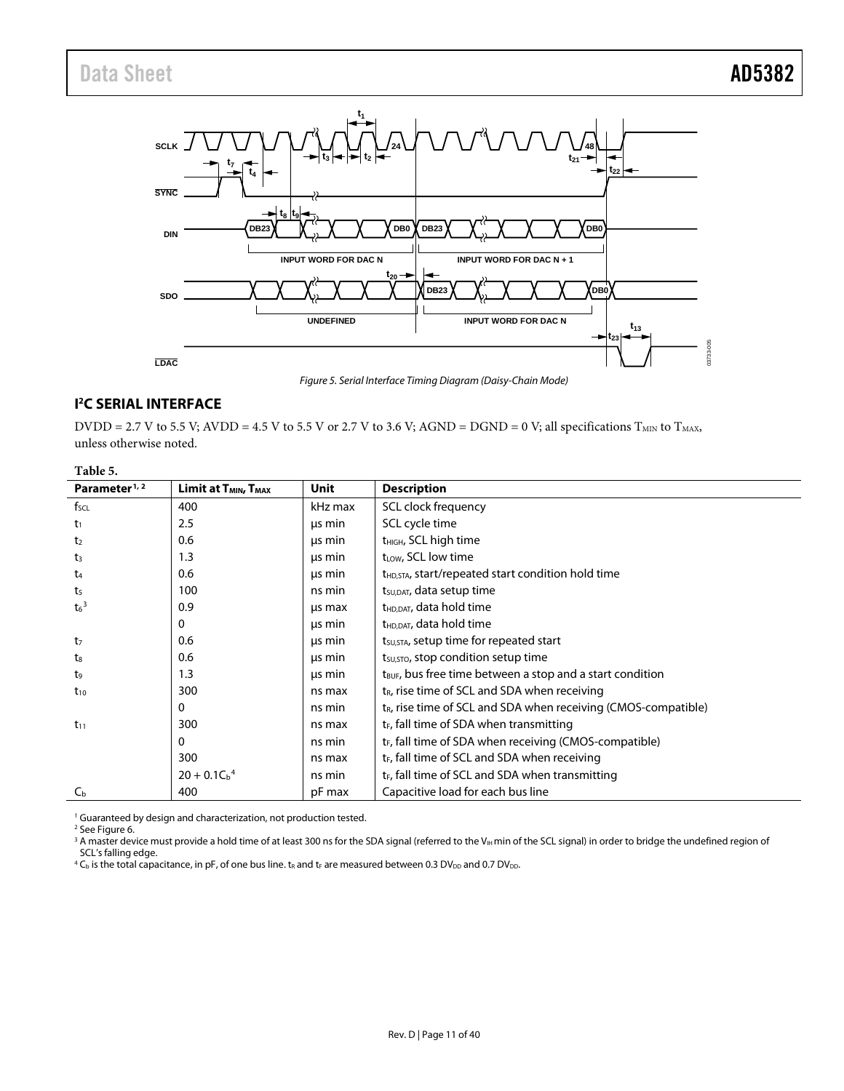<span id="page-10-0"></span>

#### *Figure 5. Serial Interface Timing Diagram (Daisy-Chain Mode)*

## <span id="page-10-1"></span>**I 2 C SERIAL INTERFACE**

 $DVDD = 2.7 V$  to 5.5 V; AVDD = 4.5 V to 5.5 V or 2.7 V to 3.6 V; AGND = DGND = 0 V; all specifications T<sub>MIN</sub> to T<sub>MAX</sub>, unless otherwise noted.

| Table 5.                  |                                              |         |                                                                       |
|---------------------------|----------------------------------------------|---------|-----------------------------------------------------------------------|
| Parameter <sup>1, 2</sup> | Limit at T <sub>MIN</sub> , T <sub>MAX</sub> | Unit    | <b>Description</b>                                                    |
| $f_{\text{SCL}}$          | 400                                          | kHz max | SCL clock frequency                                                   |
| tı                        | 2.5                                          | us min  | SCL cycle time                                                        |
| t <sub>2</sub>            | 0.6                                          | us min  | t <sub>HIGH</sub> , SCL high time                                     |
| t3                        | 1.3                                          | us min  | t <sub>LOW</sub> , SCL low time                                       |
| t4                        | 0.6                                          | us min  | t <sub>HD,STA</sub> , start/repeated start condition hold time        |
| t <sub>5</sub>            | 100                                          | ns min  | t <sub>su, DAT</sub> , data setup time                                |
| $t6$ <sup>3</sup>         | 0.9                                          | us max  | t <sub>HD,DAT</sub> , data hold time                                  |
|                           | 0                                            | us min  | t <sub>HD,DAT</sub> , data hold time                                  |
| t <sub>7</sub>            | 0.6                                          | us min  | $t_{\text{SU,STA}}$ , setup time for repeated start                   |
| t.                        | 0.6                                          | us min  | t <sub>su, stop</sub> condition setup time                            |
| t,                        | 1.3                                          | us min  | $t_{\text{BUF}}$ , bus free time between a stop and a start condition |
| $t_{10}$                  | 300                                          | ns max  | t <sub>R</sub> , rise time of SCL and SDA when receiving              |
|                           | 0                                            | ns min  | $t_{R}$ , rise time of SCL and SDA when receiving (CMOS-compatible)   |
| $t_{11}$                  | 300                                          | ns max  | t <sub>F</sub> , fall time of SDA when transmitting                   |
|                           | 0                                            | ns min  | $t_F$ , fall time of SDA when receiving (CMOS-compatible)             |
|                           | 300                                          | ns max  | t <sub>F</sub> , fall time of SCL and SDA when receiving              |
|                           | $20 + 0.1Cb4$                                | ns min  | $t_F$ , fall time of SCL and SDA when transmitting                    |
| $C_{\rm b}$               | 400                                          | pF max  | Capacitive load for each bus line                                     |

<sup>1</sup> Guaranteed by design and characterization, not production tested.<br><sup>2</sup> See Figure 6.

<sup>2</sup> See Figure 6.<br><sup>3</sup> A master device must provide a hold time of at least 300 ns for the SDA signal (referred to the V<sub>IH</sub>min of the SCL signal) in order to bridge the undefined region of SCL's falling edge.

 $4 C_b$  is the total capacitance, in pF, of one bus line. t<sub>R</sub> and t<sub>F</sub> are measured between 0.3 DV<sub>DD</sub> and 0.7 DV<sub>DD</sub>.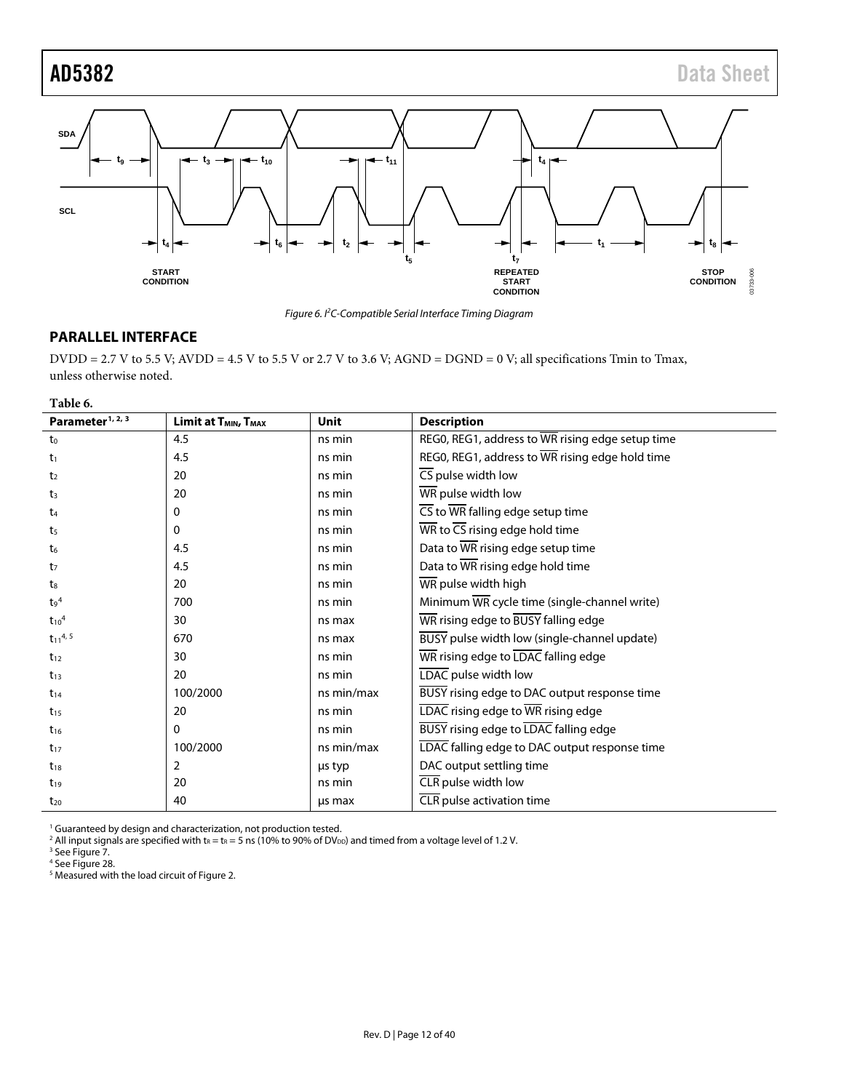<span id="page-11-0"></span>

*Figure 6. I2 C-Compatible Serial Interface Timing Diagram*

# <span id="page-11-1"></span>**PARALLEL INTERFACE**

DVDD = 2.7 V to 5.5 V; AVDD = 4.5 V to 5.5 V or 2.7 V to 3.6 V; AGND = DGND = 0 V; all specifications Tmin to Tmax, unless otherwise noted.

#### **Table 6.**

<span id="page-11-2"></span>

| Parameter <sup>1, 2, 3</sup> | Limit at T <sub>MIN</sub> , T <sub>MAX</sub> | Unit       | <b>Description</b>                                                       |
|------------------------------|----------------------------------------------|------------|--------------------------------------------------------------------------|
| to                           | 4.5                                          | ns min     | REGO, REG1, address to WR rising edge setup time                         |
| t <sub>1</sub>               | 4.5                                          | ns min     | REGO, REG1, address to WR rising edge hold time                          |
| t <sub>2</sub>               | 20                                           | ns min     | $\overline{\text{CS}}$ pulse width low                                   |
| t3                           | 20                                           | ns min     | WR pulse width low                                                       |
| t <sub>4</sub>               | 0                                            | ns min     | $\overline{\text{CS}}$ to $\overline{\text{WR}}$ falling edge setup time |
| t <sub>5</sub>               | 0                                            | ns min     | $\overline{\text{WR}}$ to $\overline{\text{CS}}$ rising edge hold time   |
| t6                           | 4.5                                          | ns min     | Data to WR rising edge setup time                                        |
| t7                           | 4.5                                          | ns min     | Data to WR rising edge hold time                                         |
| $t_{8}$                      | 20                                           | ns min     | WR pulse width high                                                      |
| $t_9$ <sup>4</sup>           | 700                                          | ns min     | Minimum WR cycle time (single-channel write)                             |
| $t_{10}$ <sup>4</sup>        | 30                                           | ns max     | WR rising edge to BUSY falling edge                                      |
| $t_{11}^{4,5}$               | 670                                          | ns max     | BUSY pulse width low (single-channel update)                             |
| $t_{12}$                     | 30                                           | ns min     | WR rising edge to LDAC falling edge                                      |
| $t_{13}$                     | 20                                           | ns min     | LDAC pulse width low                                                     |
| $t_{14}$                     | 100/2000                                     | ns min/max | BUSY rising edge to DAC output response time                             |
| $t_{15}$                     | 20                                           | ns min     | LDAC rising edge to WR rising edge                                       |
| $t_{16}$                     | 0                                            | ns min     | <b>BUSY</b> rising edge to LDAC falling edge                             |
| $t_{17}$                     | 100/2000                                     | ns min/max | LDAC falling edge to DAC output response time                            |
| $t_{18}$                     | 2                                            | us typ     | DAC output settling time                                                 |
| $t_{19}$                     | 20                                           | ns min     | CLR pulse width low                                                      |
| $t_{20}$                     | 40                                           | us max     | CLR pulse activation time                                                |

<sup>1</sup> Guaranteed by design and characterization, not production tested.

<sup>2</sup> All input signals are specified with  $t_R = t_R = 5$  ns (10% to 90% of DV<sub>DD</sub>) and timed from a voltage level of 1.2 V.

<sup>3</sup> Se[e Figure 7.](#page-12-0)

<sup>4</sup> Se[e Figure 28.](#page-25-7)

<sup>5</sup> Measured with the load circuit o[f Figure 2.](#page-8-4)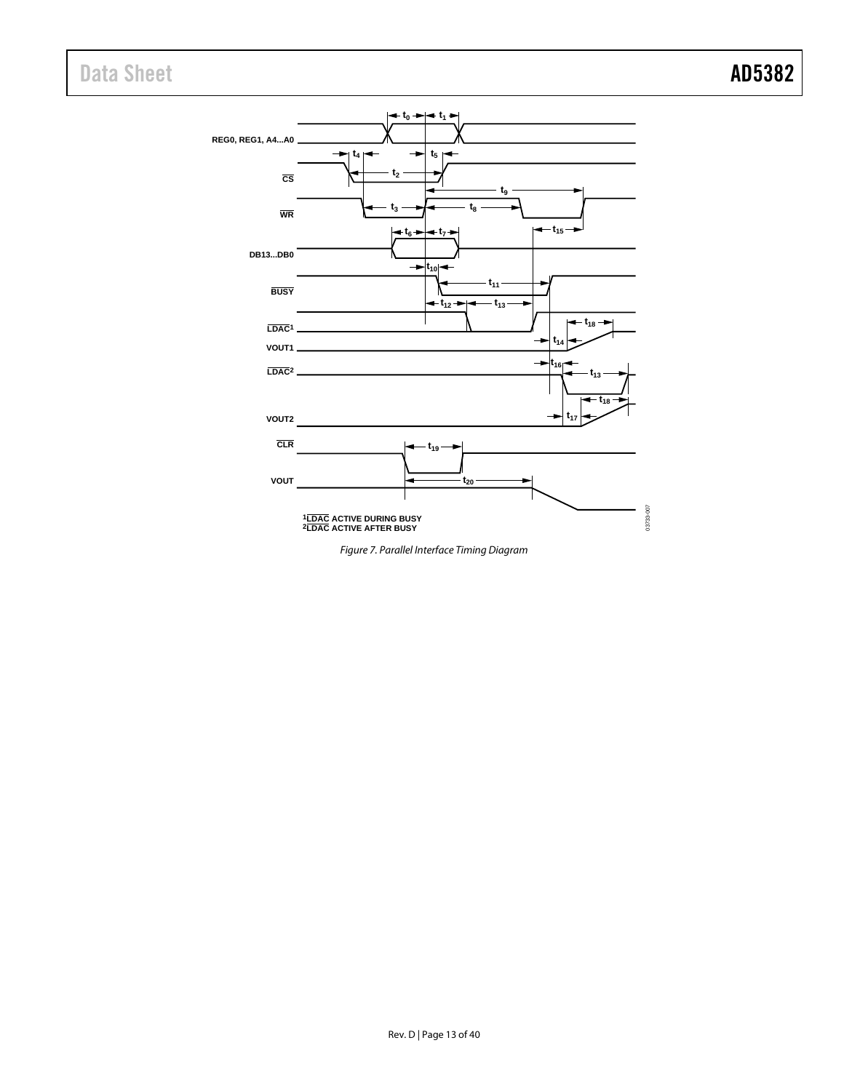# Data Sheet **AD5382**



<span id="page-12-0"></span>*Figure 7. Parallel Interface Timing Diagram*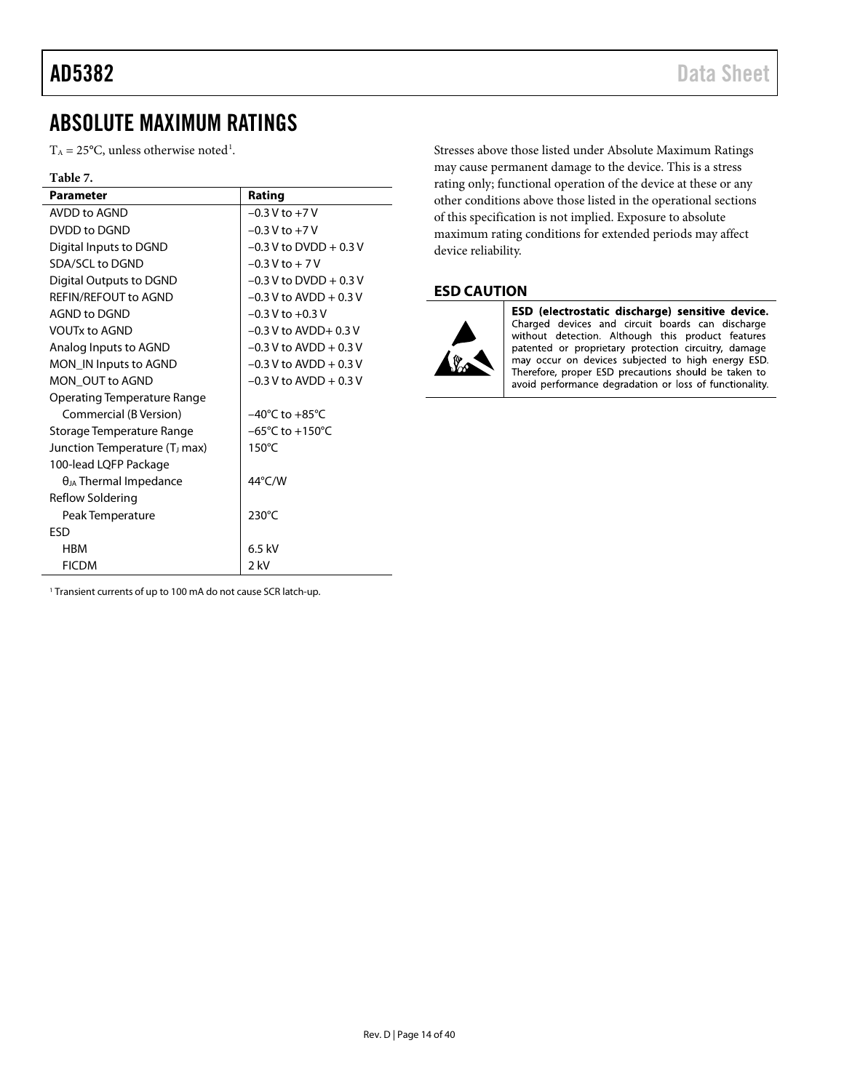# <span id="page-13-0"></span>ABSOLUTE MAXIMUM RATINGS

 $T_A = 25^{\circ}$ C, unless otherwise noted<sup>[1](#page-13-1)</sup>.

#### **Table 7.**

| <b>Parameter</b>                          | Rating                              |
|-------------------------------------------|-------------------------------------|
| AVDD to AGND                              | $-0.3 V$ to $+7V$                   |
| DVDD to DGND                              | $-0.3 V$ to $+7V$                   |
| Digital Inputs to DGND                    | $-0.3$ V to DVDD $+0.3$ V           |
| SDA/SCL to DGND                           | $-0.3$ V to $+7$ V                  |
| Digital Outputs to DGND                   | $-0.3$ V to DVDD + 0.3 V            |
| REFIN/REFOUT to AGND                      | $-0.3$ V to AVDD + 0.3 V            |
| AGND to DGND                              | $-0.3$ V to $+0.3$ V                |
| <b>VOUTx to AGND</b>                      | $-0.3$ V to AVDD+ 0.3 V             |
| Analog Inputs to AGND                     | $-0.3$ V to AVDD + 0.3 V            |
| MON_IN Inputs to AGND                     | $-0.3$ V to AVDD + 0.3 V            |
| MON_OUT to AGND                           | $-0.3$ V to AVDD $+0.3$ V           |
| Operating Temperature Range               |                                     |
| Commercial (B Version)                    | $-40^{\circ}$ C to $+85^{\circ}$ C  |
| Storage Temperature Range                 | $-65^{\circ}$ C to $+150^{\circ}$ C |
| Junction Temperature (T <sub>J</sub> max) | $150^{\circ}$ C                     |
| 100-lead LQFP Package                     |                                     |
| $\theta_{JA}$ Thermal Impedance           | 44°C/W                              |
| Reflow Soldering                          |                                     |
| Peak Temperature                          | 230°C                               |
| <b>FSD</b>                                |                                     |
| HBM                                       | $6.5$ kV                            |
| <b>FICDM</b>                              | 2 kV                                |

Stresses above those listed under Absolute Maximum Ratings may cause permanent damage to the device. This is a stress rating only; functional operation of the device at these or any other conditions above those listed in the operational sections of this specification is not implied. Exposure to absolute maximum rating conditions for extended periods may affect device reliability.

# **ESD CAUTION**



ESD (electrostatic discharge) sensitive device. Charged devices and circuit boards can discharge without detection. Although this product features patented or proprietary protection circuitry, damage may occur on devices subjected to high energy ESD. Therefore, proper ESD precautions should be taken to avoid performance degradation or loss of functionality.

<span id="page-13-1"></span><sup>1</sup> Transient currents of up to 100 mA do not cause SCR latch-up.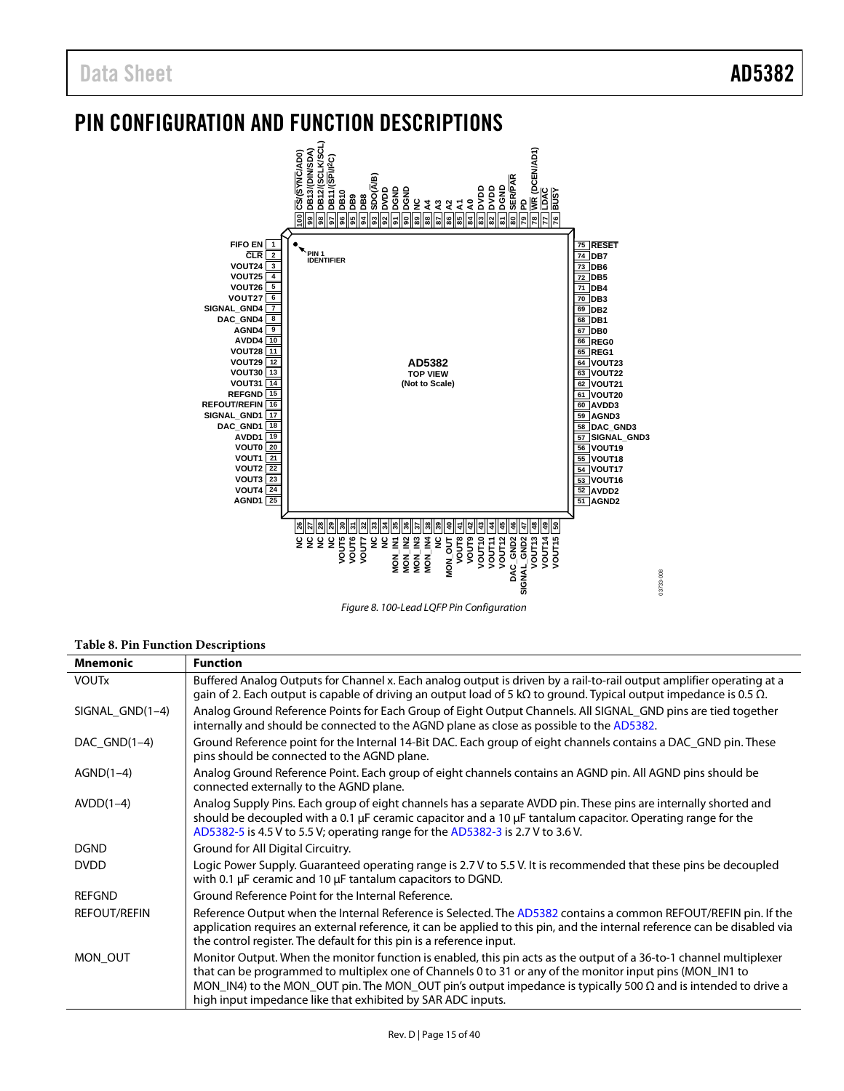# <span id="page-14-0"></span>PIN CONFIGURATION AND FUNCTION DESCRIPTIONS



*Figure 8. 100-Lead LQFP Pin Configuration*

#### **Table 8. Pin Function Descriptions**

| <b>Mnemonic</b>     | <b>Function</b>                                                                                                                                                                                                                                                                                                                                                                                                       |
|---------------------|-----------------------------------------------------------------------------------------------------------------------------------------------------------------------------------------------------------------------------------------------------------------------------------------------------------------------------------------------------------------------------------------------------------------------|
| <b>VOUTX</b>        | Buffered Analog Outputs for Channel x. Each analog output is driven by a rail-to-rail output amplifier operating at a<br>gain of 2. Each output is capable of driving an output load of 5 k $\Omega$ to ground. Typical output impedance is 0.5 $\Omega$ .                                                                                                                                                            |
| SIGNAL GND $(1-4)$  | Analog Ground Reference Points for Each Group of Eight Output Channels. All SIGNAL_GND pins are tied together<br>internally and should be connected to the AGND plane as close as possible to the AD5382.                                                                                                                                                                                                             |
| DAC $GND(1-4)$      | Ground Reference point for the Internal 14-Bit DAC. Each group of eight channels contains a DAC_GND pin. These<br>pins should be connected to the AGND plane.                                                                                                                                                                                                                                                         |
| $AGND(1-4)$         | Analog Ground Reference Point. Each group of eight channels contains an AGND pin. All AGND pins should be<br>connected externally to the AGND plane.                                                                                                                                                                                                                                                                  |
| $AVDD(1-4)$         | Analog Supply Pins. Each group of eight channels has a separate AVDD pin. These pins are internally shorted and<br>should be decoupled with a 0.1 $\mu$ F ceramic capacitor and a 10 $\mu$ F tantalum capacitor. Operating range for the<br>AD5382-5 is 4.5 V to 5.5 V; operating range for the AD5382-3 is 2.7 V to 3.6 V.                                                                                           |
| <b>DGND</b>         | Ground for All Digital Circuitry.                                                                                                                                                                                                                                                                                                                                                                                     |
| <b>DVDD</b>         | Logic Power Supply. Guaranteed operating range is 2.7 V to 5.5 V. It is recommended that these pins be decoupled<br>with 0.1 µF ceramic and 10 µF tantalum capacitors to DGND.                                                                                                                                                                                                                                        |
| <b>REFGND</b>       | Ground Reference Point for the Internal Reference.                                                                                                                                                                                                                                                                                                                                                                    |
| <b>REFOUT/REFIN</b> | Reference Output when the Internal Reference is Selected. The AD5382 contains a common REFOUT/REFIN pin. If the<br>application requires an external reference, it can be applied to this pin, and the internal reference can be disabled via<br>the control register. The default for this pin is a reference input.                                                                                                  |
| MON OUT             | Monitor Output. When the monitor function is enabled, this pin acts as the output of a 36-to-1 channel multiplexer<br>that can be programmed to multiplex one of Channels 0 to 31 or any of the monitor input pins (MON_IN1 to<br>MON_IN4) to the MON_OUT pin. The MON_OUT pin's output impedance is typically 500 $\Omega$ and is intended to drive a<br>high input impedance like that exhibited by SAR ADC inputs. |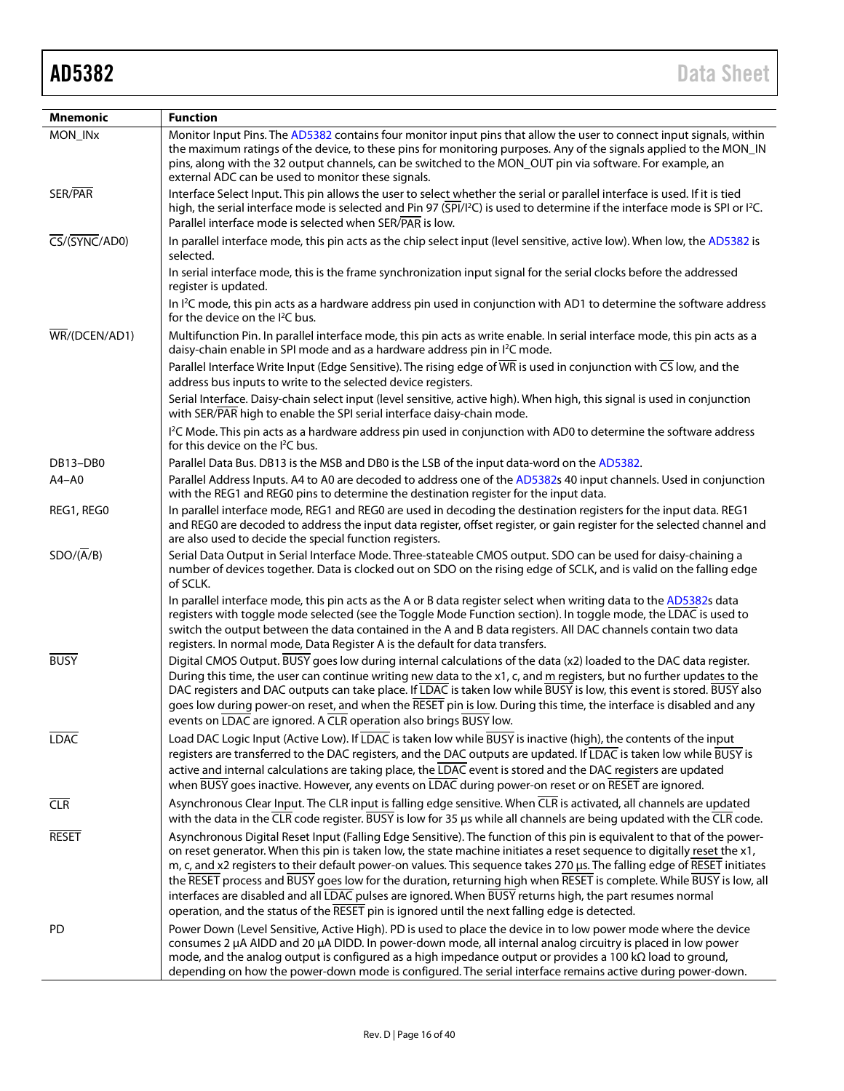| Mnemonic                                                   | <b>Function</b>                                                                                                                                                                                                                                                                                                                                                                                                                                                                                                                                                                                                                                                                                                     |
|------------------------------------------------------------|---------------------------------------------------------------------------------------------------------------------------------------------------------------------------------------------------------------------------------------------------------------------------------------------------------------------------------------------------------------------------------------------------------------------------------------------------------------------------------------------------------------------------------------------------------------------------------------------------------------------------------------------------------------------------------------------------------------------|
| MON_INx                                                    | Monitor Input Pins. The AD5382 contains four monitor input pins that allow the user to connect input signals, within<br>the maximum ratings of the device, to these pins for monitoring purposes. Any of the signals applied to the MON_IN<br>pins, along with the 32 output channels, can be switched to the MON_OUT pin via software. For example, an<br>external ADC can be used to monitor these signals.                                                                                                                                                                                                                                                                                                       |
| SER/PAR                                                    | Interface Select Input. This pin allows the user to select whether the serial or parallel interface is used. If it is tied<br>high, the serial interface mode is selected and Pin 97 (SPI/I <sup>2</sup> C) is used to determine if the interface mode is SPI or I <sup>2</sup> C.<br>Parallel interface mode is selected when SER/PAR is low.                                                                                                                                                                                                                                                                                                                                                                      |
| $\overline{\text{CS}}/(\overline{\text{SYNC}}/\text{ADO})$ | In parallel interface mode, this pin acts as the chip select input (level sensitive, active low). When low, the AD5382 is<br>selected.                                                                                                                                                                                                                                                                                                                                                                                                                                                                                                                                                                              |
|                                                            | In serial interface mode, this is the frame synchronization input signal for the serial clocks before the addressed<br>register is updated.                                                                                                                                                                                                                                                                                                                                                                                                                                                                                                                                                                         |
|                                                            | In <sup>2</sup> C mode, this pin acts as a hardware address pin used in conjunction with AD1 to determine the software address<br>for the device on the $I^2C$ bus.                                                                                                                                                                                                                                                                                                                                                                                                                                                                                                                                                 |
| $\overline{\text{WR}}$ /(DCEN/AD1)                         | Multifunction Pin. In parallel interface mode, this pin acts as write enable. In serial interface mode, this pin acts as a<br>daisy-chain enable in SPI mode and as a hardware address pin in I <sup>2</sup> C mode.                                                                                                                                                                                                                                                                                                                                                                                                                                                                                                |
|                                                            | Parallel Interface Write Input (Edge Sensitive). The rising edge of $\overline{WR}$ is used in conjunction with $\overline{CS}$ low, and the<br>address bus inputs to write to the selected device registers.                                                                                                                                                                                                                                                                                                                                                                                                                                                                                                       |
|                                                            | Serial Interface. Daisy-chain select input (level sensitive, active high). When high, this signal is used in conjunction<br>with SER/PAR high to enable the SPI serial interface daisy-chain mode.                                                                                                                                                                                                                                                                                                                                                                                                                                                                                                                  |
|                                                            | <sup>12</sup> C Mode. This pin acts as a hardware address pin used in conjunction with AD0 to determine the software address<br>for this device on the I <sup>2</sup> C bus.                                                                                                                                                                                                                                                                                                                                                                                                                                                                                                                                        |
| DB13-DB0                                                   | Parallel Data Bus. DB13 is the MSB and DB0 is the LSB of the input data-word on the AD5382.                                                                                                                                                                                                                                                                                                                                                                                                                                                                                                                                                                                                                         |
| $A4 - A0$                                                  | Parallel Address Inputs. A4 to A0 are decoded to address one of the AD5382s 40 input channels. Used in conjunction<br>with the REG1 and REG0 pins to determine the destination register for the input data.                                                                                                                                                                                                                                                                                                                                                                                                                                                                                                         |
| REG1, REG0                                                 | In parallel interface mode, REG1 and REG0 are used in decoding the destination registers for the input data. REG1<br>and REG0 are decoded to address the input data register, offset register, or gain register for the selected channel and<br>are also used to decide the special function registers.                                                                                                                                                                                                                                                                                                                                                                                                             |
| $SDO/(\overline{A}/B)$                                     | Serial Data Output in Serial Interface Mode. Three-stateable CMOS output. SDO can be used for daisy-chaining a<br>number of devices together. Data is clocked out on SDO on the rising edge of SCLK, and is valid on the falling edge<br>of SCLK.                                                                                                                                                                                                                                                                                                                                                                                                                                                                   |
|                                                            | In parallel interface mode, this pin acts as the A or B data register select when writing data to the AD5382s data<br>registers with toggle mode selected (see the Toggle Mode Function section). In toggle mode, the LDAC is used to<br>switch the output between the data contained in the A and B data registers. All DAC channels contain two data<br>registers. In normal mode, Data Register A is the default for data transfers.                                                                                                                                                                                                                                                                             |
| <b>BUSY</b>                                                | Digital CMOS Output. BUSY goes low during internal calculations of the data (x2) loaded to the DAC data register.<br>During this time, the user can continue writing new data to the x1, c, and m registers, but no further updates to the<br>DAC registers and DAC outputs can take place. If LDAC is taken low while BUSY is low, this event is stored. BUSY also<br>goes low during power-on reset, and when the RESET pin is low. During this time, the interface is disabled and any                                                                                                                                                                                                                           |
| <b>LDAC</b>                                                | events on LDAC are ignored. A CLR operation also brings BUSY low.<br>Load DAC Logic Input (Active Low). If LDAC is taken low while BUSY is inactive (high), the contents of the input<br>registers are transferred to the DAC registers, and the DAC outputs are updated. If LDAC is taken low while BUSY is<br>active and internal calculations are taking place, the LDAC event is stored and the DAC registers are updated<br>when BUSY goes inactive. However, any events on LDAC during power-on reset or on RESET are ignored.                                                                                                                                                                                |
| CLR                                                        | Asynchronous Clear Input. The CLR input is falling edge sensitive. When CLR is activated, all channels are updated<br>with the data in the $\overline{CLR}$ code register. BUSY is low for 35 µs while all channels are being updated with the $\overline{CLR}$ code.                                                                                                                                                                                                                                                                                                                                                                                                                                               |
| <b>RESET</b>                                               | Asynchronous Digital Reset Input (Falling Edge Sensitive). The function of this pin is equivalent to that of the power-<br>on reset generator. When this pin is taken low, the state machine initiates a reset sequence to digitally reset the x1,<br>m, c, and x2 registers to their default power-on values. This sequence takes 270 µs. The falling edge of RESET initiates<br>the RESET process and BUSY goes low for the duration, returning high when RESET is complete. While BUSY is low, all<br>interfaces are disabled and all LDAC pulses are ignored. When BUSY returns high, the part resumes normal<br>operation, and the status of the RESET pin is ignored until the next falling edge is detected. |
| PD                                                         | Power Down (Level Sensitive, Active High). PD is used to place the device in to low power mode where the device<br>consumes 2 µA AIDD and 20 µA DIDD. In power-down mode, all internal analog circuitry is placed in low power<br>mode, and the analog output is configured as a high impedance output or provides a 100 k $\Omega$ load to ground,<br>depending on how the power-down mode is configured. The serial interface remains active during power-down.                                                                                                                                                                                                                                                   |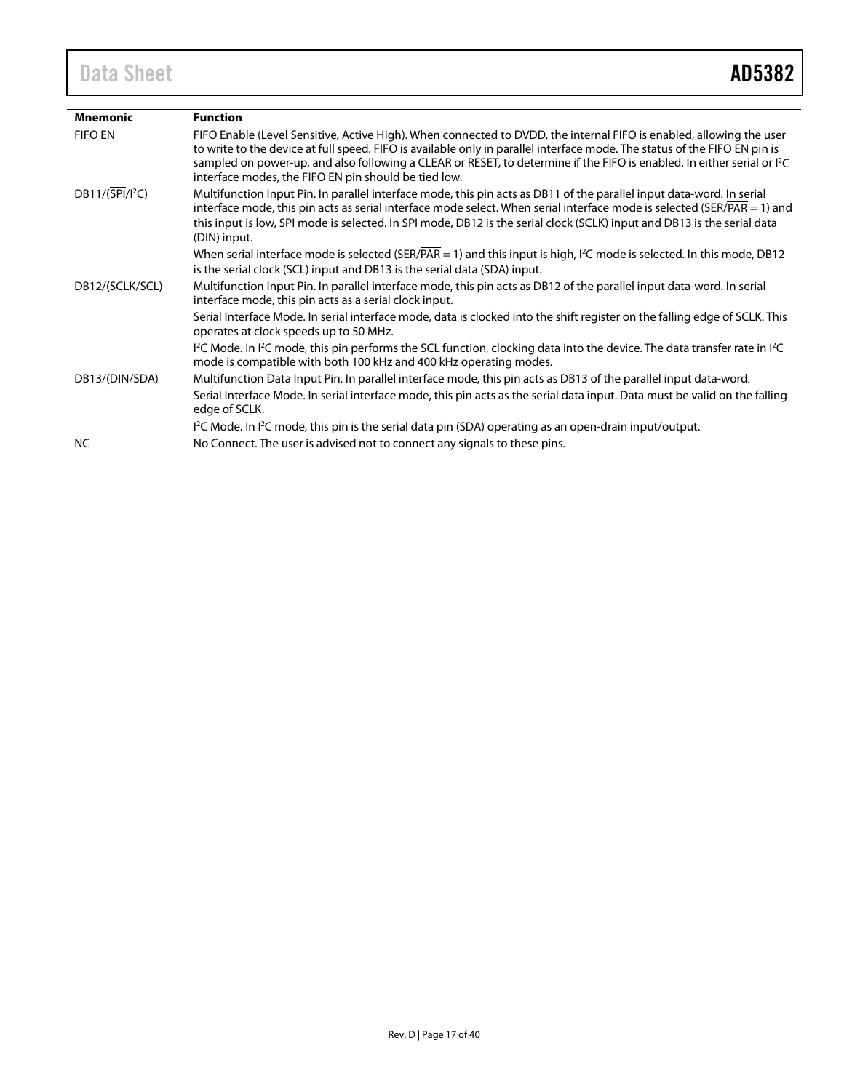# Data Sheet **AD5382**

| <b>Mnemonic</b>              | <b>Function</b>                                                                                                                                                                                                                                                                                                                                                                                                                   |
|------------------------------|-----------------------------------------------------------------------------------------------------------------------------------------------------------------------------------------------------------------------------------------------------------------------------------------------------------------------------------------------------------------------------------------------------------------------------------|
| <b>FIFO EN</b>               | FIFO Enable (Level Sensitive, Active High). When connected to DVDD, the internal FIFO is enabled, allowing the user<br>to write to the device at full speed. FIFO is available only in parallel interface mode. The status of the FIFO EN pin is<br>sampled on power-up, and also following a CLEAR or RESET, to determine if the FIFO is enabled. In either serial or PC<br>interface modes, the FIFO EN pin should be tied low. |
| $DB11/(\overline{SPI}/I^2C)$ | Multifunction Input Pin. In parallel interface mode, this pin acts as DB11 of the parallel input data-word. In serial<br>interface mode, this pin acts as serial interface mode select. When serial interface mode is selected (SER/PAR = 1) and<br>this input is low, SPI mode is selected. In SPI mode, DB12 is the serial clock (SCLK) input and DB13 is the serial data<br>(DIN) input.                                       |
|                              | When serial interface mode is selected (SER/ $\overline{PAR} = 1$ ) and this input is high, $I^2C$ mode is selected. In this mode, DB12<br>is the serial clock (SCL) input and DB13 is the serial data (SDA) input.                                                                                                                                                                                                               |
| DB12/(SCLK/SCL)              | Multifunction Input Pin. In parallel interface mode, this pin acts as DB12 of the parallel input data-word. In serial<br>interface mode, this pin acts as a serial clock input.                                                                                                                                                                                                                                                   |
|                              | Serial Interface Mode. In serial interface mode, data is clocked into the shift register on the falling edge of SCLK. This<br>operates at clock speeds up to 50 MHz.                                                                                                                                                                                                                                                              |
|                              | $1^2C$ Mode. In $1^2C$ mode, this pin performs the SCL function, clocking data into the device. The data transfer rate in $1^2C$<br>mode is compatible with both 100 kHz and 400 kHz operating modes.                                                                                                                                                                                                                             |
| DB13/(DIN/SDA)               | Multifunction Data Input Pin. In parallel interface mode, this pin acts as DB13 of the parallel input data-word.                                                                                                                                                                                                                                                                                                                  |
|                              | Serial Interface Mode. In serial interface mode, this pin acts as the serial data input. Data must be valid on the falling<br>edge of SCLK.                                                                                                                                                                                                                                                                                       |
|                              | $l^2C$ Mode. In $l^2C$ mode, this pin is the serial data pin (SDA) operating as an open-drain input/output.                                                                                                                                                                                                                                                                                                                       |
| NC.                          | No Connect. The user is advised not to connect any signals to these pins.                                                                                                                                                                                                                                                                                                                                                         |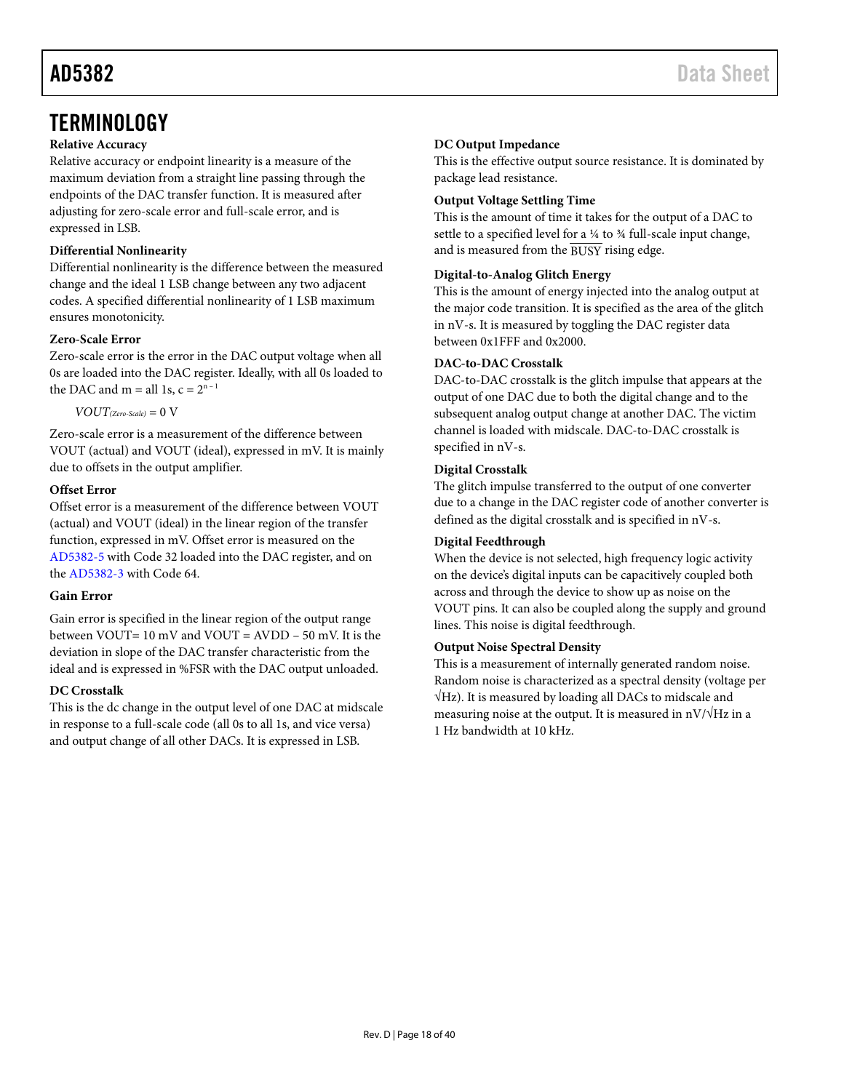# <span id="page-17-1"></span><span id="page-17-0"></span>**TERMINOLOGY**

#### **Relative Accuracy**

Relative accuracy or endpoint linearity is a measure of the maximum deviation from a straight line passing through the endpoints of the DAC transfer function. It is measured after adjusting for zero-scale error and full-scale error, and is expressed in LSB.

### **Differential Nonlinearity**

Differential nonlinearity is the difference between the measured change and the ideal 1 LSB change between any two adjacent codes. A specified differential nonlinearity of 1 LSB maximum ensures monotonicity.

### **Zero-Scale Error**

Zero-scale error is the error in the DAC output voltage when all 0s are loaded into the DAC register. Ideally, with all 0s loaded to the DAC and m = all 1s,  $c = 2^{n-1}$ 

 $VOUT_{(Zero-Scale)} = 0$  V

Zero-scale error is a measurement of the difference between VOUT (actual) and VOUT (ideal), expressed in mV. It is mainly due to offsets in the output amplifier.

#### **Offset Error**

Offset error is a measurement of the difference between VOUT (actual) and VOUT (ideal) in the linear region of the transfer function, expressed in mV. Offset error is measured on the [AD5382-5](http://www.analog.com/AD5382?doc=AD5382.pdf) with Code 32 loaded into the DAC register, and on the [AD5382-3](http://www.analog.com/AD5382?doc=AD5382.pdf) with Code 64.

#### **Gain Error**

Gain error is specified in the linear region of the output range between VOUT= 10 mV and VOUT = AVDD – 50 mV. It is the deviation in slope of the DAC transfer characteristic from the ideal and is expressed in %FSR with the DAC output unloaded.

#### **DC Crosstalk**

This is the dc change in the output level of one DAC at midscale in response to a full-scale code (all 0s to all 1s, and vice versa) and output change of all other DACs. It is expressed in LSB.

### **DC Output Impedance**

This is the effective output source resistance. It is dominated by package lead resistance.

### **Output Voltage Settling Time**

This is the amount of time it takes for the output of a DAC to settle to a specified level for a ¼ to ¾ full-scale input change, and is measured from the BUSY rising edge.

### **Digital-to-Analog Glitch Energy**

This is the amount of energy injected into the analog output at the major code transition. It is specified as the area of the glitch in nV-s. It is measured by toggling the DAC register data between 0x1FFF and 0x2000.

#### **DAC-to-DAC Crosstalk**

DAC-to-DAC crosstalk is the glitch impulse that appears at the output of one DAC due to both the digital change and to the subsequent analog output change at another DAC. The victim channel is loaded with midscale. DAC-to-DAC crosstalk is specified in nV-s.

### **Digital Crosstalk**

The glitch impulse transferred to the output of one converter due to a change in the DAC register code of another converter is defined as the digital crosstalk and is specified in nV-s.

### **Digital Feedthrough**

When the device is not selected, high frequency logic activity on the device's digital inputs can be capacitively coupled both across and through the device to show up as noise on the VOUT pins. It can also be coupled along the supply and ground lines. This noise is digital feedthrough.

#### **Output Noise Spectral Density**

This is a measurement of internally generated random noise. Random noise is characterized as a spectral density (voltage per √Hz). It is measured by loading all DACs to midscale and measuring noise at the output. It is measured in  $nV/\sqrt{Hz}$  in a 1 Hz bandwidth at 10 kHz.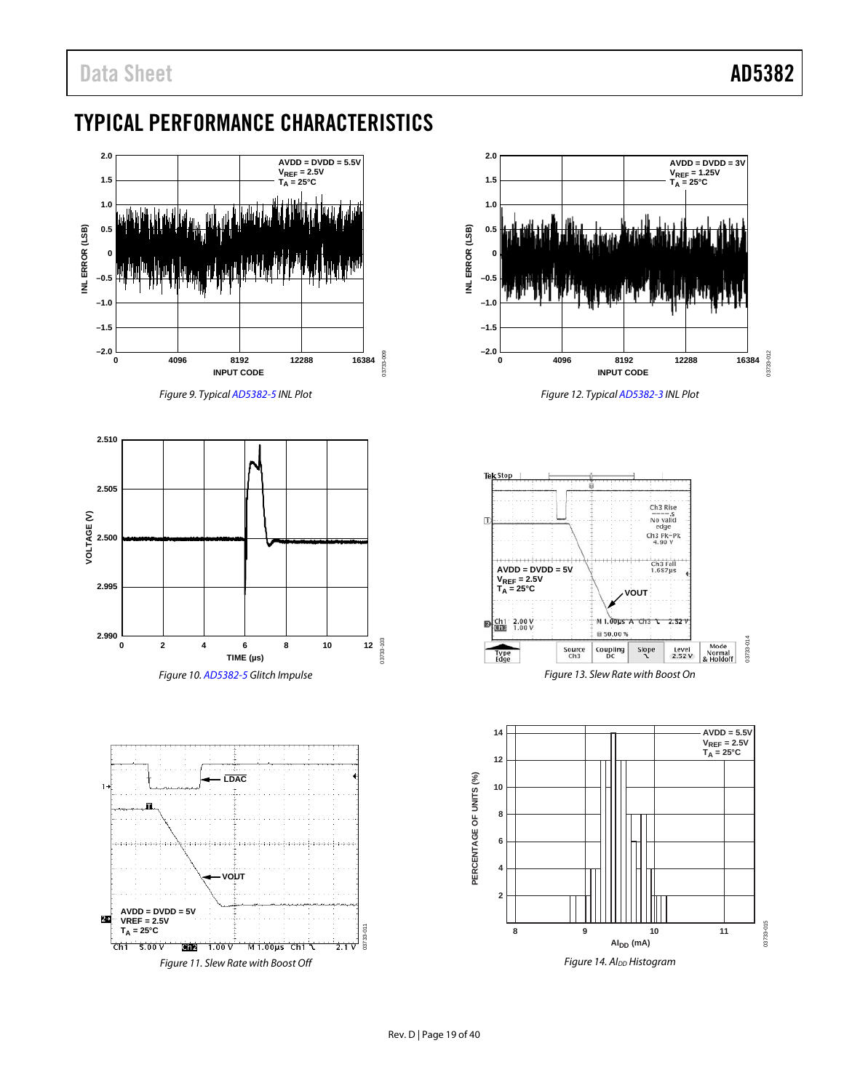# <span id="page-18-0"></span>TYPICAL PERFORMANCE CHARACTERISTICS



*Figure 9. Typica[l AD5382-5](http://www.analog.com/AD5382?doc=AD5382.pdf) INL Plot*







*Figure 12. Typica[l AD5382-3](http://www.analog.com/AD5382?doc=AD5382.pdf) INL Plot*



*Figure 13. Slew Rate with Boost On*

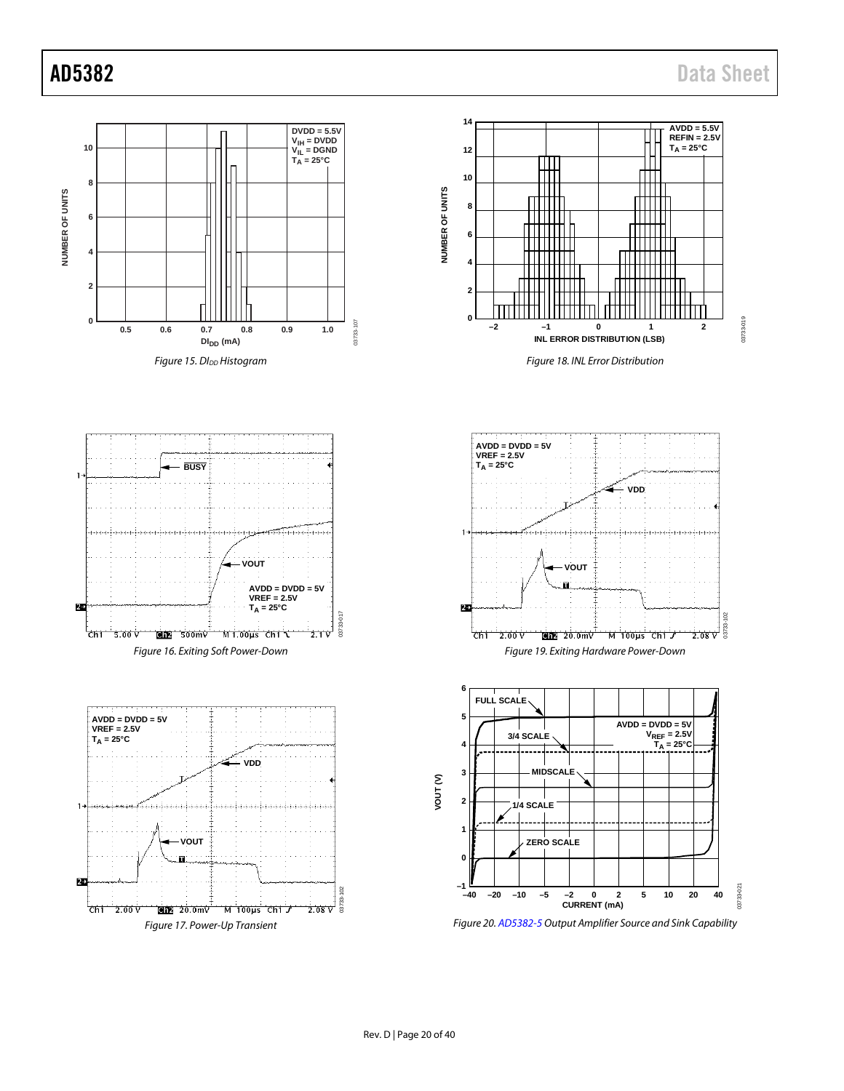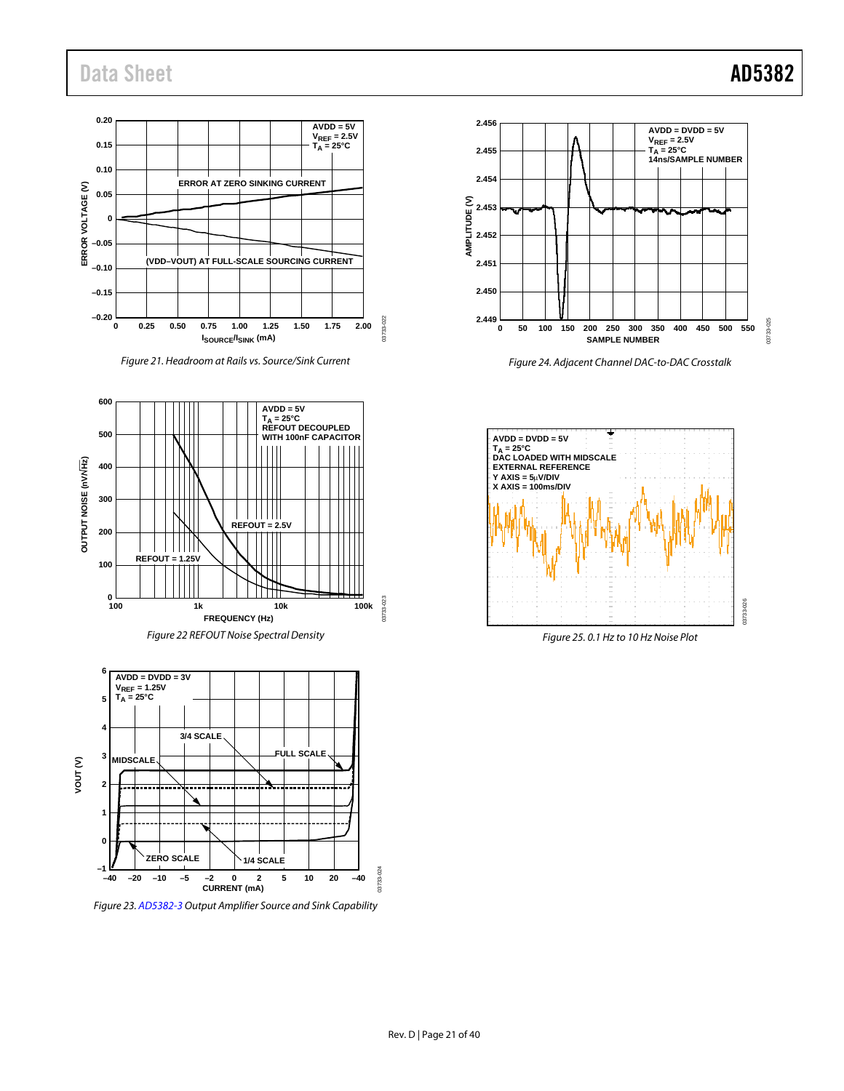# Data Sheet **AD5382**



*Figure 21. Headroom at Rails vs. Source/Sink Current*





*Figure 23[. AD5382-3](http://www.analog.com/AD5382?doc=AD5382.pdf) Output Amplifier Source and Sink Capability*



*Figure 24. Adjacent Channel DAC-to-DAC Crosstalk*



*Figure 25. 0.1 Hz to 10 Hz Noise Plot*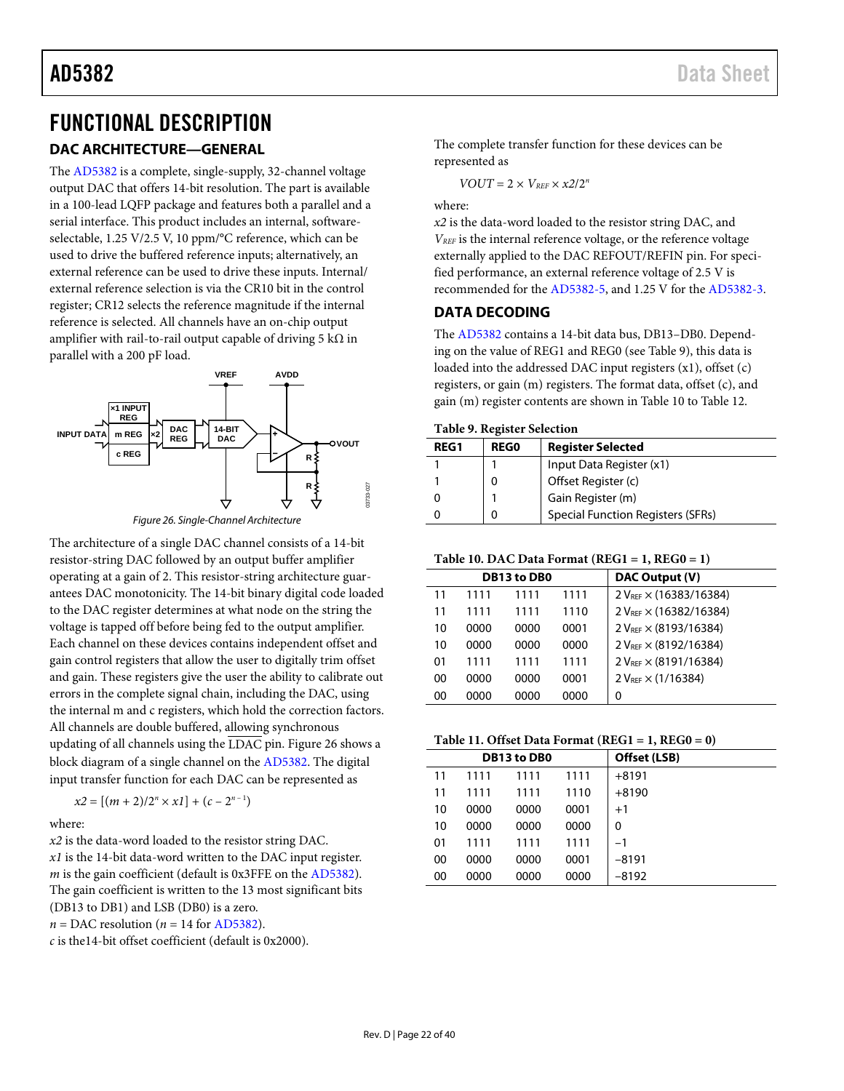# <span id="page-21-1"></span>FUNCTIONAL DESCRIPTION

# **DAC ARCHITECTURE—GENERAL**

The [AD5382](http://www.analog.com/AD5382?doc=AD5382.pdf) is a complete, single-supply, 32-channel voltage output DAC that offers 14-bit resolution. The part is available in a 100-lead LQFP package and features both a parallel and a serial interface. This product includes an internal, softwareselectable, 1.25 V/2.5 V, 10 ppm/°C reference, which can be used to drive the buffered reference inputs; alternatively, an external reference can be used to drive these inputs. Internal/ external reference selection is via the CR10 bit in the control register; CR12 selects the reference magnitude if the internal reference is selected. All channels have an on-chip output amplifier with rail-to-rail output capable of driving 5 k $\Omega$  in parallel with a 200 pF load.



*Figure 26. Single-Channel Architecture*

<span id="page-21-2"></span>The architecture of a single DAC channel consists of a 14-bit resistor-string DAC followed by an output buffer amplifier operating at a gain of 2. This resistor-string architecture guarantees DAC monotonicity. The 14-bit binary digital code loaded to the DAC register determines at what node on the string the voltage is tapped off before being fed to the output amplifier. Each channel on these devices contains independent offset and gain control registers that allow the user to digitally trim offset and gain. These registers give the user the ability to calibrate out errors in the complete signal chain, including the DAC, using the internal m and c registers, which hold the correction factors. All channels are double buffered, allowing synchronous updating of all channels using the  $\overline{\text{LDAC}}$  pin. [Figure 26](#page-21-2) shows a block diagram of a single channel on the [AD5382.](http://www.analog.com/AD5382?doc=AD5382.pdf) The digital input transfer function for each DAC can be represented as

$$
x2 = [(m + 2)/2n \times x1] + (c - 2n-1)
$$

where:

*x2* is the data-word loaded to the resistor string DAC.

*x1* is the 14-bit data-word written to the DAC input register. *m* is the gain coefficient (default is 0x3FFE on th[e AD5382\)](http://www.analog.com/AD5382?doc=AD5382.pdf). The gain coefficient is written to the 13 most significant bits (DB13 to DB1) and LSB (DB0) is a zero.  $n = DAC$  resolution ( $n = 14$  fo[r AD5382\)](http://www.analog.com/AD5382?doc=AD5382.pdf).

*c* is the14-bit offset coefficient (default is 0x2000).

The complete transfer function for these devices can be represented as

$$
VOUT=2\times V_{REF}\times x2/2^n
$$

where:

*x2* is the data-word loaded to the resistor string DAC, and *VREF* is the internal reference voltage, or the reference voltage externally applied to the DAC REFOUT/REFIN pin. For specified performance, an external reference voltage of 2.5 V is recommended for th[e AD5382-5,](http://www.analog.com/AD5382?doc=AD5382.pdf) and 1.25 V for the [AD5382-3.](http://www.analog.com/AD5382?doc=AD5382.pdf)

### <span id="page-21-0"></span>**DATA DECODING**

The [AD5382](http://www.analog.com/AD5382?doc=AD5382.pdf) contains a 14-bit data bus, DB13–DB0. Depending on the value of REG1 and REG0 (se[e Table 9\)](#page-21-3), this data is loaded into the addressed DAC input registers  $(x1)$ , offset  $(c)$ registers, or gain (m) registers. The format data, offset (c), and gain (m) register contents are shown in [Table 10](#page-21-4) to [Table 12.](#page-22-2)

<span id="page-21-3"></span>

|  |  |  | <b>Table 9. Register Selection</b> |
|--|--|--|------------------------------------|
|--|--|--|------------------------------------|

| <b>REG1</b> | <b>REGO</b> | <b>Register Selected</b>                 |
|-------------|-------------|------------------------------------------|
|             |             | Input Data Register (x1)                 |
|             |             | Offset Register (c)                      |
|             |             | Gain Register (m)                        |
|             |             | <b>Special Function Registers (SFRs)</b> |

#### <span id="page-21-4"></span>**Table 10. DAC Data Format (REG1 = 1, REG0 = 1)**

|    |      | DB13 to DB0 |      | DAC Output (V)                     |
|----|------|-------------|------|------------------------------------|
| 11 | 1111 | 1111        | 1111 | 2 V <sub>REF</sub> × (16383/16384) |
| 11 | 1111 | 1111        | 1110 | 2 VREF × (16382/16384)             |
| 10 | 0000 | 0000        | 0001 | $2 V_{REF} \times (8193/16384)$    |
| 10 | 0000 | 0000        | 0000 | $2 V_{REF} \times (8192/16384)$    |
| 01 | 1111 | 1111        | 1111 | 2 V <sub>REF</sub> × (8191/16384)  |
| 00 | 0000 | 0000        | 0001 | $2 V_{REF} \times (1/16384)$       |
| 00 | 0000 | 0000        | 0000 | 0                                  |

### **Table 11. Offset Data Format (REG1 = 1, REG0 = 0)**

|    |      | <b>DB13 to DB0</b> | Offset (LSB) |         |
|----|------|--------------------|--------------|---------|
| 11 | 1111 | 1111               | 1111         | $+8191$ |
| 11 | 1111 | 1111               | 1110         | $+8190$ |
| 10 | 0000 | 0000               | 0001         | $+1$    |
| 10 | 0000 | 0000               | 0000         | 0       |
| 01 | 1111 | 1111               | 1111         | $-1$    |
| 00 | 0000 | 0000               | 0001         | $-8191$ |
| 00 | 0000 | 0000               | 0000         | $-8192$ |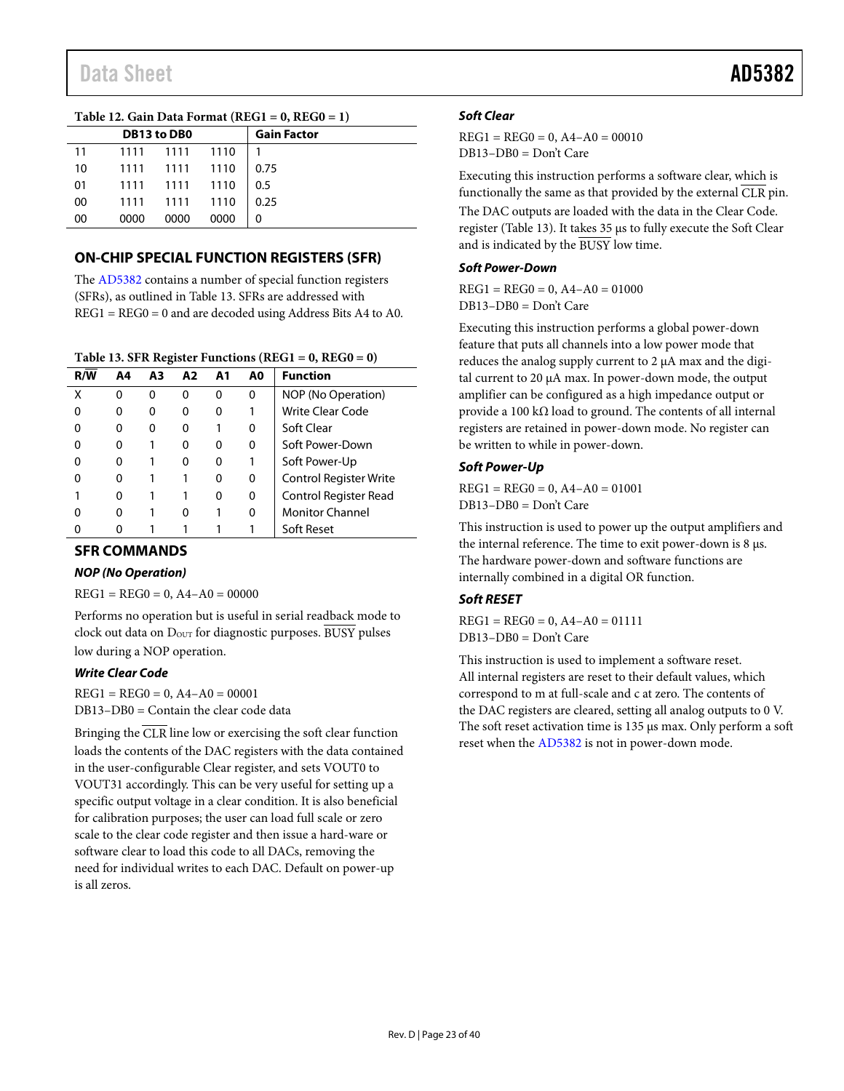### <span id="page-22-2"></span><span id="page-22-1"></span><span id="page-22-0"></span>**Table 12. Gain Data Format (REG1 = 0, REG0 = 1)**

|    |      | DB13 to DB0    |      | <b>Gain Factor</b> |  |
|----|------|----------------|------|--------------------|--|
| 11 |      | 1111 1111 1110 |      |                    |  |
| 10 |      | 1111 1111 1110 |      | $\vert 0.75$       |  |
| 01 |      | 1111 1111 1110 |      | $\vert 0.5 \vert$  |  |
| 00 |      | 1111 1111 1110 |      | 0.25               |  |
| 00 | 0000 | 0000           | 0000 |                    |  |

# **ON-CHIP SPECIAL FUNCTION REGISTERS (SFR)**

The [AD5382](http://www.analog.com/AD5382?doc=AD5382.pdf) contains a number of special function registers (SFRs), as outlined i[n Table 13.](#page-22-3) SFRs are addressed with REG1 = REG0 = 0 and are decoded using Address Bits A4 to A0.

### <span id="page-22-3"></span>**Table 13. SFR Register Functions (REG1 = 0, REG0 = 0)**

| R/W | A4 | А3 | A2 | A1 | A0 | <b>Function</b>               |
|-----|----|----|----|----|----|-------------------------------|
| χ   |    | 0  | ი  | 0  | 0  | NOP (No Operation)            |
|     | 0  | Ω  | o  | 0  |    | Write Clear Code              |
|     | 0  | 0  |    |    | 0  | Soft Clear                    |
|     | 0  |    | o  | 0  | 0  | Soft Power-Down               |
|     | 0  |    | o  | 0  |    | Soft Power-Up                 |
|     | 0  |    |    | 0  | 0  | <b>Control Register Write</b> |
|     | 0  |    |    | 0  | 0  | Control Register Read         |
|     | 0  |    | o  |    | 0  | <b>Monitor Channel</b>        |
|     |    |    |    |    |    | Soft Reset                    |

### **SFR COMMANDS**

#### *NOP (No Operation)*

 $REG1 = REG0 = 0, A4 - A0 = 00000$ 

Performs no operation but is useful in serial readback mode to clock out data on D<sub>OUT</sub> for diagnostic purposes. BUSY pulses low during a NOP operation.

#### *Write Clear Code*

 $REG1 = REG0 = 0, A4 - A0 = 00001$ DB13–DB0 = Contain the clear code data

Bringing the  $\overline{CLR}$  line low or exercising the soft clear function loads the contents of the DAC registers with the data contained in the user-configurable Clear register, and sets VOUT0 to VOUT31 accordingly. This can be very useful for setting up a specific output voltage in a clear condition. It is also beneficial for calibration purposes; the user can load full scale or zero scale to the clear code register and then issue a hard-ware or software clear to load this code to all DACs, removing the need for individual writes to each DAC. Default on power-up is all zeros.

### *Soft Clear*

 $REG1 = REG0 = 0, A4 - A0 = 00010$ DB13–DB0 = Don't Care

Executing this instruction performs a software clear, which is functionally the same as that provided by the external  $\bar{C}$ LR pin. The DAC outputs are loaded with the data in the Clear Code. register [\(Table 13\)](#page-22-3). It takes 35 µs to fully execute the Soft Clear and is indicated by the BUSY low time.

#### *Soft Power-Down*

 $REG1 = REG0 = 0, A4 - A0 = 01000$ DB13–DB0 = Don't Care

Executing this instruction performs a global power-down feature that puts all channels into a low power mode that reduces the analog supply current to 2 µA max and the digital current to 20 µA max. In power-down mode, the output amplifier can be configured as a high impedance output or provide a 100 kΩ load to ground. The contents of all internal registers are retained in power-down mode. No register can be written to while in power-down.

#### *Soft Power-Up*

 $REG1 = REG0 = 0, A4 - A0 = 01001$ DB13–DB0 = Don't Care

This instruction is used to power up the output amplifiers and the internal reference. The time to exit power-down is 8 µs. The hardware power-down and software functions are internally combined in a digital OR function.

### *Soft RESET*

 $REG1 = REG0 = 0, A4 - A0 = 01111$ DB13–DB0 = Don't Care

This instruction is used to implement a software reset. All internal registers are reset to their default values, which correspond to m at full-scale and c at zero. The contents of the DAC registers are cleared, setting all analog outputs to 0 V. The soft reset activation time is 135 µs max. Only perform a soft reset when th[e AD5382](http://www.analog.com/AD5382?doc=AD5382.pdf) is not in power-down mode.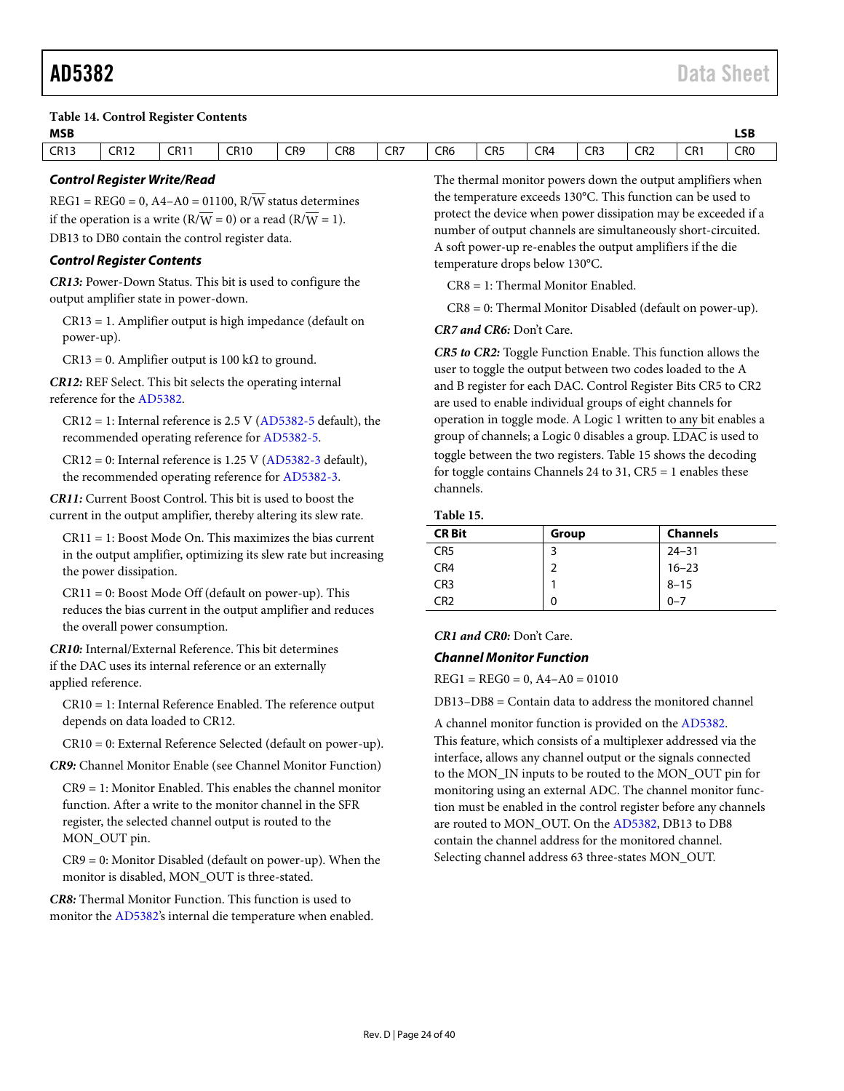<span id="page-23-2"></span>**Table 14. Control Register Contents**

| <b>MSB</b>        |             |             |               |                 |               |                 |                 |                 |     |               |                                           |                 | <b>LSB</b>      |
|-------------------|-------------|-------------|---------------|-----------------|---------------|-----------------|-----------------|-----------------|-----|---------------|-------------------------------------------|-----------------|-----------------|
| <b>CR13</b>       | <b>CR12</b> | <b>CR11</b> | CR10          | CR <sub>9</sub> | CR8           | CR <sub>7</sub> | CR <sub>6</sub> | CR <sub>5</sub> | CR4 | CR3           | CR <sub>2</sub>                           | CR <sup>1</sup> | CR <sub>0</sub> |
| $- \cdot \cdot -$ |             |             | $\sim$ $\sim$ | $\sim$ $\sim$   | $\sim$ $\sim$ |                 | $\sim$ $\sim$   | $\sim$ $\sim$   |     | $\sim$ $\sim$ | $\sim$ $\sim$ $\sim$ $\sim$ $\sim$ $\sim$ |                 | $\sim$ $\sim$   |

#### *Control Register Write/Read*

 $REG1 = REG0 = 0, A4 - A0 = 01100, R/\overline{W}$  status determines if the operation is a write  $(R/\overline{W} = 0)$  or a read  $(R/\overline{W} = 1)$ . DB13 to DB0 contain the control register data.

#### *Control Register Contents*

*CR13:* Power-Down Status. This bit is used to configure the output amplifier state in power-down.

CR13 = 1. Amplifier output is high impedance (default on power-up).

CR13 = 0. Amplifier output is 100 k $\Omega$  to ground.

*CR12:* REF Select. This bit selects the operating internal reference for the [AD5382.](http://www.analog.com/AD5382?doc=AD5382.pdf)

 $CR12 = 1$ : Internal reference is 2.5 V [\(AD5382-5](http://www.analog.com/AD5382?doc=AD5382.pdf) default), the recommended operating reference fo[r AD5382-5.](http://www.analog.com/AD5382?doc=AD5382.pdf)

 $CR12 = 0$ : Internal reference is 1.25 V [\(AD5382-3](http://www.analog.com/AD5382?doc=AD5382.pdf) default), the recommended operating reference fo[r AD5382-3.](http://www.analog.com/AD5382?doc=AD5382.pdf)

*CR11:* Current Boost Control. This bit is used to boost the current in the output amplifier, thereby altering its slew rate.

CR11 = 1: Boost Mode On. This maximizes the bias current in the output amplifier, optimizing its slew rate but increasing the power dissipation.

CR11 = 0: Boost Mode Off (default on power-up). This reduces the bias current in the output amplifier and reduces the overall power consumption.

*CR10:* Internal/External Reference. This bit determines if the DAC uses its internal reference or an externally applied reference.

CR10 = 1: Internal Reference Enabled. The reference output depends on data loaded to CR12.

CR10 = 0: External Reference Selected (default on power-up).

*CR9:* Channel Monitor Enable (see [Channel Monitor Function\)](#page-23-0)

CR9 = 1: Monitor Enabled. This enables the channel monitor function. After a write to the monitor channel in the SFR register, the selected channel output is routed to the MON\_OUT pin.

CR9 = 0: Monitor Disabled (default on power-up). When the monitor is disabled, MON\_OUT is three-stated.

*CR8:* Thermal Monitor Function. This function is used to monitor th[e AD5382's](http://www.analog.com/AD5382?doc=AD5382.pdf) internal die temperature when enabled. The thermal monitor powers down the output amplifiers when the temperature exceeds 130°C. This function can be used to protect the device when power dissipation may be exceeded if a number of output channels are simultaneously short-circuited. A soft power-up re-enables the output amplifiers if the die temperature drops below 130°C.

CR8 = 1: Thermal Monitor Enabled.

CR8 = 0: Thermal Monitor Disabled (default on power-up).

*CR7 and CR6:* Don't Care.

*CR5 to CR2:* Toggle Function Enable. This function allows the user to toggle the output between two codes loaded to the A and B register for each DAC. Control Register Bits CR5 to CR2 are used to enable individual groups of eight channels for operation in toggle mode. A Logic 1 written to any bit enables a group of channels; a Logic 0 disables a group.  $\overline{\text{LDAC}}$  is used to toggle between the two registers[. Table 15](#page-23-1) shows the decoding for toggle contains Channels 24 to 31, CR5 = 1 enables these channels.

#### <span id="page-23-1"></span>**Table 15.**

| <b>CR Bit</b>   | Group | <b>Channels</b> |
|-----------------|-------|-----------------|
| CR <sub>5</sub> | ∍     | $24 - 31$       |
| CR4             |       | $16 - 23$       |
| CR <sub>3</sub> |       | $8 - 15$        |
| CR <sub>2</sub> |       | $0 - 7$         |

#### *CR1 and CR0:* Don't Care.

#### <span id="page-23-0"></span>*Channel Monitor Function*

 $REG1 = REG0 = 0, A4 - A0 = 01010$ 

DB13–DB8 = Contain data to address the monitored channel

A channel monitor function is provided on th[e AD5382.](http://www.analog.com/AD5382?doc=AD5382.pdf) This feature, which consists of a multiplexer addressed via the interface, allows any channel output or the signals connected to the MON\_IN inputs to be routed to the MON\_OUT pin for monitoring using an external ADC. The channel monitor function must be enabled in the control register before any channels are routed to MON\_OUT. On the [AD5382,](http://www.analog.com/AD5382?doc=AD5382.pdf) DB13 to DB8 contain the channel address for the monitored channel. Selecting channel address 63 three-states MON\_OUT.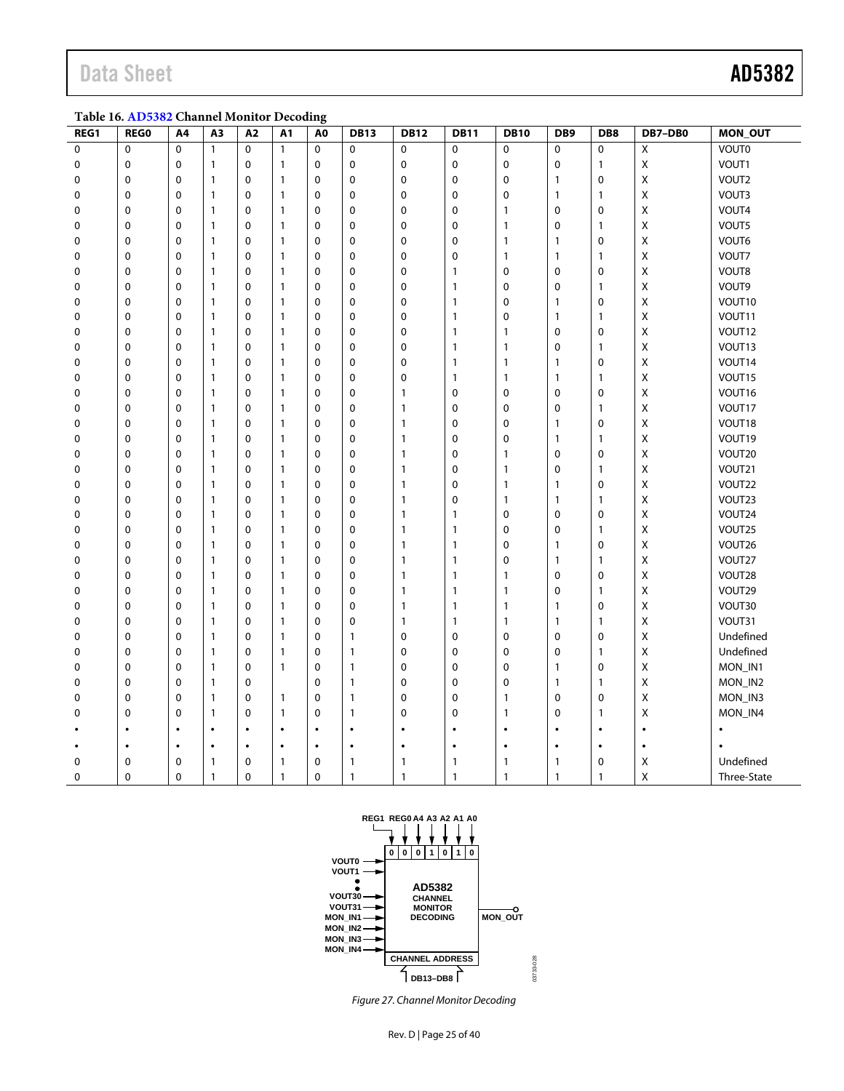# Data Sheet **AD5382**

<span id="page-24-0"></span>**Table 16[. AD5382](http://www.analog.com/AD5382?doc=AD5382.pdf) Channel Monitor Decoding**

| REG1        | <b>REGO</b> | A4          | A3           | A2          | A1           | A <sub>0</sub> | <b>DB13</b>  | <b>DB12</b>  | <b>DB11</b>  | <b>DB10</b>    | DB <sub>9</sub> | DB8          | DB7-DB0            | MON_OUT      |
|-------------|-------------|-------------|--------------|-------------|--------------|----------------|--------------|--------------|--------------|----------------|-----------------|--------------|--------------------|--------------|
| $\mathbf 0$ | $\mathbf 0$ | $\Omega$    | $\mathbf{1}$ | 0           | $\mathbf{1}$ | $\mathbf 0$    | $\mathbf 0$  | $\mathbf 0$  | $\mathbf 0$  | $\mathbf 0$    | 0               | $\mathbf 0$  | Χ                  | <b>VOUTO</b> |
| 0           | $\mathbf 0$ | $\mathbf 0$ | 1            | 0           | 1            | $\mathbf 0$    | $\mathbf 0$  | $\mathbf 0$  | $\mathbf 0$  | $\mathbf 0$    | $\pmb{0}$       | $\mathbf{1}$ | X                  | VOUT1        |
| 0           | $\pmb{0}$   | $\mathbf 0$ | 1            | 0           | $\mathbf{1}$ | $\mathbf 0$    | $\pmb{0}$    | $\pmb{0}$    | $\mathbf 0$  | $\mathbf 0$    | 1               | $\pmb{0}$    | X                  | VOUT2        |
| 0           | $\pmb{0}$   | $\mathbf 0$ | 1            | 0           | 1            | 0              | $\pmb{0}$    | $\mathbf 0$  | $\mathbf 0$  | $\mathbf 0$    | $\mathbf{1}$    | $\mathbf{1}$ | X                  | VOUT3        |
| 0           | $\pmb{0}$   | $\mathbf 0$ | 1            | 0           | 1            | $\mathbf 0$    | $\pmb{0}$    | $\pmb{0}$    | $\mathbf 0$  | $\mathbf{1}$   | $\pmb{0}$       | $\pmb{0}$    | Χ                  | VOUT4        |
| 0           | $\mathbf 0$ | $\mathbf 0$ | 1            | 0           | 1            | $\mathbf 0$    | $\mathbf 0$  | $\mathbf 0$  | $\mathbf 0$  | $\mathbf{1}$   | 0               | $\mathbf{1}$ | X                  | VOUT5        |
| 0           | 0           | $\mathbf 0$ | 1            | 0           | 1            | $\mathbf 0$    | 0            | 0            | $\mathbf 0$  | $\mathbf{1}$   | $\mathbf{1}$    | $\mathbf 0$  | X                  | VOUT6        |
| 0           | $\pmb{0}$   | $\mathbf 0$ | 1            | 0           | 1            | $\mathbf 0$    | $\pmb{0}$    | $\pmb{0}$    | $\mathbf 0$  | $\mathbf{1}$   | $\mathbf{1}$    | $\mathbf{1}$ | X                  | VOUT7        |
| 0           | $\mathbf 0$ | $\Omega$    | 1            | $\mathbf 0$ | $\mathbf{1}$ | 0              | $\mathbf 0$  | $\mathbf 0$  | $\mathbf{1}$ | $\mathbf 0$    | $\mathbf 0$     | $\mathbf 0$  | X                  | VOUT8        |
| 0           | $\mathbf 0$ | $\mathbf 0$ | 1            | $\mathbf 0$ | $\mathbf{1}$ | $\mathbf 0$    | $\mathbf 0$  | $\mathbf 0$  | $\mathbf{1}$ | $\mathbf 0$    | $\mathbf 0$     | $\mathbf{1}$ | Χ                  | VOUT9        |
| 0           | $\pmb{0}$   | $\mathbf 0$ | 1            | 0           | 1            | $\mathbf 0$    | 0            | $\pmb{0}$    | $\mathbf{1}$ | $\mathbf 0$    | $\mathbf{1}$    | $\pmb{0}$    | X                  | VOUT10       |
| 0           | $\pmb{0}$   | $\mathbf 0$ | 1            | 0           | 1            | $\mathbf 0$    | $\mathbf 0$  | $\pmb{0}$    | $\mathbf{1}$ | $\mathbf 0$    | $\mathbf{1}$    | $\mathbf{1}$ | X                  | VOUT11       |
| 0           | $\mathbf 0$ | $\Omega$    | 1            | $\mathbf 0$ | 1            | $\mathbf 0$    | $\mathbf 0$  | $\mathbf 0$  | $\mathbf{1}$ | $\mathbf{1}$   | $\pmb{0}$       | $\mathbf 0$  | Χ                  | VOUT12       |
| 0           | $\pmb{0}$   | $\mathbf 0$ | 1            | $\mathbf 0$ | 1            | $\mathbf 0$    | $\pmb{0}$    | 0            | 1            | $\mathbf{1}$   | $\pmb{0}$       | $\mathbf{1}$ | Χ                  | VOUT13       |
| 0           | $\mathbf 0$ | $\mathbf 0$ | $\mathbf{1}$ | 0           | 1            | 0              | 0            | $\mathbf 0$  | $\mathbf{1}$ | $\mathbf{1}$   | $\mathbf{1}$    | $\mathbf 0$  | Χ                  | VOUT14       |
| 0           | $\mathbf 0$ | $\mathbf 0$ | 1            | 0           | $\mathbf{1}$ | $\mathbf 0$    | $\mathbf 0$  | $\pmb{0}$    | $\mathbf{1}$ | $\mathbf{1}$   | $\mathbf{1}$    | $\mathbf{1}$ | Χ                  | VOUT15       |
| 0           | 0           | $\mathbf 0$ | 1            | 0           | 1            | $\mathbf 0$    | 0            | $\mathbf{1}$ | $\mathbf 0$  | $\mathbf 0$    | $\mathbf 0$     | $\mathbf 0$  | X                  | VOUT16       |
| 0           | $\pmb{0}$   | $\mathbf 0$ | 1            | 0           | 1            | $\mathbf 0$    | $\pmb{0}$    | 1            | $\mathbf 0$  | $\mathbf 0$    | $\pmb{0}$       | $\mathbf{1}$ | Χ                  | VOUT17       |
| 0           | $\mathbf 0$ | $\mathbf 0$ | $\mathbf{1}$ | 0           | 1            | $\mathbf 0$    | $\mathbf 0$  | $\mathbf{1}$ | $\mathbf 0$  | $\mathbf 0$    | $\mathbf{1}$    | $\mathbf 0$  | $\pmb{\mathsf{X}}$ | VOUT18       |
| 0           | $\mathbf 0$ | $\Omega$    | 1            | $\mathbf 0$ | 1            | 0              | $\mathbf 0$  | $\mathbf{1}$ | $\mathbf 0$  | $\mathbf 0$    | $\mathbf{1}$    | $\mathbf{1}$ | X                  | VOUT19       |
| 0           | $\mathbf 0$ | $\mathbf 0$ | 1            | $\mathbf 0$ | 1            | $\mathbf 0$    | $\mathbf 0$  | $\mathbf{1}$ | $\mathbf 0$  | $\mathbf{1}$   | $\pmb{0}$       | $\mathbf 0$  | Χ                  | VOUT20       |
| 0           | $\mathbf 0$ | $\mathbf 0$ | 1            | 0           | 1            | $\mathbf 0$    | 0            | $\mathbf{1}$ | $\mathbf 0$  | $\mathbf{1}$   | $\pmb{0}$       | $\mathbf{1}$ | Χ                  | VOUT21       |
| 0           | $\mathbf 0$ | $\mathbf 0$ | 1            | $\mathbf 0$ | $\mathbf{1}$ | $\mathbf 0$    | $\mathbf 0$  | $\mathbf{1}$ | $\mathbf 0$  | $\mathbf{1}$   | $\mathbf{1}$    | $\mathbf 0$  | Χ                  | VOUT22       |
| 0           | $\mathbf 0$ | $\mathbf 0$ | $\mathbf{1}$ | $\mathbf 0$ | $\mathbf{1}$ | $\mathbf 0$    | $\mathbf 0$  | $\mathbf{1}$ | $\mathbf 0$  | $\mathbf{1}$   | $\mathbf{1}$    | $\mathbf{1}$ | Χ                  | VOUT23       |
| 0           | 0           | $\mathbf 0$ | 1            | 0           | 1            | $\mathbf 0$    | 0            | $\mathbf{1}$ | $\mathbf{1}$ | $\mathbf 0$    | $\mathbf 0$     | $\mathbf 0$  | Χ                  | VOUT24       |
| 0           | 0           | $\mathbf 0$ | 1            | 0           | 1            | $\mathbf 0$    | $\mathbf 0$  | $\mathbf{1}$ | $\mathbf{1}$ | $\mathbf 0$    | $\mathbf 0$     | $\mathbf{1}$ | Χ                  | VOUT25       |
| 0           | $\pmb{0}$   | $\mathbf 0$ | 1            | 0           | 1            | $\mathbf 0$    | 0            | $\mathbf{1}$ | $\mathbf{1}$ | $\mathbf 0$    | $\mathbf{1}$    | $\pmb{0}$    | Χ                  | VOUT26       |
| 0           | 0           | $\mathbf 0$ | 1            | 0           | 1            | $\mathbf 0$    | 0            | $\mathbf{1}$ | $\mathbf{1}$ | $\mathbf 0$    | $\mathbf{1}$    | $\mathbf{1}$ | X                  | VOUT27       |
| 0           | $\pmb{0}$   | $\mathbf 0$ | 1            | 0           | 1            | $\mathbf 0$    | $\pmb{0}$    | $\mathbf{1}$ | 1            | $\mathbf{1}$   | $\pmb{0}$       | $\pmb{0}$    | $\pmb{\mathsf{X}}$ | VOUT28       |
| 0           | $\mathbf 0$ | $\mathbf 0$ | 1            | $\mathbf 0$ | $\mathbf{1}$ | $\mathbf 0$    | $\mathbf 0$  | $\mathbf{1}$ | $\mathbf{1}$ | $\overline{1}$ | $\pmb{0}$       | $\mathbf{1}$ | Χ                  | VOUT29       |
| 0           | $\Omega$    | $\Omega$    | $\mathbf{1}$ | $\mathbf 0$ | $\mathbf{1}$ | $\Omega$       | $\mathbf 0$  | $\mathbf{1}$ | $\mathbf{1}$ | $\mathbf{1}$   | $\mathbf{1}$    | $\mathbf 0$  | X                  | VOUT30       |
| $\Omega$    | $\mathbf 0$ | $\mathbf 0$ | 1            | $\mathbf 0$ | 1            | $\mathbf 0$    | $\mathbf 0$  | $\mathbf{1}$ | $\mathbf{1}$ | $\mathbf{1}$   | $\mathbf{1}$    | $\mathbf{1}$ | Χ                  | VOUT31       |
| 0           | $\mathbf 0$ | $\mathbf 0$ | 1            | $\mathbf 0$ | 1            | $\mathbf 0$    | 1            | $\mathbf 0$  | $\mathbf 0$  | $\mathbf 0$    | $\mathbf 0$     | $\mathbf 0$  | Χ                  | Undefined    |
| 0           | $\mathbf 0$ | $\mathbf 0$ | 1            | $\mathbf 0$ | $\mathbf{1}$ | $\mathbf 0$    | $\mathbf{1}$ | $\mathbf 0$  | $\mathbf 0$  | $\mathbf 0$    | $\mathbf 0$     | $\mathbf{1}$ | Χ                  | Undefined    |
| 0           | $\mathbf 0$ | $\mathbf 0$ | $\mathbf{1}$ | $\mathbf 0$ | $\mathbf{1}$ | $\mathbf 0$    | $\mathbf{1}$ | $\mathbf 0$  | $\mathbf 0$  | $\mathbf 0$    | $\mathbf{1}$    | $\mathbf 0$  | X                  | MON_IN1      |
| 0           | 0           | $\mathbf 0$ | 1            | 0           |              | $\mathbf 0$    | 1            | 0            | $\mathbf 0$  | $\mathbf 0$    | $\mathbf{1}$    | $\mathbf{1}$ | X                  | MON_IN2      |
| 0           | $\pmb{0}$   | $\mathbf 0$ | 1            | 0           | 1            | $\mathbf 0$    | 1            | 0            | $\mathbf 0$  | $\mathbf{1}$   | $\mathbf 0$     | $\mathbf 0$  | Χ                  | MON_IN3      |
| 0           | $\mathbf 0$ | 0           | 1            | 0           | 1            | $\mathbf 0$    | $\mathbf{1}$ | $\mathbf 0$  | $\mathbf 0$  | $\mathbf{1}$   | 0               | $\mathbf{1}$ | X                  | MON_IN4      |
|             | $\bullet$   | $\bullet$   | $\bullet$    | $\bullet$   | $\bullet$    | $\bullet$      | $\bullet$    | $\bullet$    | $\bullet$    | $\bullet$      | $\bullet$       | $\bullet$    | $\bullet$          |              |
|             | $\bullet$   | $\bullet$   | ٠            | $\bullet$   | $\bullet$    | ٠              | $\bullet$    | $\bullet$    | $\bullet$    | $\bullet$      | $\bullet$       | $\bullet$    | $\bullet$          |              |
| 0           | 0           | 0           | 1            | 0           | 1            | 0              | 1            | 1            | $\mathbf{1}$ | $\mathbf{1}$   | $\mathbf{1}$    | 0            | X                  | Undefined    |
| 0           | $\pmb{0}$   | $\mathbf 0$ | 1            | 0           | $\mathbf{1}$ | 0              | $\mathbf{1}$ | $\mathbf{1}$ | $\mathbf{1}$ | $\mathbf{1}$   | $\mathbf{1}$    | $\mathbf{1}$ | $\mathsf X$        | Three-State  |



*Figure 27. Channel Monitor Decoding*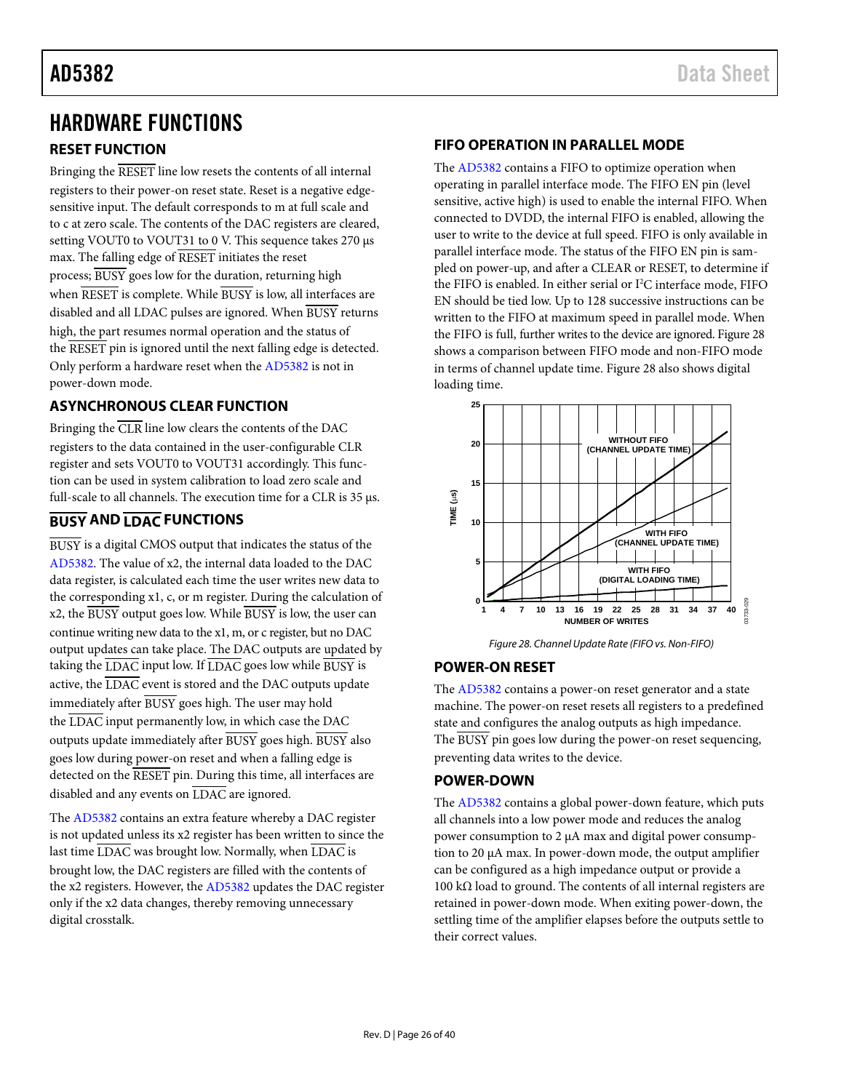# <span id="page-25-6"></span>HARDWARE FUNCTIONS

# <span id="page-25-0"></span>**RESET FUNCTION**

Bringing the RESET line low resets the contents of all internal registers to their power-on reset state. Reset is a negative edgesensitive input. The default corresponds to m at full scale and to c at zero scale. The contents of the DAC registers are cleared, setting VOUT0 to VOUT31 to 0 V. This sequence takes 270 µs max. The falling edge of RESET initiates the reset process; BUSY goes low for the duration, returning high when RESET is complete. While BUSY is low, all interfaces are disabled and all LDAC pulses are ignored. When BUSY returns high, the part resumes normal operation and the status of the RESET pin is ignored until the next falling edge is detected. Only perform a hardware reset when the [AD5382](http://www.analog.com/AD5382?doc=AD5382.pdf) is not in power-down mode.

# <span id="page-25-1"></span>**ASYNCHRONOUS CLEAR FUNCTION**

Bringing the  $\overline{CLR}$  line low clears the contents of the DAC registers to the data contained in the user-configurable CLR register and sets VOUT0 to VOUT31 accordingly. This function can be used in system calibration to load zero scale and full-scale to all channels. The execution time for a CLR is 35 µs.

# <span id="page-25-2"></span>**BUSY AND LDAC FUNCTIONS**

BUSY is a digital CMOS output that indicates the status of the [AD5382.](http://www.analog.com/AD5382?doc=AD5382.pdf) The value of x2, the internal data loaded to the DAC data register, is calculated each time the user writes new data to the corresponding x1, c, or m register. During the calculation of x2, the BUSY output goes low. While BUSY is low, the user can continue writing new data to the x1, m, or c register, but no DAC output updates can take place. The DAC outputs are updated by taking the  $\overline{\text{LDAC}}$  input low. If  $\overline{\text{LDAC}}$  goes low while  $\overline{\text{BUSY}}$  is active, the  $\overline{\text{LDAC}}$  event is stored and the DAC outputs update immediately after BUSY goes high. The user may hold the LDAC input permanently low, in which case the DAC outputs update immediately after BUSY goes high. BUSY also goes low during power-on reset and when a falling edge is detected on the RESET pin. During this time, all interfaces are disabled and any events on LDAC are ignored.

The [AD5382](http://www.analog.com/AD5382?doc=AD5382.pdf) contains an extra feature whereby a DAC register is not updated unless its x2 register has been written to since the last time  $\overline{\text{LDAC}}$  was brought low. Normally, when  $\overline{\text{LDAC}}$  is brought low, the DAC registers are filled with the contents of the x2 registers. However, th[e AD5382](http://www.analog.com/AD5382?doc=AD5382.pdf) updates the DAC register only if the x2 data changes, thereby removing unnecessary digital crosstalk.

# <span id="page-25-3"></span>**FIFO OPERATION IN PARALLEL MODE**

The [AD5382](http://www.analog.com/AD5382?doc=AD5382.pdf) contains a FIFO to optimize operation when operating in parallel interface mode. The FIFO EN pin (level sensitive, active high) is used to enable the internal FIFO. When connected to DVDD, the internal FIFO is enabled, allowing the user to write to the device at full speed. FIFO is only available in parallel interface mode. The status of the FIFO EN pin is sampled on power-up, and after a CLEAR or RESET, to determine if the FIFO is enabled. In either serial or I<sup>2</sup>C interface mode, FIFO EN should be tied low. Up to 128 successive instructions can be written to the FIFO at maximum speed in parallel mode. When the FIFO is full, further writes to the device are ignored[. Figure 28](#page-25-7) shows a comparison between FIFO mode and non-FIFO mode in terms of channel update time. [Figure 28](#page-25-7) also shows digital loading time.



*Figure 28. Channel Update Rate (FIFO vs. Non-FIFO)*

# <span id="page-25-7"></span><span id="page-25-4"></span>**POWER-ON RESET**

The [AD5382](http://www.analog.com/AD5382?doc=AD5382.pdf) contains a power-on reset generator and a state machine. The power-on reset resets all registers to a predefined state and configures the analog outputs as high impedance. The BUSY pin goes low during the power-on reset sequencing, preventing data writes to the device.

# <span id="page-25-5"></span>**POWER-DOWN**

The [AD5382](http://www.analog.com/AD5382?doc=AD5382.pdf) contains a global power-down feature, which puts all channels into a low power mode and reduces the analog power consumption to 2 µA max and digital power consumption to 20 µA max. In power-down mode, the output amplifier can be configured as a high impedance output or provide a 100 kΩ load to ground. The contents of all internal registers are retained in power-down mode. When exiting power-down, the settling time of the amplifier elapses before the outputs settle to their correct values.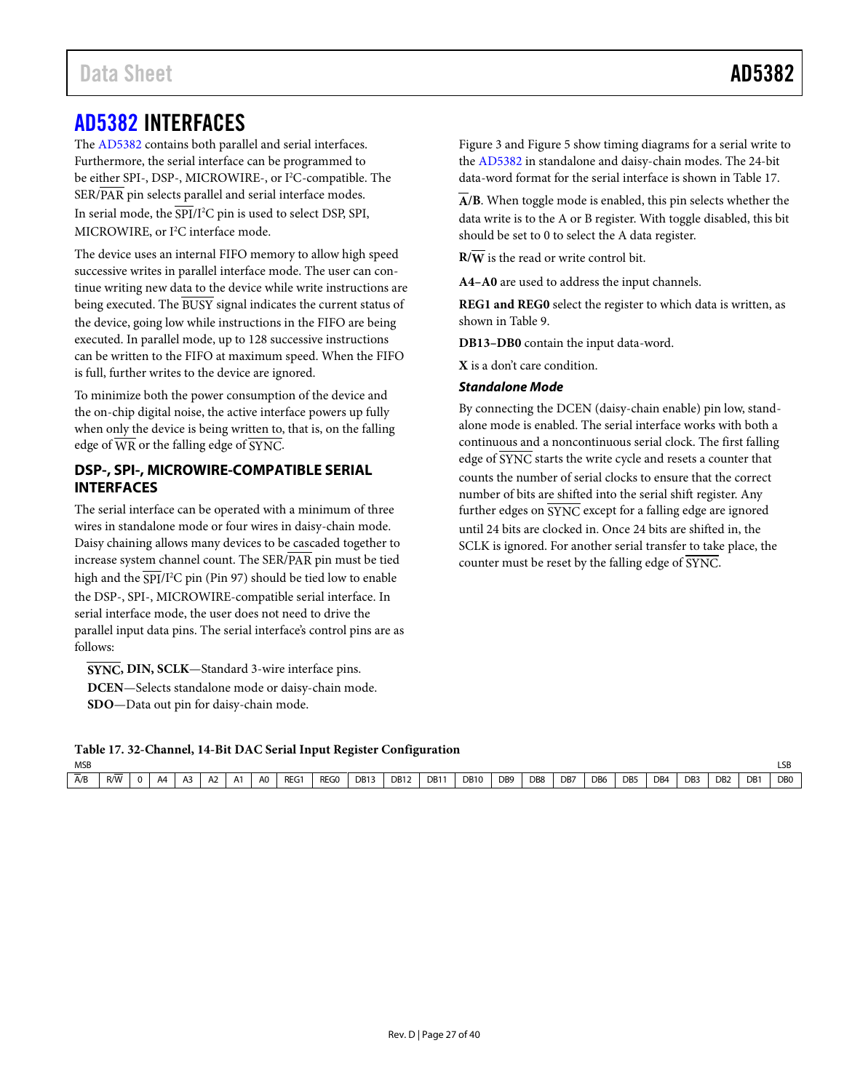<span id="page-26-1"></span>The [AD5382](http://www.analog.com/AD5382?doc=AD5382.pdf) contains both parallel and serial interfaces. Furthermore, the serial interface can be programmed to be either SPI-, DSP-, MICROWIRE-, or I<sup>2</sup>C-compatible. The SER/PAR pin selects parallel and serial interface modes. In serial mode, the SPI/I<sup>2</sup>C pin is used to select DSP, SPI, MICROWIRE, or I<sup>2</sup>C interface mode.

The device uses an internal FIFO memory to allow high speed successive writes in parallel interface mode. The user can continue writing new data to the device while write instructions are being executed. The BUSY signal indicates the current status of the device, going low while instructions in the FIFO are being executed. In parallel mode, up to 128 successive instructions can be written to the FIFO at maximum speed. When the FIFO is full, further writes to the device are ignored.

To minimize both the power consumption of the device and the on-chip digital noise, the active interface powers up fully when only the device is being written to, that is, on the falling edge of  $\overline{WR}$  or the falling edge of SYNC.

# <span id="page-26-0"></span>**DSP-, SPI-, MICROWIRE-COMPATIBLE SERIAL INTERFACES**

The serial interface can be operated with a minimum of three wires in standalone mode or four wires in daisy-chain mode. Daisy chaining allows many devices to be cascaded together to increase system channel count. The SER/PAR pin must be tied high and the SPI/I<sup>2</sup>C pin (Pin 97) should be tied low to enable the DSP-, SPI-, MICROWIRE-compatible serial interface. In serial interface mode, the user does not need to drive the parallel input data pins. The serial interface's control pins are as follows:

**SYNC, DIN, SCLK**—Standard 3-wire interface pins. **DCEN**—Selects standalone mode or daisy-chain mode. **SDO**—Data out pin for daisy-chain mode.

[Figure 3](#page-9-1) and [Figure 5](#page-10-1) show timing diagrams for a serial write to the [AD5382](http://www.analog.com/AD5382?doc=AD5382.pdf) in standalone and daisy-chain modes. The 24-bit data-word format for the serial interface is shown i[n Table 17.](#page-26-2)

**A/B**. When toggle mode is enabled, this pin selects whether the data write is to the A or B register. With toggle disabled, this bit should be set to 0 to select the A data register.

 $R/\overline{W}$  is the read or write control bit.

**A4–A0** are used to address the input channels.

**REG1 and REG0** select the register to which data is written, as shown in [Table 9.](#page-21-3)

**DB13–DB0** contain the input data-word.

**X** is a don't care condition.

#### *Standalone Mode*

By connecting the DCEN (daisy-chain enable) pin low, standalone mode is enabled. The serial interface works with both a continuous and a noncontinuous serial clock. The first falling edge of SYNC starts the write cycle and resets a counter that counts the number of serial clocks to ensure that the correct number of bits are shifted into the serial shift register. Any further edges on SYNC except for a falling edge are ignored until 24 bits are clocked in. Once 24 bits are shifted in, the SCLK is ignored. For another serial transfer to take place, the counter must be reset by the falling edge of SYNC.

<span id="page-26-2"></span>**Table 17. 32-Channel, 14-Bit DAC Serial Input Register Configuration**

| <b>MSB</b> |     |          |    |    |         |                |            |      |      |             |     |             |                 |     |     |     |                 |     |                 |                 |     | LSP            |
|------------|-----|----------|----|----|---------|----------------|------------|------|------|-------------|-----|-------------|-----------------|-----|-----|-----|-----------------|-----|-----------------|-----------------|-----|----------------|
| A/B        | R/W | $\Omega$ | A4 | A3 | ^<br>nΖ | A <sub>0</sub> | <b>REG</b> | REG0 | DB13 | <b>DB12</b> | DB1 | <b>DB10</b> | DB <sub>9</sub> | DB8 | DB7 | DB6 | DB <sub>5</sub> | DB4 | DB <sub>3</sub> | D <sub>B2</sub> | DB1 | D <sub>B</sub> |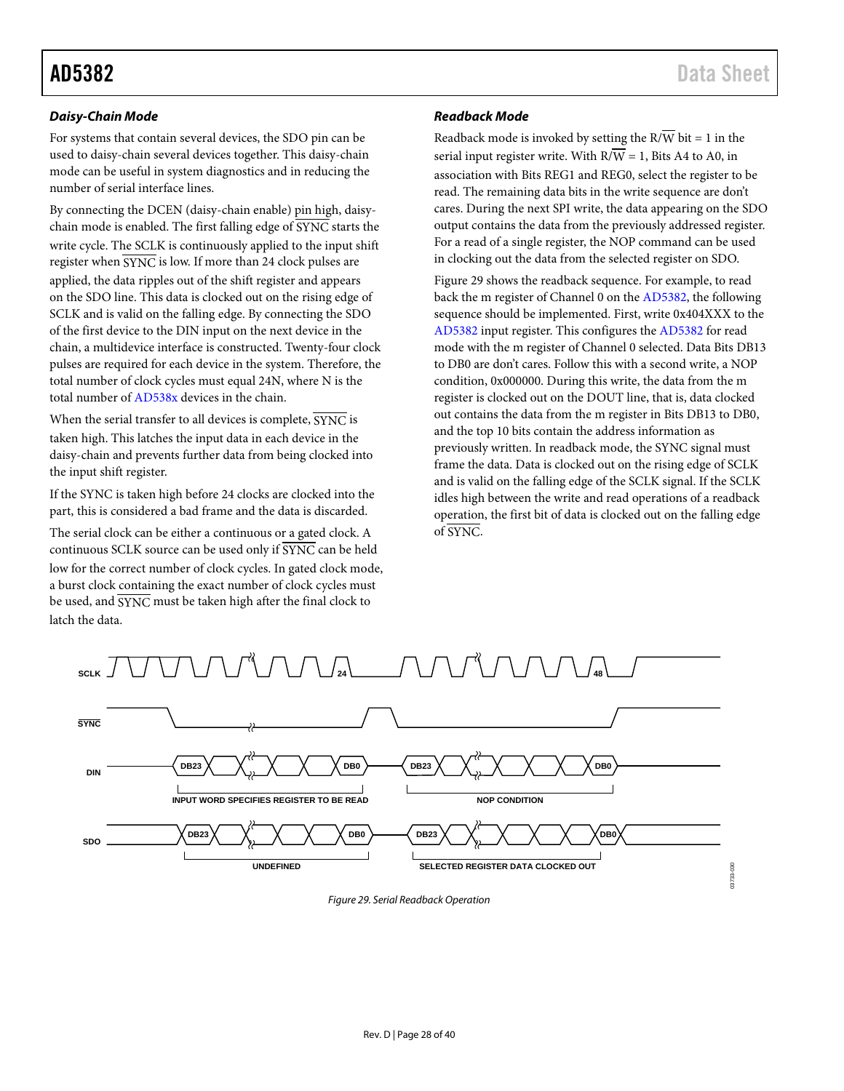### *Daisy-Chain Mode*

For systems that contain several devices, the SDO pin can be used to daisy-chain several devices together. This daisy-chain mode can be useful in system diagnostics and in reducing the number of serial interface lines.

By connecting the DCEN (daisy-chain enable) pin high, daisychain mode is enabled. The first falling edge of  $\overline{\text{SYNC}}$  starts the write cycle. The SCLK is continuously applied to the input shift register when SYNC is low. If more than 24 clock pulses are applied, the data ripples out of the shift register and appears on the SDO line. This data is clocked out on the rising edge of SCLK and is valid on the falling edge. By connecting the SDO of the first device to the DIN input on the next device in the chain, a multidevice interface is constructed. Twenty-four clock pulses are required for each device in the system. Therefore, the total number of clock cycles must equal 24N, where N is the total number o[f AD538x](http://www.analog.com/AD538?doc=AD5382.pdf) devices in the chain.

When the serial transfer to all devices is complete,  $\overline{\text{SYNC}}$  is taken high. This latches the input data in each device in the daisy-chain and prevents further data from being clocked into the input shift register.

If the SYNC is taken high before 24 clocks are clocked into the part, this is considered a bad frame and the data is discarded.

The serial clock can be either a continuous or a gated clock. A continuous SCLK source can be used only if SYNC can be held low for the correct number of clock cycles. In gated clock mode, a burst clock containing the exact number of clock cycles must be used, and SYNC must be taken high after the final clock to latch the data.

## *Readback Mode*

Readback mode is invoked by setting the  $R/\overline{W}$  bit = 1 in the serial input register write. With  $R/\overline{W} = 1$ , Bits A4 to A0, in association with Bits REG1 and REG0, select the register to be read. The remaining data bits in the write sequence are don't cares. During the next SPI write, the data appearing on the SDO output contains the data from the previously addressed register. For a read of a single register, the NOP command can be used in clocking out the data from the selected register on SDO.

[Figure 29](#page-27-0) shows the readback sequence. For example, to read back the m register of Channel 0 on th[e AD5382,](http://www.analog.com/AD5382?doc=AD5382.pdf) the following sequence should be implemented. First, write 0x404XXX to the [AD5382](http://www.analog.com/AD5382?doc=AD5382.pdf) input register. This configures th[e AD5382](http://www.analog.com/AD5382?doc=AD5382.pdf) for read mode with the m register of Channel 0 selected. Data Bits DB13 to DB0 are don't cares. Follow this with a second write, a NOP condition, 0x000000. During this write, the data from the m register is clocked out on the DOUT line, that is, data clocked out contains the data from the m register in Bits DB13 to DB0, and the top 10 bits contain the address information as previously written. In readback mode, the SYNC signal must frame the data. Data is clocked out on the rising edge of SCLK and is valid on the falling edge of the SCLK signal. If the SCLK idles high between the write and read operations of a readback operation, the first bit of data is clocked out on the falling edge of SYNC.

<span id="page-27-0"></span>

*Figure 29. Serial Readback Operation*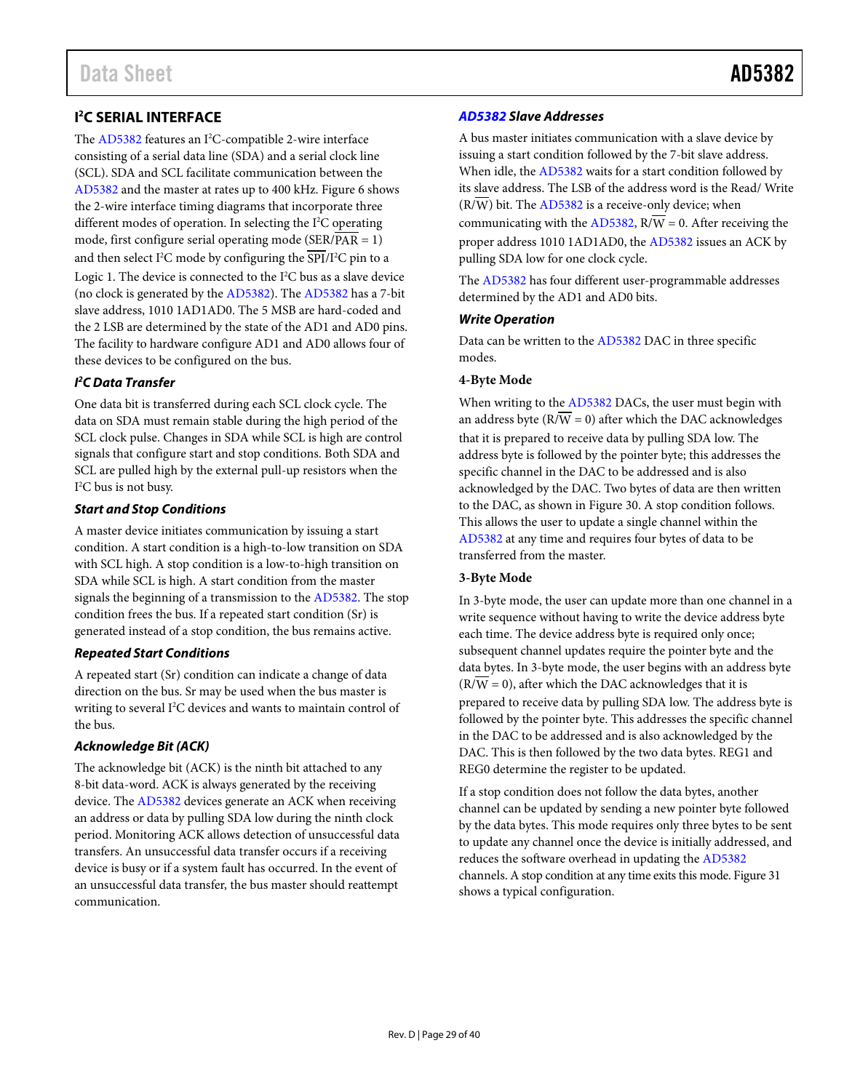<span id="page-28-0"></span>The [AD5382](http://www.analog.com/AD5382?doc=AD5382.pdf) features an I<sup>2</sup>C-compatible 2-wire interface consisting of a serial data line (SDA) and a serial clock line (SCL). SDA and SCL facilitate communication between the [AD5382](http://www.analog.com/AD5382?doc=AD5382.pdf) and the master at rates up to 400 kHz[. Figure 6](#page-11-1) shows the 2-wire interface timing diagrams that incorporate three different modes of operation. In selecting the I<sup>2</sup>C operating mode, first configure serial operating mode (SER/PAR = 1) and then select I<sup>2</sup>C mode by configuring the SPI/I<sup>2</sup>C pin to a Logic 1. The device is connected to the  $I^2C$  bus as a slave device (no clock is generated by th[e AD5382\)](http://www.analog.com/AD5382?doc=AD5382.pdf). The [AD5382](http://www.analog.com/AD5382?doc=AD5382.pdf) has a 7-bit slave address, 1010 1AD1AD0. The 5 MSB are hard-coded and the 2 LSB are determined by the state of the AD1 and AD0 pins. The facility to hardware configure AD1 and AD0 allows four of these devices to be configured on the bus.

## *I 2 C Data Transfer*

One data bit is transferred during each SCL clock cycle. The data on SDA must remain stable during the high period of the SCL clock pulse. Changes in SDA while SCL is high are control signals that configure start and stop conditions. Both SDA and SCL are pulled high by the external pull-up resistors when the I 2 C bus is not busy.

## *Start and Stop Conditions*

A master device initiates communication by issuing a start condition. A start condition is a high-to-low transition on SDA with SCL high. A stop condition is a low-to-high transition on SDA while SCL is high. A start condition from the master signals the beginning of a transmission to th[e AD5382.](http://www.analog.com/AD5382?doc=AD5382.pdf) The stop condition frees the bus. If a repeated start condition (Sr) is generated instead of a stop condition, the bus remains active.

## *Repeated Start Conditions*

A repeated start (Sr) condition can indicate a change of data direction on the bus. Sr may be used when the bus master is writing to several I<sup>2</sup>C devices and wants to maintain control of the bus.

# *Acknowledge Bit (ACK)*

The acknowledge bit (ACK) is the ninth bit attached to any 8-bit data-word. ACK is always generated by the receiving device. Th[e AD5382](http://www.analog.com/AD5382?doc=AD5382.pdf) devices generate an ACK when receiving an address or data by pulling SDA low during the ninth clock period. Monitoring ACK allows detection of unsuccessful data transfers. An unsuccessful data transfer occurs if a receiving device is busy or if a system fault has occurred. In the event of an unsuccessful data transfer, the bus master should reattempt communication.

# *[AD5382](http://www.analog.com/AD5382?doc=AD5382.pdf) Slave Addresses*

A bus master initiates communication with a slave device by issuing a start condition followed by the 7-bit slave address. When idle, the [AD5382](http://www.analog.com/AD5382?doc=AD5382.pdf) waits for a start condition followed by its slave address. The LSB of the address word is the Read/ Write  $(R/\overline{W})$  bit. Th[e AD5382](http://www.analog.com/AD5382?doc=AD5382.pdf) is a receive-only device; when communicating with th[e AD5382,](http://www.analog.com/AD538?doc=AD5382.pdf)  $R/\overline{W} = 0$ . After receiving the proper address 1010 1AD1AD0, the [AD5382](http://www.analog.com/AD5382?doc=AD5382.pdf) issues an ACK by pulling SDA low for one clock cycle.

The [AD5382](http://www.analog.com/AD5382?doc=AD5382.pdf) has four different user-programmable addresses determined by the AD1 and AD0 bits.

# *Write Operation*

Data can be written to th[e AD5382](http://www.analog.com/AD538?doc=AD5382.pdf) DAC in three specific modes.

# **4-Byte Mode**

When writing to th[e AD5382](http://www.analog.com/AD5382?doc=AD5382.pdf) DACs, the user must begin with an address byte ( $R/\overline{W} = 0$ ) after which the DAC acknowledges that it is prepared to receive data by pulling SDA low. The address byte is followed by the pointer byte; this addresses the specific channel in the DAC to be addressed and is also acknowledged by the DAC. Two bytes of data are then written to the DAC, as shown i[n Figure 30.](#page-29-0) A stop condition follows. This allows the user to update a single channel within the [AD5382](http://www.analog.com/AD5382?doc=AD5382.pdf) at any time and requires four bytes of data to be transferred from the master.

## **3-Byte Mode**

In 3-byte mode, the user can update more than one channel in a write sequence without having to write the device address byte each time. The device address byte is required only once; subsequent channel updates require the pointer byte and the data bytes. In 3-byte mode, the user begins with an address byte  $(R/\overline{W} = 0)$ , after which the DAC acknowledges that it is prepared to receive data by pulling SDA low. The address byte is followed by the pointer byte. This addresses the specific channel in the DAC to be addressed and is also acknowledged by the DAC. This is then followed by the two data bytes. REG1 and REG0 determine the register to be updated.

If a stop condition does not follow the data bytes, another channel can be updated by sending a new pointer byte followed by the data bytes. This mode requires only three bytes to be sent to update any channel once the device is initially addressed, and reduces the software overhead in updating the [AD5382](http://www.analog.com/AD5382?doc=AD5382.pdf) channels. A stop condition at any time exits this mode[. Figure 31](#page-29-1) shows a typical configuration.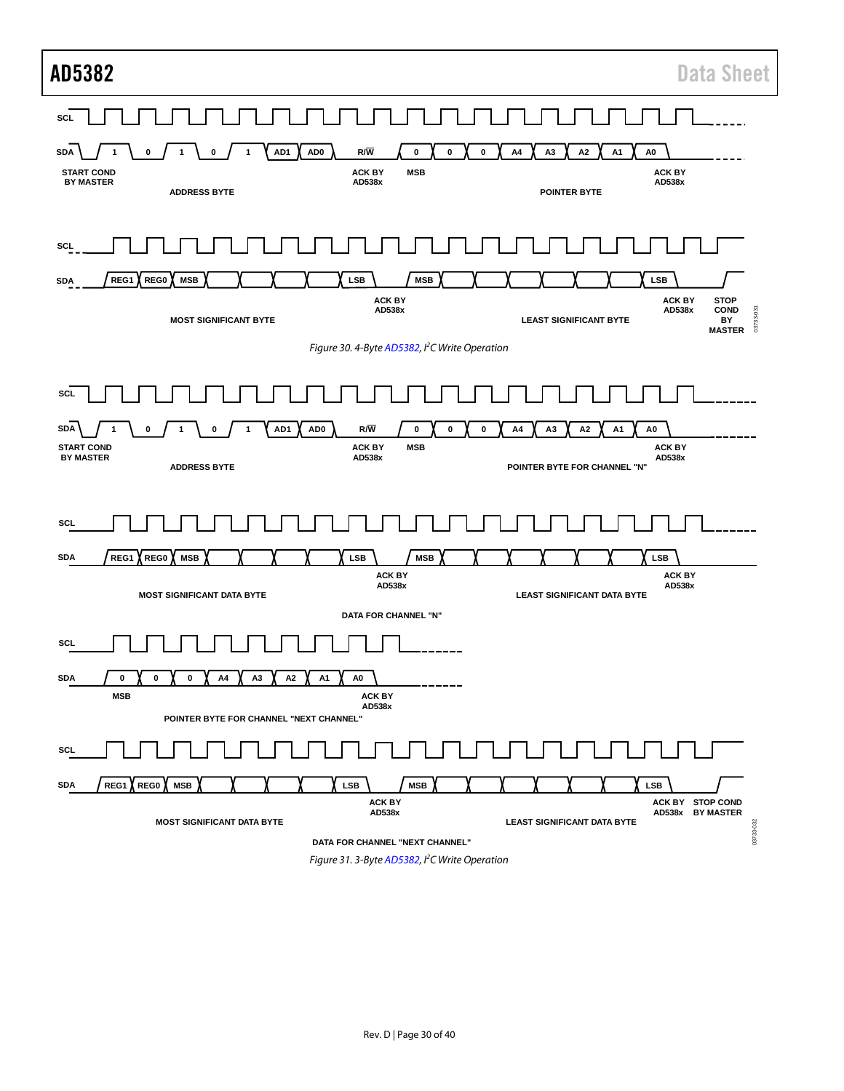<span id="page-29-0"></span>

| AD5382<br><b>Data Sheet</b>                                                                                                                                                                                                                                                                                                                             |  |
|---------------------------------------------------------------------------------------------------------------------------------------------------------------------------------------------------------------------------------------------------------------------------------------------------------------------------------------------------------|--|
| SCL<br>AD <sub>0</sub><br>R/W<br>AD1<br>0<br>$\pmb{0}$<br>0<br>A <sub>3</sub><br>A <sub>2</sub><br>A <sub>1</sub><br>A <sub>0</sub><br><b>SDA</b><br>0<br>A4<br>0<br><b>ACK BY</b><br><b>START COND</b><br><b>ACK BY</b><br><b>MSB</b><br><b>BY MASTER</b><br>AD538x<br>AD538x<br><b>ADDRESS BYTE</b><br><b>POINTER BYTE</b>                            |  |
| <b>SCL</b><br><b>LSB</b><br><b>MSB</b><br><b>LSB</b><br>REG1<br>REG0<br><b>MSB</b><br><b>SDA</b><br><b>ACK BY</b><br><b>ACK BY</b><br><b>STOP</b><br>AD538x<br>AD538x<br><b>COND</b><br>03733-031<br><b>MOST SIGNIFICANT BYTE</b><br><b>LEAST SIGNIFICANT BYTE</b><br>BY<br><b>MASTER</b><br>Figure 30. 4-Byte AD5382, I <sup>2</sup> C Write Operation |  |
| <b>SCL</b><br>$R/\overline{W}$<br>AD1<br>AD <sub>0</sub><br>$\pmb{0}$<br><b>SDA</b><br>0<br>0<br>A4<br>А3<br>А2<br>A1<br>A0<br>0<br>0<br><b>ACK BY</b><br><b>START COND</b><br><b>ACK BY</b><br><b>MSB</b><br><b>BY MASTER</b><br>AD538x<br>AD538x<br><b>ADDRESS BYTE</b><br>POINTER BYTE FOR CHANNEL "N"                                               |  |
| <b>SCL</b><br><b>LSB</b><br><b>LSB</b><br><b>SDA</b><br>REG1<br>REG0<br><b>MSB</b><br><b>MSB</b><br><b>ACK BY</b><br><b>ACK BY</b><br>AD538x<br>AD538x<br><b>MOST SIGNIFICANT DATA BYTE</b><br><b>LEAST SIGNIFICANT DATA BYTE</b><br>DATA FOR CHANNEL "N"                                                                                               |  |
| SCL<br><b>SDA</b><br>$\pmb{0}$<br>A1<br>$\mathbf 0$<br>0<br>A4<br>A3<br>A2<br>A0<br><b>MSB</b><br><b>ACK BY</b><br>AD538x<br>POINTER BYTE FOR CHANNEL "NEXT CHANNEL"                                                                                                                                                                                    |  |
| SCL<br><b>SDA</b><br>REG1<br>REG0<br><b>MSB</b><br><b>LSB</b><br><b>MSB</b><br><b>LSB</b><br><b>ACK BY</b><br>ACK BY STOP COND<br>AD538x<br>AD538x BY MASTER<br><b>MOST SIGNIFICANT DATA BYTE</b><br><b>LEAST SIGNIFICANT DATA BYTE</b><br>03733-032<br>DATA FOR CHANNEL "NEXT CHANNEL"                                                                 |  |

<span id="page-29-1"></span>*Figure 31. 3-Byt[e AD5382,](http://www.analog.com/AD5382?doc=AD5382.pdf) I 2 C Write Operation*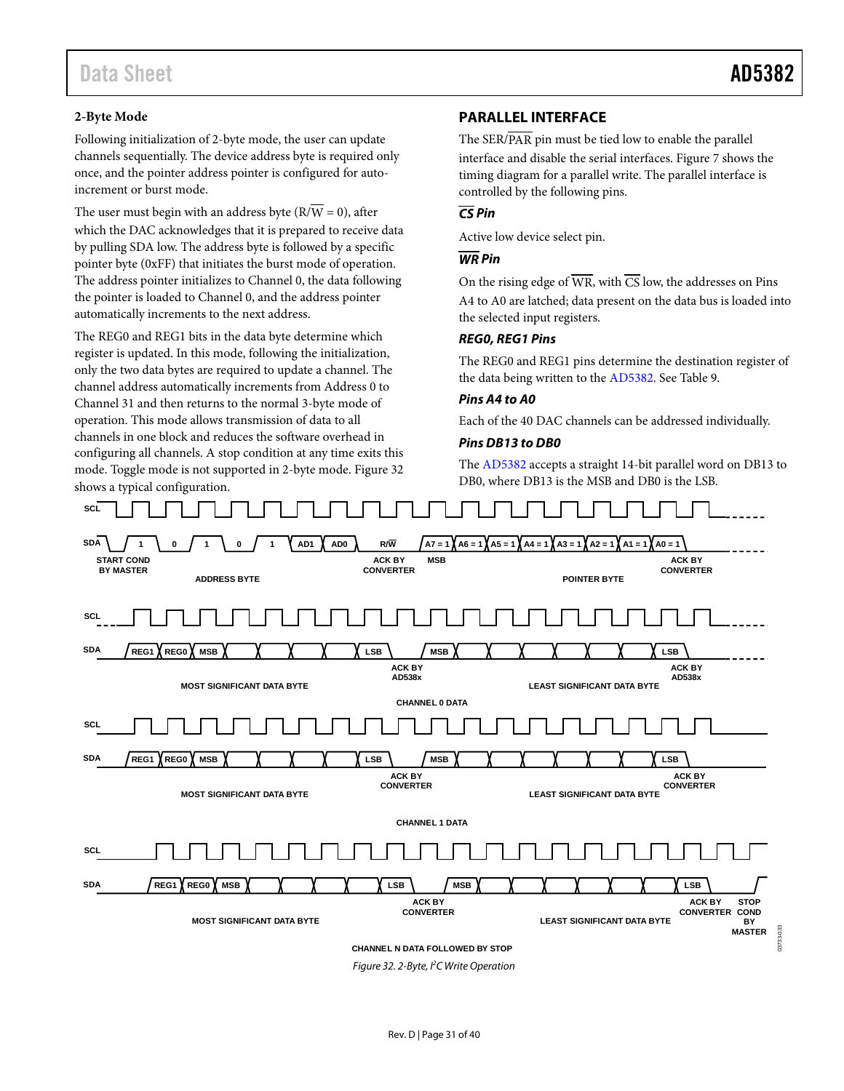03733-033

## <span id="page-30-0"></span>**2-Byte Mode**

Following initialization of 2-byte mode, the user can update channels sequentially. The device address byte is required only once, and the pointer address pointer is configured for autoincrement or burst mode.

The user must begin with an address byte ( $\overline{RVW} = 0$ ), after which the DAC acknowledges that it is prepared to receive data by pulling SDA low. The address byte is followed by a specific pointer byte (0xFF) that initiates the burst mode of operation. The address pointer initializes to Channel 0, the data following the pointer is loaded to Channel 0, and the address pointer automatically increments to the next address.

The REG0 and REG1 bits in the data byte determine which register is updated. In this mode, following the initialization, only the two data bytes are required to update a channel. The channel address automatically increments from Address 0 to Channel 31 and then returns to the normal 3-byte mode of operation. This mode allows transmission of data to all channels in one block and reduces the software overhead in configuring all channels. A stop condition at any time exits this mode. Toggle mode is not supported in 2-byte mode. [Figure](#page-30-1) 32 shows a typical configuration.

## **PARALLEL INTERFACE**

The SER/PAR pin must be tied low to enable the parallel interface and disable the serial interfaces[. Figure 7](#page-12-0) shows the timing diagram for a parallel write. The parallel interface is controlled by the following pins.

# *CS Pin*

Active low device select pin.

### *WR Pin*

On the rising edge of  $\overline{WR}$ , with  $\overline{CS}$  low, the addresses on Pins A4 to A0 are latched; data present on the data bus is loaded into the selected input registers.

### *REG0, REG1 Pins*

The REG0 and REG1 pins determine the destination register of the data being written to th[e AD5382.](http://www.analog.com/AD5382?doc=AD5382.pdf) Se[e Table 9.](#page-21-3)

#### *Pins A4 to A0*

Each of the 40 DAC channels can be addressed individually.

#### *Pins DB13 to DB0*

The [AD5382](http://www.analog.com/AD5382?doc=AD5382.pdf) accepts a straight 14-bit parallel word on DB13 to DB0, where DB13 is the MSB and DB0 is the LSB.



<span id="page-30-1"></span>*Figure 32. 2-Byte, I2 C Write Operation*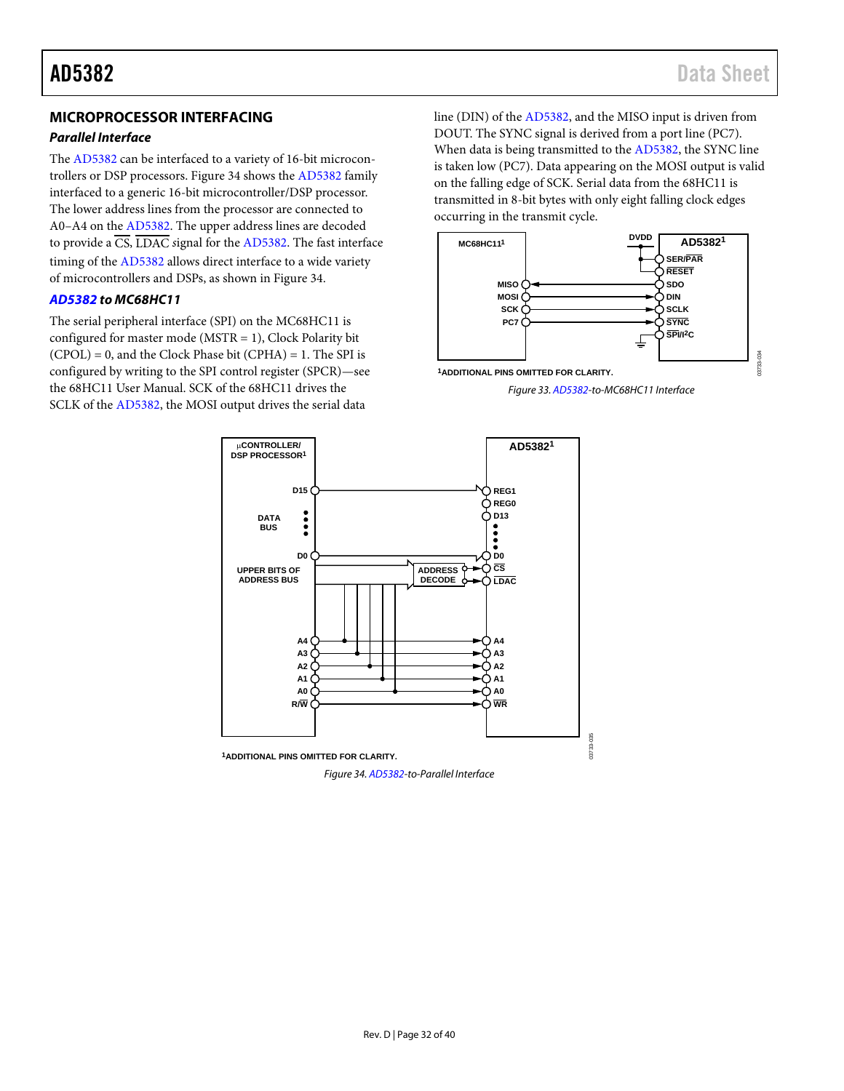# <span id="page-31-0"></span>**MICROPROCESSOR INTERFACING**

#### *Parallel Interface*

The [AD5382](http://www.analog.com/AD5382?doc=AD5382.pdf) can be interfaced to a variety of 16-bit microcontrollers or DSP processors[. Figure 34](#page-31-1) shows the [AD5382](http://www.analog.com/AD5382?doc=AD5382.pdf) family interfaced to a generic 16-bit microcontroller/DSP processor. The lower address lines from the processor are connected to A0–A4 on th[e AD5382.](http://www.analog.com/AD5382?doc=AD5382.pdf) The upper address lines are decoded to provide a CS, LDAC *s*ignal for th[e AD5382.](http://www.analog.com/AD5382?doc=AD5382.pdf) The fast interface timing of th[e AD5382](http://www.analog.com/AD5382?doc=AD5382.pdf) allows direct interface to a wide variety of microcontrollers and DSPs, as shown i[n Figure 34.](#page-31-1) 

#### *[AD5382](http://www.analog.com/AD5382?doc=AD5382.pdf) to MC68HC11*

The serial peripheral interface (SPI) on the MC68HC11 is configured for master mode ( $MSTR = 1$ ), Clock Polarity bit (CPOL) = 0, and the Clock Phase bit (CPHA) = 1. The SPI is configured by writing to the SPI control register (SPCR)—see the 68HC11 User Manual. SCK of the 68HC11 drives the SCLK of th[e AD5382,](http://www.analog.com/AD5382?doc=AD5382.pdf) the MOSI output drives the serial data

line (DIN) of the [AD5382,](http://www.analog.com/AD5382?doc=AD5382.pdf) and the MISO input is driven from DOUT. The SYNC signal is derived from a port line (PC7). When data is being transmitted to th[e AD5382,](http://www.analog.com/AD5382?doc=AD5382.pdf) the SYNC line is taken low (PC7). Data appearing on the MOSI output is valid on the falling edge of SCK. Serial data from the 68HC11 is transmitted in 8-bit bytes with only eight falling clock edges occurring in the transmit cycle.







<span id="page-31-1"></span>*Figure 34[. AD5382-t](http://www.analog.com/AD5382?doc=AD5382.pdf)o-Parallel Interface*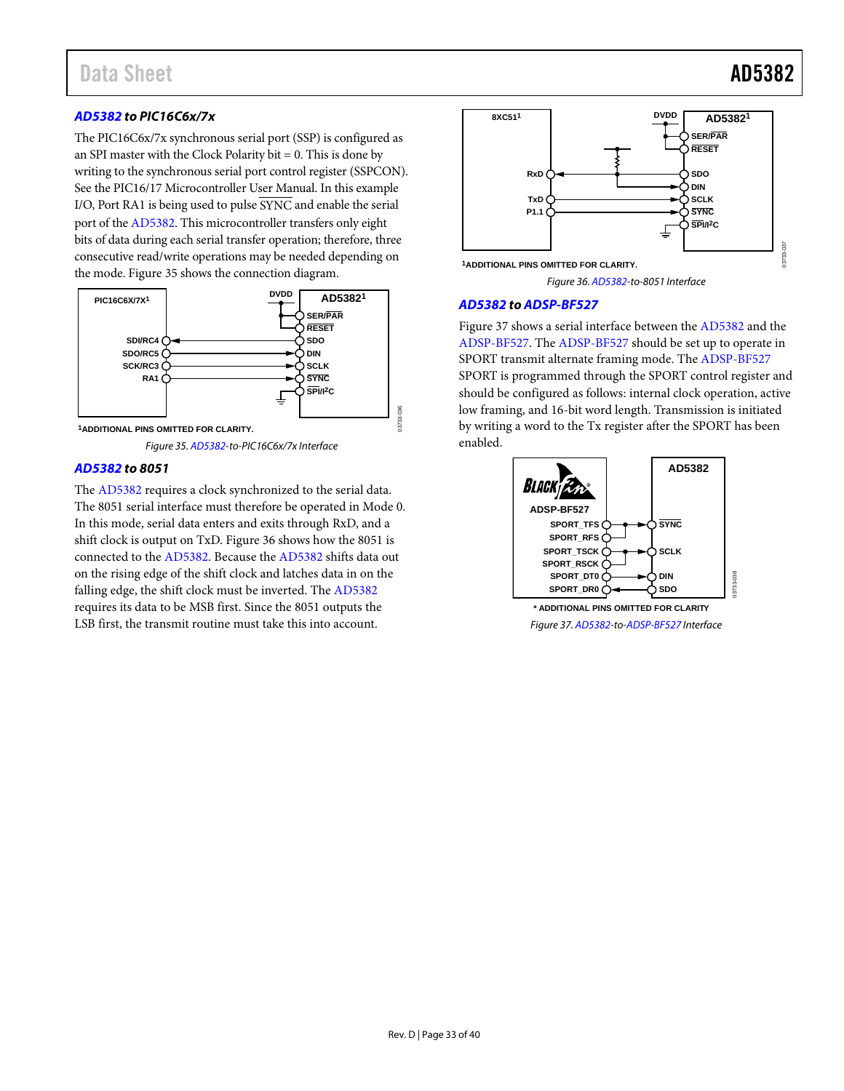## *[AD5382](http://www.analog.com/AD5382?doc=AD5382.pdf) to PIC16C6x/7x*

The PIC16C6x/7x synchronous serial port (SSP) is configured as an SPI master with the Clock Polarity bit  $= 0$ . This is done by writing to the synchronous serial port control register (SSPCON). See the PIC16/17 Microcontroller User Manual. In this example I/O, Port RA1 is being used to pulse  $\overline{\text{SYNC}}$  and enable the serial port of th[e AD5382.](http://www.analog.com/AD5382?doc=AD5382.pdf) This microcontroller transfers only eight bits of data during each serial transfer operation; therefore, three consecutive read/write operations may be needed depending on the mode[. Figure 35](#page-32-0) shows the connection diagram.



<span id="page-32-0"></span>**1ADDITIONAL PINS OMITTED FOR CLARITY.**

*Figure 35[. AD5382-](http://www.analog.com/AD5382?doc=AD5382.pdf)to-PIC16C6x/7x Interface*

#### *[AD5382](http://www.analog.com/AD5382?doc=AD5382.pdf) to 8051*

The [AD5382](http://www.analog.com/AD5382?doc=AD5382.pdf) requires a clock synchronized to the serial data. The 8051 serial interface must therefore be operated in Mode 0. In this mode, serial data enters and exits through RxD, and a shift clock is output on TxD. [Figure 36](#page-32-1) shows how the 8051 is connected to th[e AD5382.](http://www.analog.com/AD5382?doc=AD5382.pdf) Because th[e AD5382](http://www.analog.com/AD5382?doc=AD5382.pdf) shifts data out on the rising edge of the shift clock and latches data in on the falling edge, the shift clock must be inverted. Th[e AD5382](http://www.analog.com/AD5382?doc=AD5382.pdf) requires its data to be MSB first. Since the 8051 outputs the LSB first, the transmit routine must take this into account.



*Figure 36[. AD5382-](http://www.analog.com/AD5382?doc=AD5382.pdf)to-8051 Interface*

#### <span id="page-32-1"></span>*[AD5382](http://www.analog.com/AD5382?doc=AD5382.pdf) t[o ADSP-BF527](http://www.analog.com/ADSP-BF527?doc=AD5382.pdf)*

03733-036

[Figure 37](#page-32-2) shows a serial interface between the [AD5382](http://www.analog.com/AD5382?doc=AD5382.pdf) and the [ADSP-BF527.](http://www.analog.com/ADSP-BF527?doc=AD5382.pdf) Th[e ADSP-BF527](http://www.analog.com/ADSP-BF527?doc=AD5382.pdf) should be set up to operate in SPORT transmit alternate framing mode. Th[e ADSP-BF527](http://www.analog.com/ADSP-BF527?doc=AD5382.pdf) SPORT is programmed through the SPORT control register and should be configured as follows: internal clock operation, active low framing, and 16-bit word length. Transmission is initiated by writing a word to the Tx register after the SPORT has been enabled.



<span id="page-32-2"></span>*Figure 37[. AD5382-](http://www.analog.com/AD5382?doc=AD5382.pdf)t[o-ADSP-BF527](http://www.analog.com/ADSP-BF527?doc=AD5382.pdf) Interface*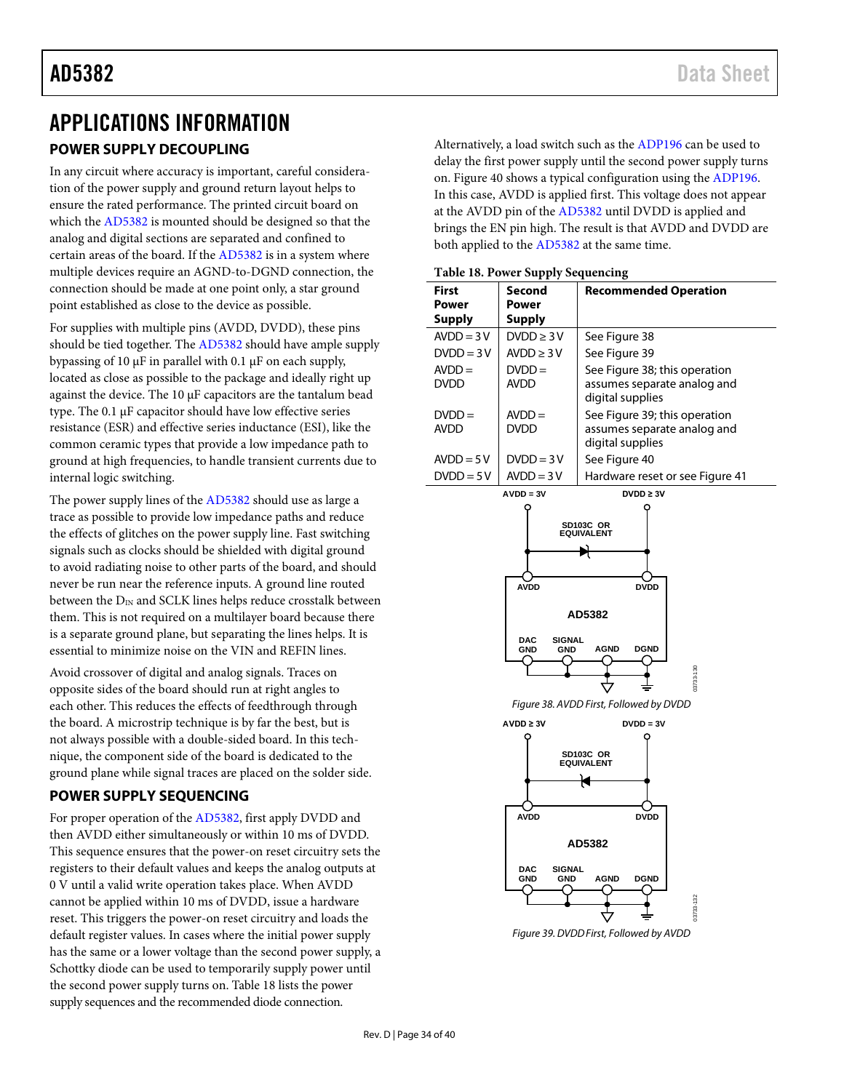# <span id="page-33-2"></span><span id="page-33-0"></span>APPLICATIONS INFORMATION **POWER SUPPLY DECOUPLING**

In any circuit where accuracy is important, careful consideration of the power supply and ground return layout helps to ensure the rated performance. The printed circuit board on which th[e AD5382](http://www.analog.com/AD5382?doc=AD5382.pdf) is mounted should be designed so that the analog and digital sections are separated and confined to certain areas of the board. If th[e AD5382](http://www.analog.com/AD5382?doc=AD5382.pdf) is in a system where multiple devices require an AGND-to-DGND connection, the connection should be made at one point only, a star ground point established as close to the device as possible.

For supplies with multiple pins (AVDD, DVDD), these pins should be tied together. The [AD5382](http://www.analog.com/AD5382?doc=AD5382.pdf) should have ample supply bypassing of 10 µF in parallel with 0.1 µF on each supply, located as close as possible to the package and ideally right up against the device. The 10 µF capacitors are the tantalum bead type. The 0.1 µF capacitor should have low effective series resistance (ESR) and effective series inductance (ESI), like the common ceramic types that provide a low impedance path to ground at high frequencies, to handle transient currents due to internal logic switching.

The power supply lines of th[e AD5382](http://www.analog.com/AD5382?doc=AD5382.pdf) should use as large a trace as possible to provide low impedance paths and reduce the effects of glitches on the power supply line. Fast switching signals such as clocks should be shielded with digital ground to avoid radiating noise to other parts of the board, and should never be run near the reference inputs. A ground line routed between the  $D_{IN}$  and SCLK lines helps reduce crosstalk between them. This is not required on a multilayer board because there is a separate ground plane, but separating the lines helps. It is essential to minimize noise on the VIN and REFIN lines.

<span id="page-33-4"></span>Avoid crossover of digital and analog signals. Traces on opposite sides of the board should run at right angles to each other. This reduces the effects of feedthrough through the board. A microstrip technique is by far the best, but is not always possible with a double-sided board. In this technique, the component side of the board is dedicated to the ground plane while signal traces are placed on the solder side.

# <span id="page-33-1"></span>**POWER SUPPLY SEQUENCING**

<span id="page-33-5"></span>For proper operation of the [AD5382,](http://www.analog.com/AD5382?doc=AD5382.pdf) first apply DVDD and then AVDD either simultaneously or within 10 ms of DVDD. This sequence ensures that the power-on reset circuitry sets the registers to their default values and keeps the analog outputs at 0 V until a valid write operation takes place. When AVDD cannot be applied within 10 ms of DVDD, issue a hardware reset. This triggers the power-on reset circuitry and loads the default register values. In cases where the initial power supply has the same or a lower voltage than the second power supply, a Schottky diode can be used to temporarily supply power until the second power supply turns on[. Table 18](#page-33-3) lists the power supply sequences and the recommended diode connection.

Alternatively, a load switch such as th[e ADP196](http://www.analog.com/ADP196?doc=AD5382.pdf) can be used to delay the first power supply until the second power supply turns on[. Figure 40](#page-34-1) shows a typical configuration using th[e ADP196.](http://www.analog.com/ADP196?doc=AD5382.pdf)  In this case, AVDD is applied first. This voltage does not appear at the AVDD pin of the [AD5382](http://www.analog.com/AD5382?doc=AD5382.pdf) until DVDD is applied and brings the EN pin high. The result is that AVDD and DVDD are both applied to the [AD5382](http://www.analog.com/AD5382?doc=AD5382.pdf) at the same time.

<span id="page-33-3"></span>**Table 18. Power Supply Sequencing**

| <b>First</b>  | Second                      | <b>Recommended Operation</b>            |
|---------------|-----------------------------|-----------------------------------------|
| Power         | Power                       |                                         |
| <b>Supply</b> | <b>Supply</b>               |                                         |
| $AVDD = 3V$   | $DVDD \geq 3V$              | See Figure 38                           |
| $DVDD = 3V$   | $AVDD \geq 3V$              | See Figure 39                           |
| $AVDD =$      | $DVDD =$                    | See Figure 38; this operation           |
| <b>DVDD</b>   | <b>AVDD</b>                 | assumes separate analog and             |
|               |                             | digital supplies                        |
| $DVDD =$      | $AVDD =$                    | See Figure 39; this operation           |
| avdd          | <b>DVDD</b>                 | assumes separate analog and             |
|               |                             | digital supplies                        |
| $AVDD = 5V$   | $DVDD = 3V$                 | See Figure 40                           |
| $DVDD = 5V$   | $AVDD = 3V$                 | Hardware reset or see Figure 41         |
|               | $AVDD = 3V$                 | $DVDD \geq 3V$                          |
|               |                             | SD103C OR                               |
|               |                             | <b>EQUIVALENT</b>                       |
|               |                             |                                         |
|               |                             |                                         |
|               | <b>AVDD</b>                 | <b>DVDD</b>                             |
|               |                             |                                         |
|               |                             | AD5382                                  |
|               | <b>DAC</b><br><b>SIGNAL</b> |                                         |
|               | GND<br><b>GND</b>           | <b>AGND</b><br><b>DGND</b>              |
|               |                             |                                         |
|               |                             | 081-825130                              |
|               |                             | Figure 38. AVDD First, Followed by DVDD |
|               | $AVDD \geq 3V$              | $DVDD = 3V$                             |
|               |                             |                                         |
|               |                             | SD103C OR                               |
|               |                             | <b>EQUIVALENT</b>                       |
|               |                             |                                         |
|               |                             |                                         |
|               | <b>AVDD</b>                 | <b>DVDD</b>                             |
|               |                             |                                         |
|               |                             | AD5382                                  |
|               | SIGNAL<br><b>DAC</b>        |                                         |
|               | <b>GND</b><br><b>GND</b>    | <b>DGND</b><br><b>AGND</b>              |
|               |                             | 03733-132                               |
|               |                             |                                         |
|               |                             | Figure 39. DVDD First, Followed by AVDD |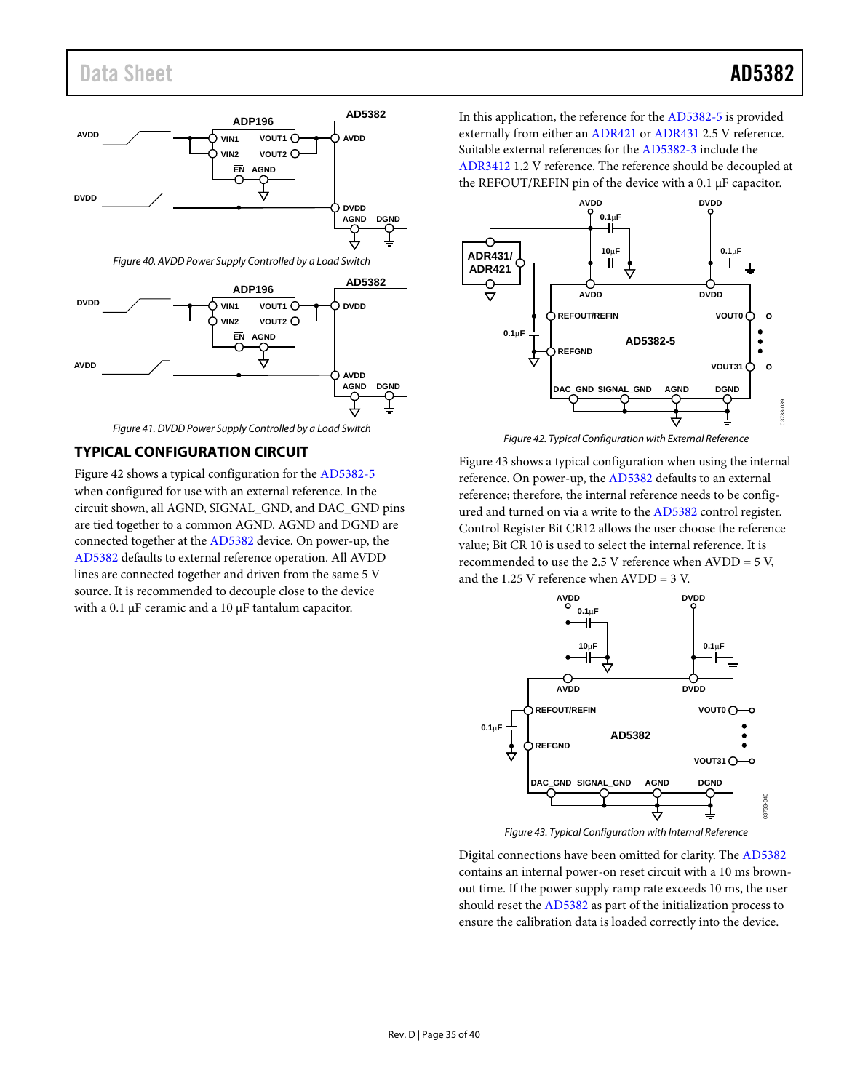# <span id="page-34-0"></span>Data Sheet **AD5382**



*Figure 40. AVDD Power Supply Controlled by a Load Switch*

<span id="page-34-1"></span>

*Figure 41. DVDD Power Supply Controlled by a Load Switch*

## <span id="page-34-2"></span>**TYPICAL CONFIGURATION CIRCUIT**

[Figure 42](#page-34-3) shows a typical configuration for th[e AD5382-5](http://www.analog.com/AD5382?doc=AD5382.pdf) when configured for use with an external reference. In the circuit shown, all AGND, SIGNAL\_GND, and DAC\_GND pins are tied together to a common AGND. AGND and DGND are connected together at th[e AD5382](http://www.analog.com/AD5382?doc=AD5382.pdf) device. On power-up, the [AD5382](http://www.analog.com/AD5382?doc=AD5382.pdf) defaults to external reference operation. All AVDD lines are connected together and driven from the same 5 V source. It is recommended to decouple close to the device with a 0.1 µF ceramic and a 10 µF tantalum capacitor.

In this application, the reference for th[e AD5382-5](http://www.analog.com/AD5382?doc=AD5382.pdf) is provided externally from either an [ADR421](http://www.analog.com/ADR421?doc=AD5382.pdf) or [ADR431](http://www.analog.com/ADR431?doc=AD5382.pdf) 2.5 V reference. Suitable external references for the [AD5382-3](http://www.analog.com/AD5382?doc=AD5382.pdf) include the [ADR3412](http://www.analog.com/ADR3412?doc=AD5382.pdf) 1.2 V reference. The reference should be decoupled at the REFOUT/REFIN pin of the device with a 0.1 µF capacitor.



*Figure 42. Typical Configuration with External Reference*

<span id="page-34-3"></span>[Figure 43](#page-34-4) shows a typical configuration when using the internal reference. On power-up, the [AD5382](http://www.analog.com/AD5382?doc=AD5382.pdf) defaults to an external reference; therefore, the internal reference needs to be configured and turned on via a write to th[e AD5382](http://www.analog.com/AD5382?doc=AD5382.pdf) control register. Control Register Bit CR12 allows the user choose the reference value; Bit CR 10 is used to select the internal reference. It is recommended to use the 2.5 V reference when AVDD = 5 V, and the 1.25 V reference when  $AVDD = 3 V$ .



*Figure 43. Typical Configuration with Internal Reference*

<span id="page-34-4"></span>Digital connections have been omitted for clarity. The [AD5382](http://www.analog.com/AD5382?doc=AD5382.pdf) contains an internal power-on reset circuit with a 10 ms brownout time. If the power supply ramp rate exceeds 10 ms, the user should reset the [AD5382](http://www.analog.com/AD5382?doc=AD5382.pdf) as part of the initialization process to ensure the calibration data is loaded correctly into the device.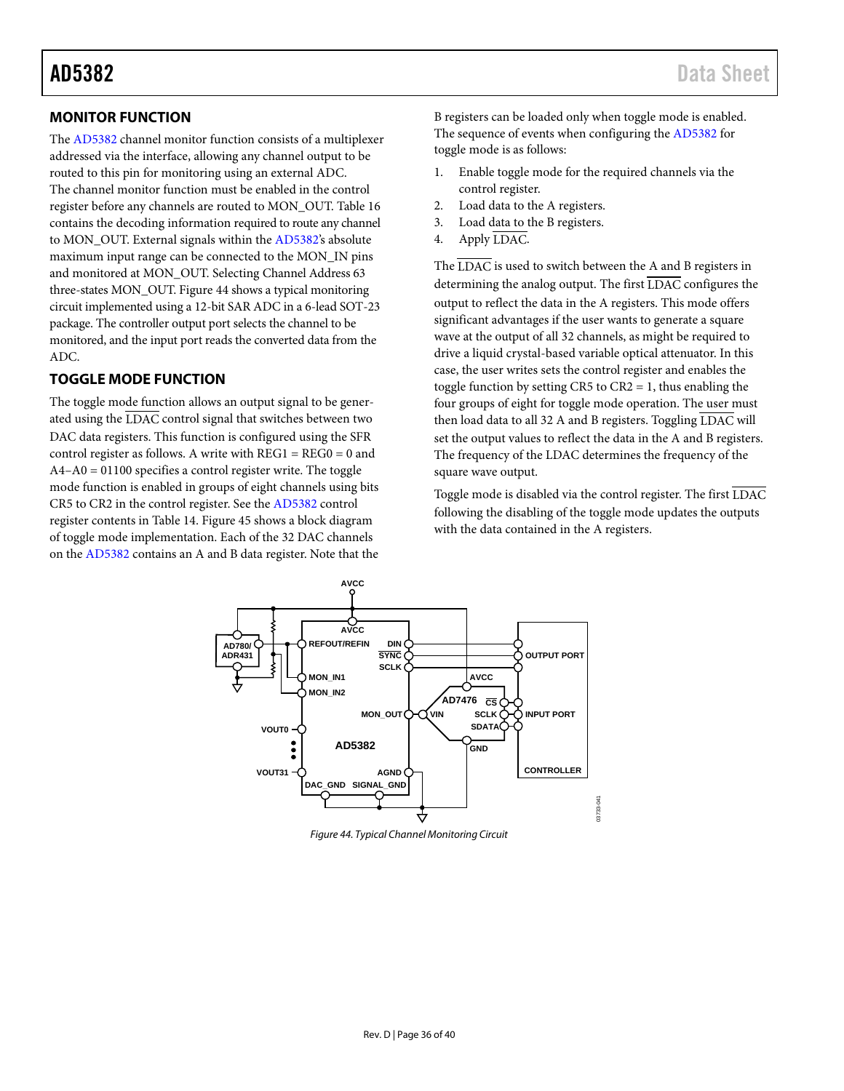# <span id="page-35-1"></span>**MONITOR FUNCTION**

The [AD5382](http://www.analog.com/AD5382?doc=AD5382.pdf) channel monitor function consists of a multiplexer addressed via the interface, allowing any channel output to be routed to this pin for monitoring using an external ADC. The channel monitor function must be enabled in the control register before any channels are routed to MON\_OUT. [Table 16](#page-24-0) contains the decoding information required to route any channel to MON\_OUT. External signals within th[e AD5382's](http://www.analog.com/AD5382?doc=AD5382.pdf) absolute maximum input range can be connected to the MON\_IN pins and monitored at MON\_OUT. Selecting Channel Address 63 three-states MON\_OUT[. Figure 44](#page-35-2) shows a typical monitoring circuit implemented using a 12-bit SAR ADC in a 6-lead SOT-23 package. The controller output port selects the channel to be monitored, and the input port reads the converted data from the ADC.

# <span id="page-35-0"></span>**TOGGLE MODE FUNCTION**

The toggle mode function allows an output signal to be generated using the LDAC control signal that switches between two DAC data registers. This function is configured using the SFR control register as follows. A write with  $REG1 = REG0 = 0$  and A4–A0 = 01100 specifies a control register write. The toggle mode function is enabled in groups of eight channels using bits CR5 to CR2 in the control register. See th[e AD5382](http://www.analog.com/AD5382?doc=AD5382.pdf) control register contents i[n Table 14.](#page-23-2) [Figure 45](#page-36-3) shows a block diagram of toggle mode implementation. Each of the 32 DAC channels on the [AD5382](http://www.analog.com/AD5382?doc=AD5382.pdf) contains an A and B data register. Note that the B registers can be loaded only when toggle mode is enabled. The sequence of events when configuring th[e AD5382](http://www.analog.com/AD5382?doc=AD5382.pdf) for toggle mode is as follows:

- 1. Enable toggle mode for the required channels via the control register.
- 2. Load data to the A registers.
- 3. Load data to the B registers.
- 4. Apply LDAC.

The LDAC is used to switch between the A and B registers in determining the analog output. The first  $\overline{\text{LDAC}}$  configures the output to reflect the data in the A registers. This mode offers significant advantages if the user wants to generate a square wave at the output of all 32 channels, as might be required to drive a liquid crystal-based variable optical attenuator. In this case, the user writes sets the control register and enables the toggle function by setting CR5 to CR2 = 1, thus enabling the four groups of eight for toggle mode operation. The user must then load data to all 32 A and B registers. Toggling LDAC will set the output values to reflect the data in the A and B registers. The frequency of the LDAC determines the frequency of the square wave output.

Toggle mode is disabled via the control register. The first LDAC following the disabling of the toggle mode updates the outputs with the data contained in the A registers.

03733-041



<span id="page-35-2"></span>*Figure 44. Typical Channel Monitoring Circuit*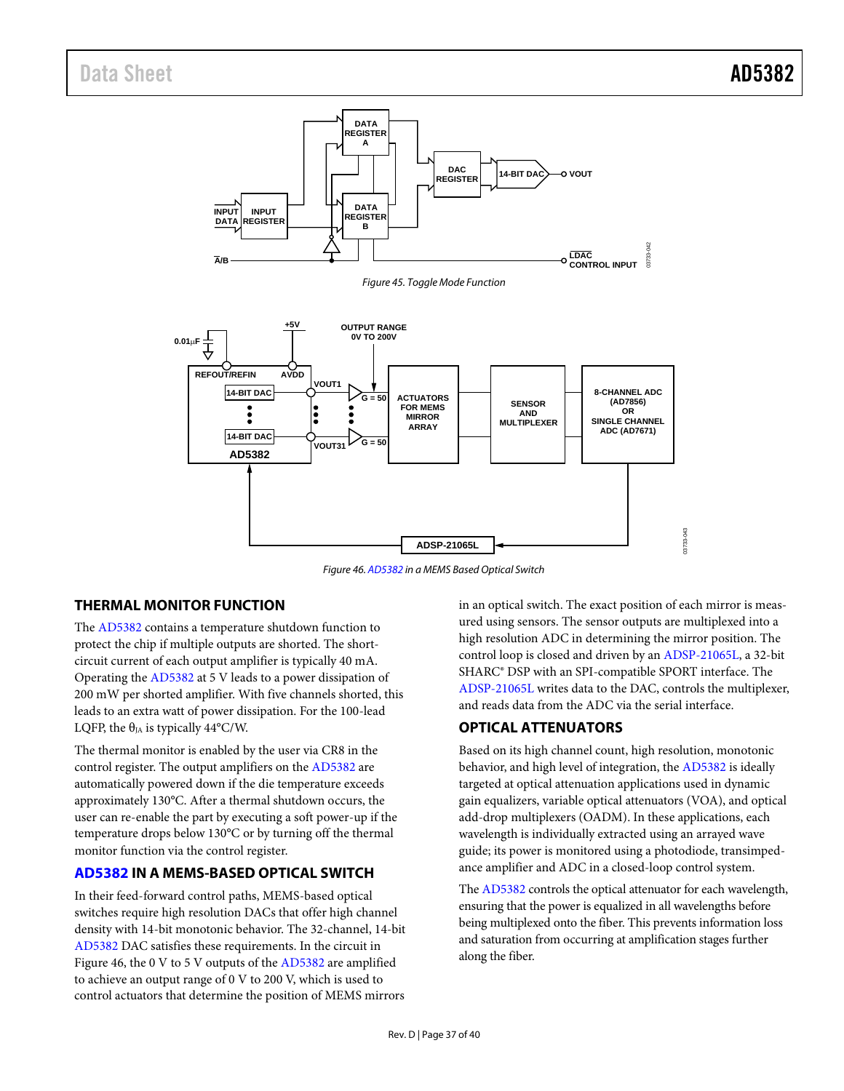<span id="page-36-3"></span><span id="page-36-2"></span>

*Figure 46[. AD5382](http://www.analog.com/AD5382?doc=AD5382.pdf) in a MEMS Based Optical Switch*

## <span id="page-36-4"></span>**THERMAL MONITOR FUNCTION**

The [AD5382](http://www.analog.com/AD5382?doc=AD5382.pdf) contains a temperature shutdown function to protect the chip if multiple outputs are shorted. The shortcircuit current of each output amplifier is typically 40 mA. Operating the [AD5382](http://www.analog.com/AD5382?doc=AD5382.pdf) at 5 V leads to a power dissipation of 200 mW per shorted amplifier. With five channels shorted, this leads to an extra watt of power dissipation. For the 100-lead LQFP, the  $\theta_{JA}$  is typically 44°C/W.

The thermal monitor is enabled by the user via CR8 in the control register. The output amplifiers on the [AD5382](http://www.analog.com/AD5382?doc=AD5382.pdf) are automatically powered down if the die temperature exceeds approximately 130°C. After a thermal shutdown occurs, the user can re-enable the part by executing a soft power-up if the temperature drops below 130°C or by turning off the thermal monitor function via the control register.

#### <span id="page-36-0"></span>**[AD5382](http://www.analog.com/AD5382?doc=AD5382.pdf) IN A MEMS-BASED OPTICAL SWITCH**

In their feed-forward control paths, MEMS-based optical switches require high resolution DACs that offer high channel density with 14-bit monotonic behavior. The 32-channel, 14-bit [AD5382](http://www.analog.com/AD5382?doc=AD5382.pdf) DAC satisfies these requirements. In the circuit in [Figure 46,](#page-36-4) the 0 V to 5 V outputs of the [AD5382](http://www.analog.com/AD5382?doc=AD5382.pdf) are amplified to achieve an output range of 0 V to 200 V, which is used to control actuators that determine the position of MEMS mirrors

in an optical switch. The exact position of each mirror is measured using sensors. The sensor outputs are multiplexed into a high resolution ADC in determining the mirror position. The control loop is closed and driven by a[n ADSP-21065L,](http://www.analog.com/ADSP-21065L?doc=AD5382.pdf) a 32-bit SHARC® DSP with an SPI-compatible SPORT interface. The [ADSP-21065L](http://www.analog.com/ADSP-21065L?doc=AD5382.pdf) writes data to the DAC, controls the multiplexer, and reads data from the ADC via the serial interface.

# <span id="page-36-1"></span>**OPTICAL ATTENUATORS**

Based on its high channel count, high resolution, monotonic behavior, and high level of integration, the [AD5382](http://www.analog.com/AD5382?doc=AD5382.pdf) is ideally targeted at optical attenuation applications used in dynamic gain equalizers, variable optical attenuators (VOA), and optical add-drop multiplexers (OADM). In these applications, each wavelength is individually extracted using an arrayed wave guide; its power is monitored using a photodiode, transimpedance amplifier and ADC in a closed-loop control system.

Th[e AD5382](http://www.analog.com/AD5382?doc=AD5382.pdf) controls the optical attenuator for each wavelength, ensuring that the power is equalized in all wavelengths before being multiplexed onto the fiber. This prevents information loss and saturation from occurring at amplification stages further along the fiber.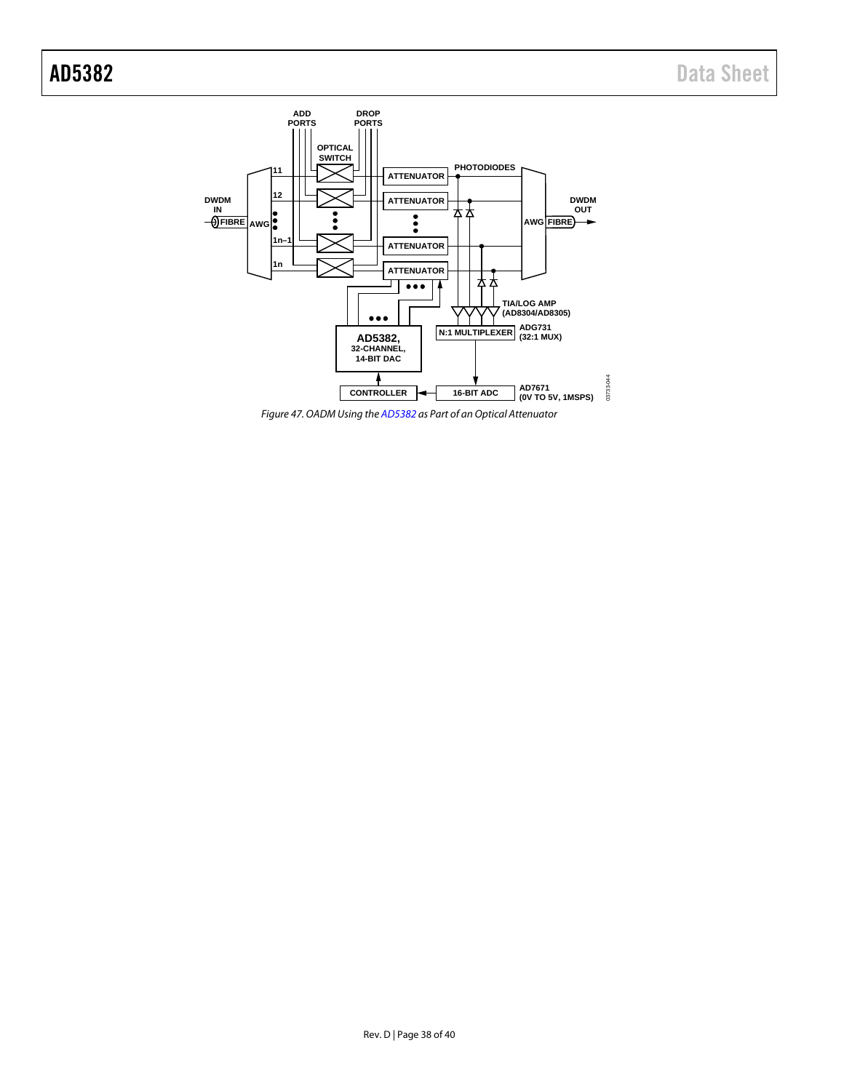

*Figure 47. OADM Using th[e AD5382](http://www.analog.com/AD5382?doc=AD5382.pdf) as Part of an Optical Attenuator*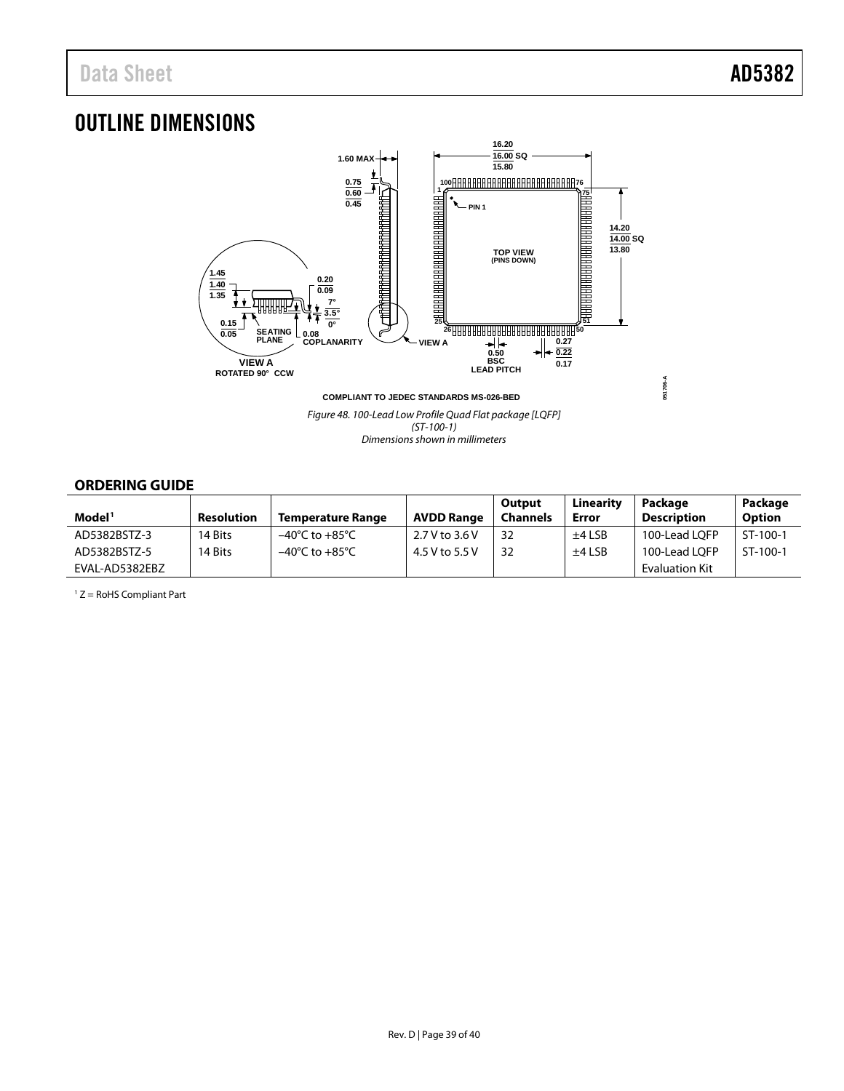# <span id="page-38-2"></span><span id="page-38-1"></span>OUTLINE DIMENSIONS



*Figure 48. 100-Lead Low Profile Quad Flat package [LQFP] (ST-100-1) Dimensions shown in millimeters*

## <span id="page-38-0"></span>**ORDERING GUIDE**

|                    |                   |                          |                   | Output          | Linearity | Package            | Package       |
|--------------------|-------------------|--------------------------|-------------------|-----------------|-----------|--------------------|---------------|
| Model <sup>1</sup> | <b>Resolution</b> | <b>Temperature Range</b> | <b>AVDD Range</b> | <b>Channels</b> | Error     | <b>Description</b> | <b>Option</b> |
| AD5382BSTZ-3       | 14 Bits           | –40°C to +85°C           | 2.7 V to 3.6 V    | 32              | $±4$ LSB  | 100-Lead LOFP      | ST-100-1      |
| AD5382BSTZ-5       | 14 Bits           | –40°C to +85°C           | 4.5 V to 5.5 V    | 32              | $±4$ LSB  | 100-Lead LOFP      | ST-100-1      |
| EVAL-AD5382EBZ     |                   |                          |                   |                 |           | Evaluation Kit     |               |

<sup>1</sup> Z = RoHS Compliant Part